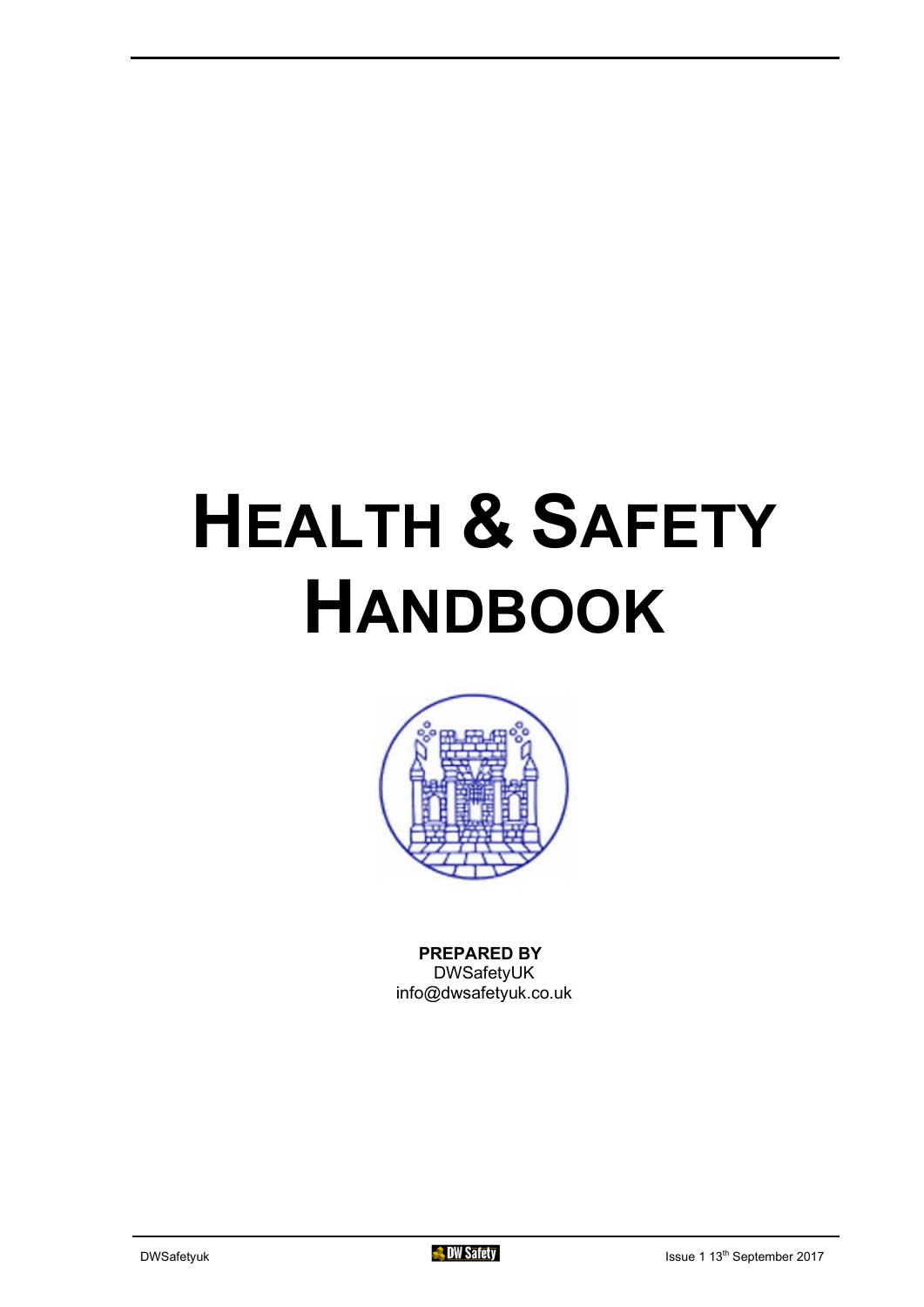# **HEALTH & SAFETY HANDBOOK**



**PREPARED BY** DWSafetyUK info@dwsafetyuk.co.uk

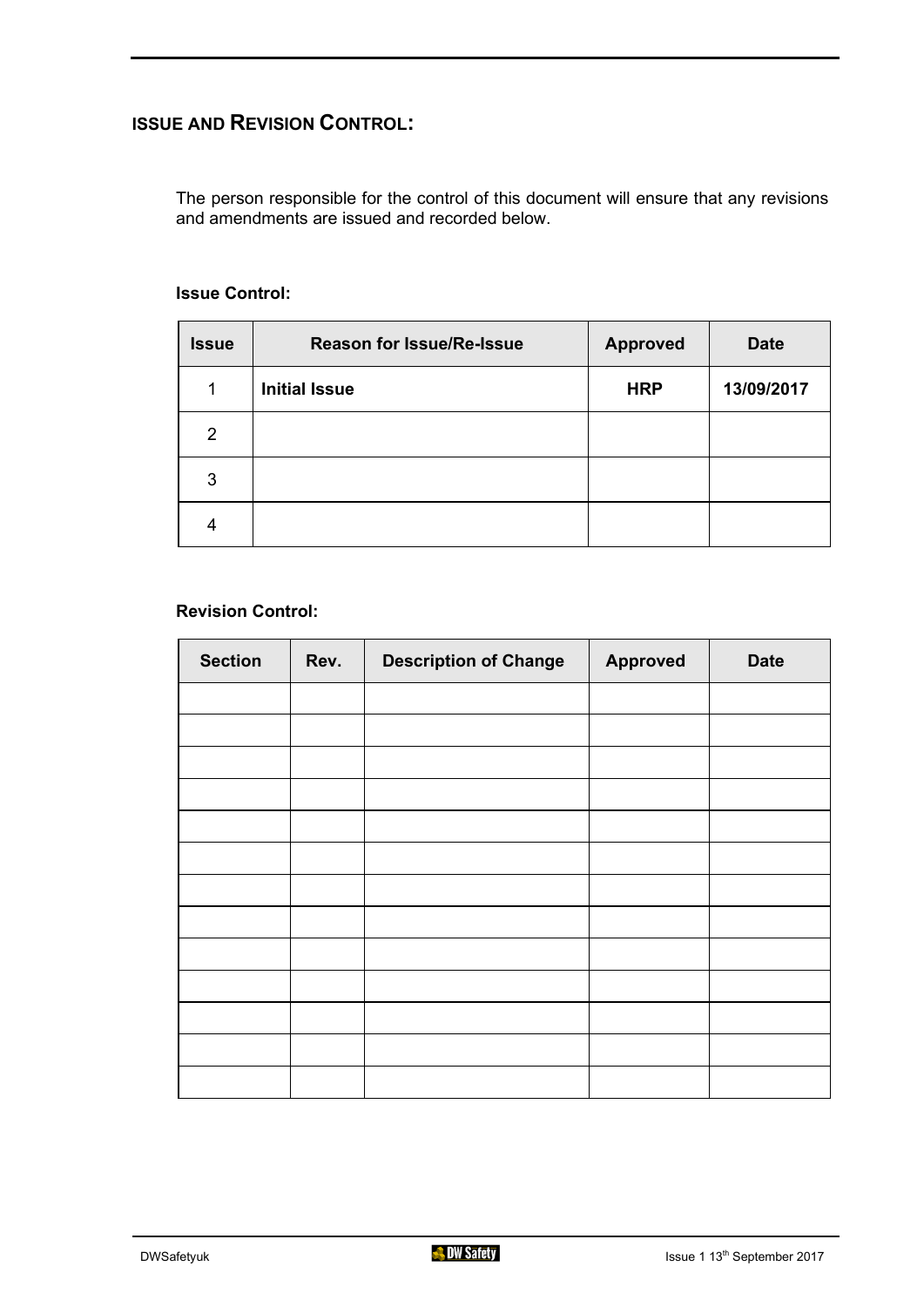### **ISSUE AND REVISION CONTROL:**

The person responsible for the control of this document will ensure that any revisions and amendments are issued and recorded below.

| <b>Issue</b>   | <b>Reason for Issue/Re-Issue</b> | <b>Approved</b> | <b>Date</b> |
|----------------|----------------------------------|-----------------|-------------|
| 1              | <b>Initial Issue</b>             | <b>HRP</b>      | 13/09/2017  |
| $\overline{2}$ |                                  |                 |             |
| 3              |                                  |                 |             |
|                |                                  |                 |             |

#### **Issue Control:**

#### **Revision Control:**

| <b>Section</b> | Rev. | <b>Description of Change</b> | <b>Approved</b> | <b>Date</b> |
|----------------|------|------------------------------|-----------------|-------------|
|                |      |                              |                 |             |
|                |      |                              |                 |             |
|                |      |                              |                 |             |
|                |      |                              |                 |             |
|                |      |                              |                 |             |
|                |      |                              |                 |             |
|                |      |                              |                 |             |
|                |      |                              |                 |             |
|                |      |                              |                 |             |
|                |      |                              |                 |             |
|                |      |                              |                 |             |
|                |      |                              |                 |             |
|                |      |                              |                 |             |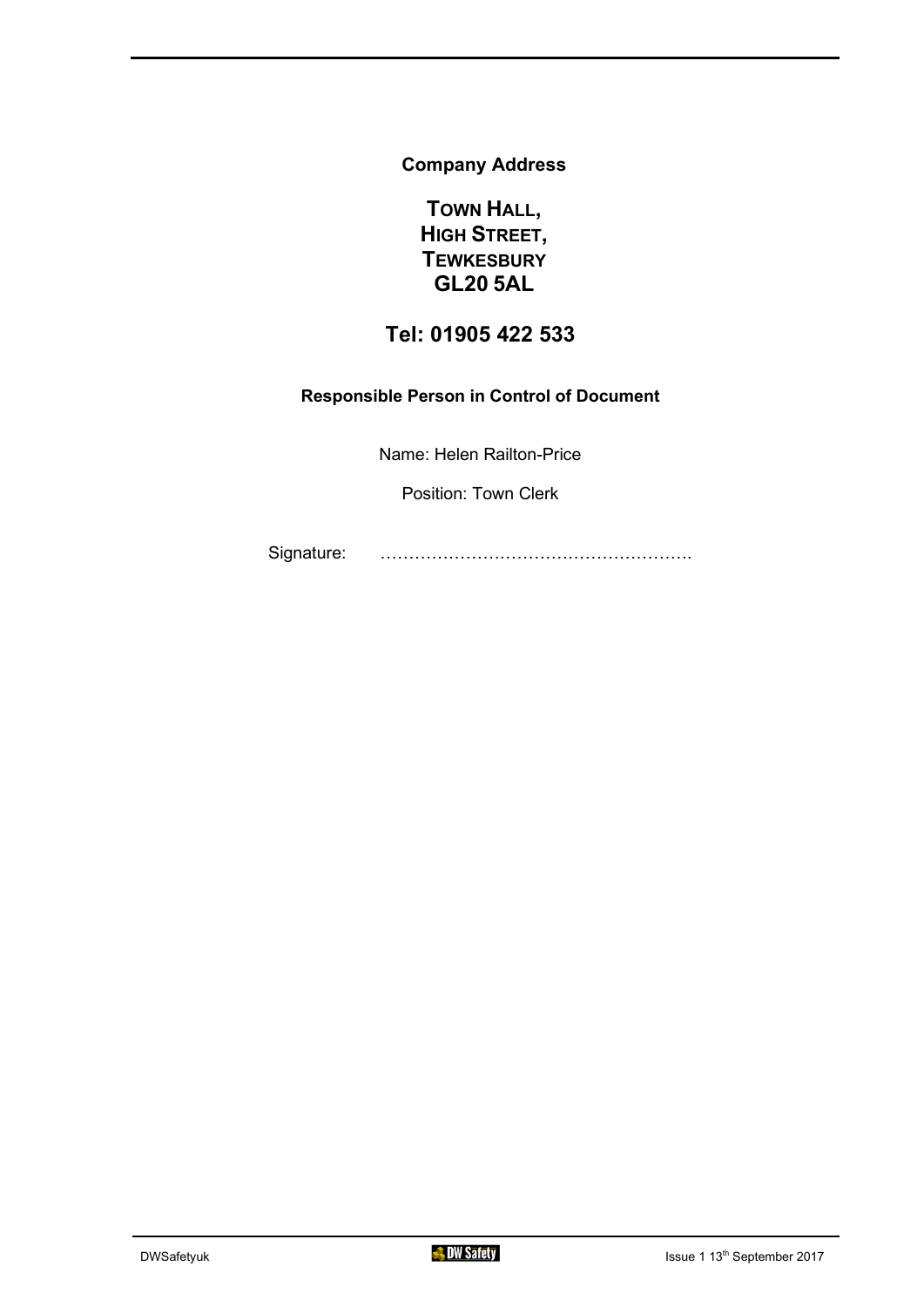**Company Address**

**TOWN HALL, HIGH STREET, TEWKESBURY GL20 5AL**

#### **Tel: 01905 422 533**

#### **Responsible Person in Control of Document**

Name: Helen Railton-Price

Position: Town Clerk

Signature: ……………………………………………….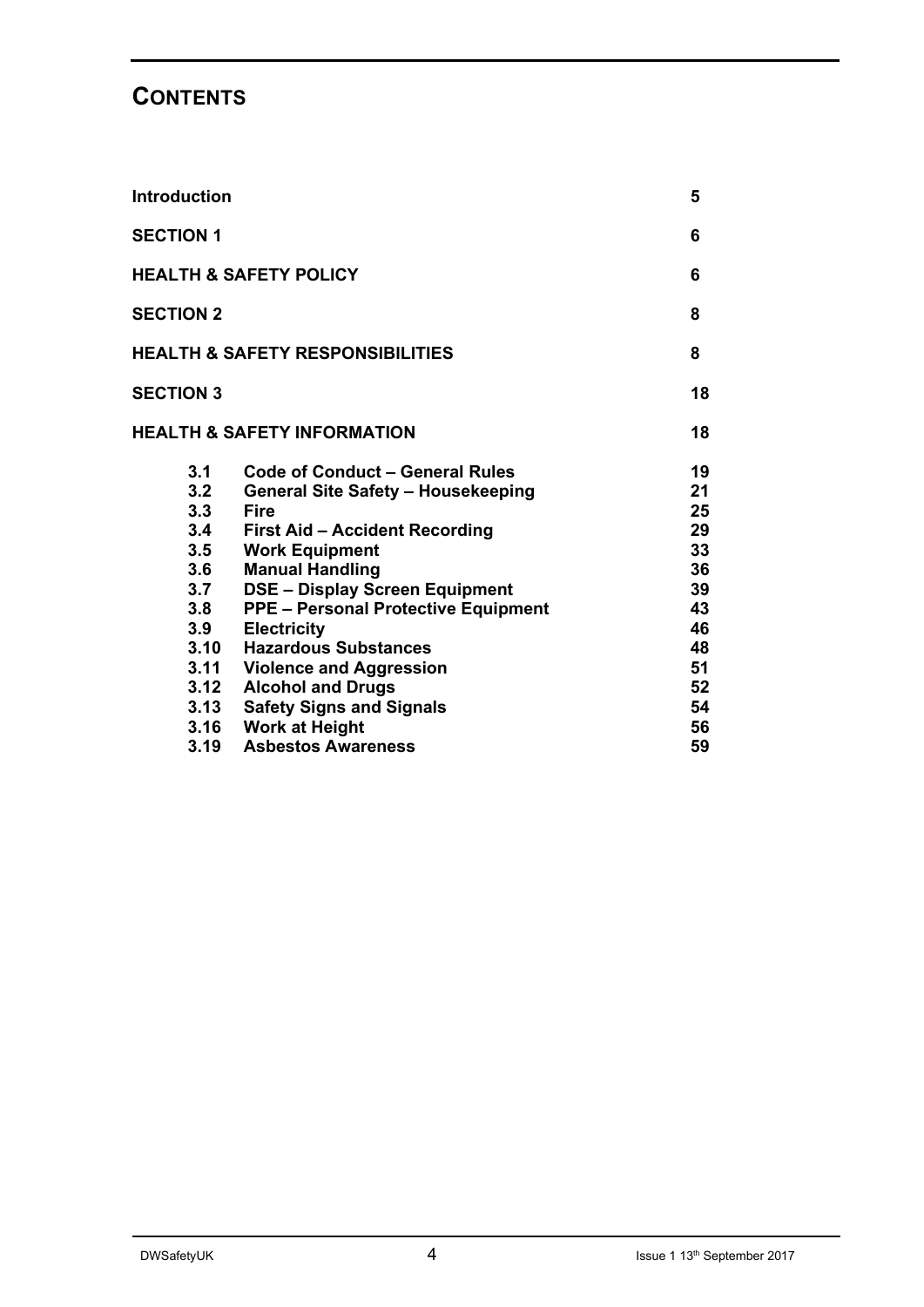## **CONTENTS**

| <b>Introduction</b>                                                                                         |                                                                                                                                                                                                                                                                                                                                                                                                                                                                                            | 5                                                                                      |
|-------------------------------------------------------------------------------------------------------------|--------------------------------------------------------------------------------------------------------------------------------------------------------------------------------------------------------------------------------------------------------------------------------------------------------------------------------------------------------------------------------------------------------------------------------------------------------------------------------------------|----------------------------------------------------------------------------------------|
| <b>SECTION 1</b>                                                                                            |                                                                                                                                                                                                                                                                                                                                                                                                                                                                                            | 6                                                                                      |
|                                                                                                             | <b>HEALTH &amp; SAFETY POLICY</b>                                                                                                                                                                                                                                                                                                                                                                                                                                                          | 6                                                                                      |
| <b>SECTION 2</b>                                                                                            |                                                                                                                                                                                                                                                                                                                                                                                                                                                                                            | 8                                                                                      |
|                                                                                                             | <b>HEALTH &amp; SAFETY RESPONSIBILITIES</b>                                                                                                                                                                                                                                                                                                                                                                                                                                                | 8                                                                                      |
| <b>SECTION 3</b>                                                                                            |                                                                                                                                                                                                                                                                                                                                                                                                                                                                                            | 18                                                                                     |
|                                                                                                             | <b>HEALTH &amp; SAFETY INFORMATION</b>                                                                                                                                                                                                                                                                                                                                                                                                                                                     | 18                                                                                     |
| 3.1<br>3.2<br>3.3<br>3.4<br>3.5<br>3.6<br>3.7<br>3.8<br>3.9<br>3.10<br>3.11<br>3.12<br>3.13<br>3.16<br>3.19 | Code of Conduct – General Rules<br><b>General Site Safety - Housekeeping</b><br><b>Fire</b><br><b>First Aid - Accident Recording</b><br><b>Work Equipment</b><br><b>Manual Handling</b><br><b>DSE - Display Screen Equipment</b><br><b>PPE - Personal Protective Equipment</b><br><b>Electricity</b><br><b>Hazardous Substances</b><br><b>Violence and Aggression</b><br><b>Alcohol and Drugs</b><br><b>Safety Signs and Signals</b><br><b>Work at Height</b><br><b>Asbestos Awareness</b> | 19<br>21<br>25<br>29<br>33<br>36<br>39<br>43<br>46<br>48<br>51<br>52<br>54<br>56<br>59 |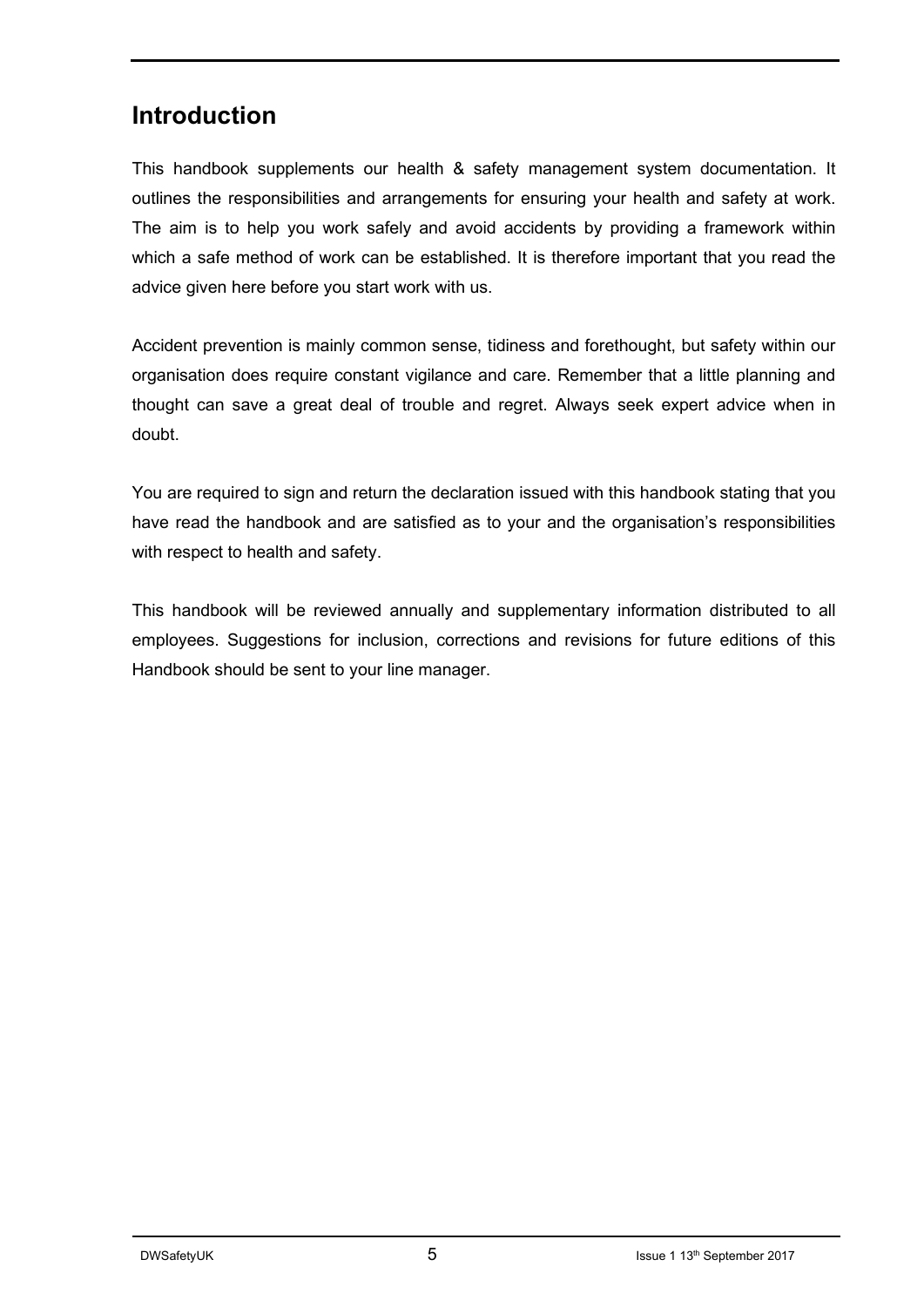## **Introduction**

This handbook supplements our health & safety management system documentation. It outlines the responsibilities and arrangements for ensuring your health and safety at work. The aim is to help you work safely and avoid accidents by providing a framework within which a safe method of work can be established. It is therefore important that you read the advice given here before you start work with us.

Accident prevention is mainly common sense, tidiness and forethought, but safety within our organisation does require constant vigilance and care. Remember that a little planning and thought can save a great deal of trouble and regret. Always seek expert advice when in doubt.

You are required to sign and return the declaration issued with this handbook stating that you have read the handbook and are satisfied as to your and the organisation's responsibilities with respect to health and safety.

This handbook will be reviewed annually and supplementary information distributed to all employees. Suggestions for inclusion, corrections and revisions for future editions of this Handbook should be sent to your line manager.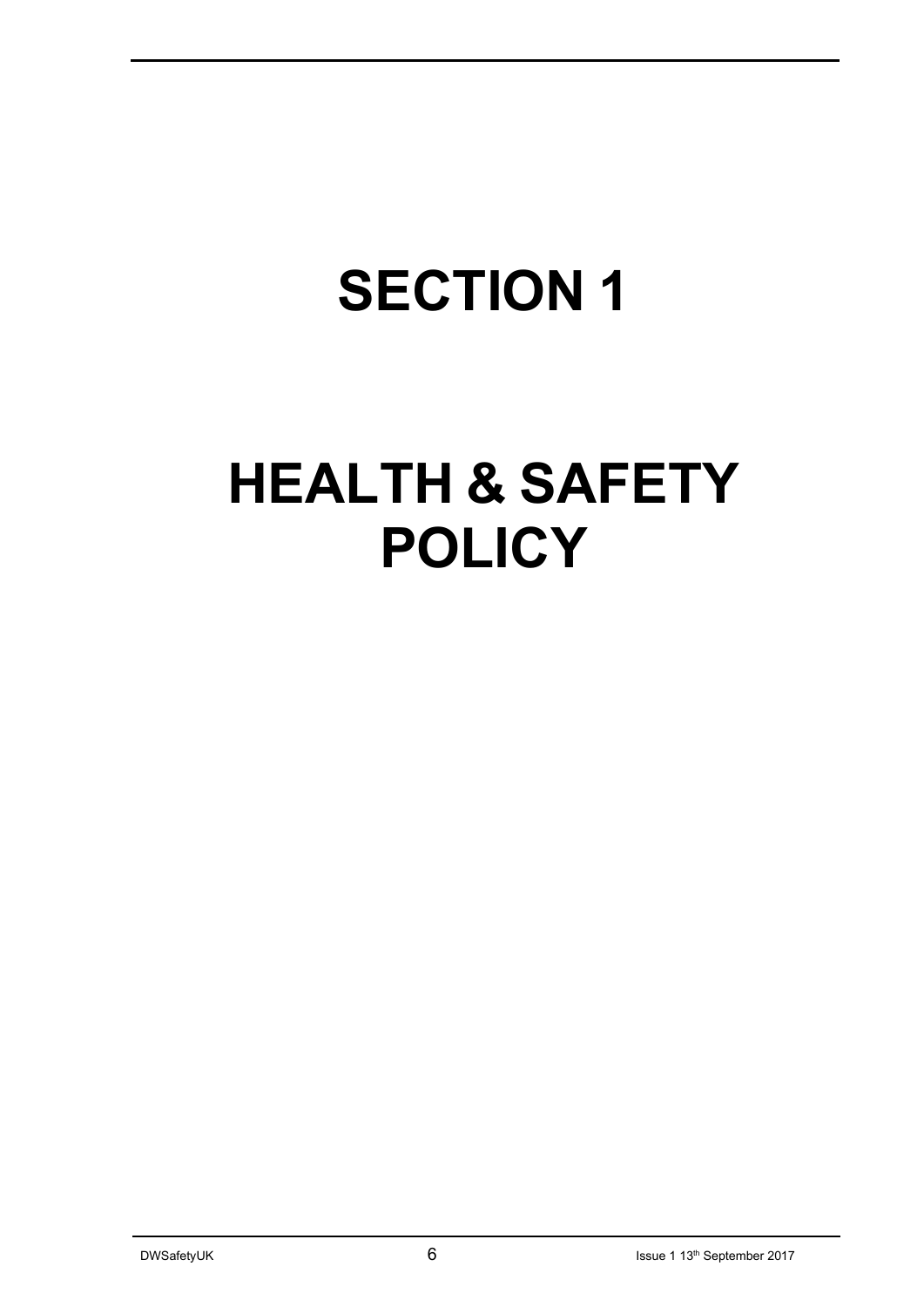# **SECTION 1**

## **HEALTH & SAFETY POLICY**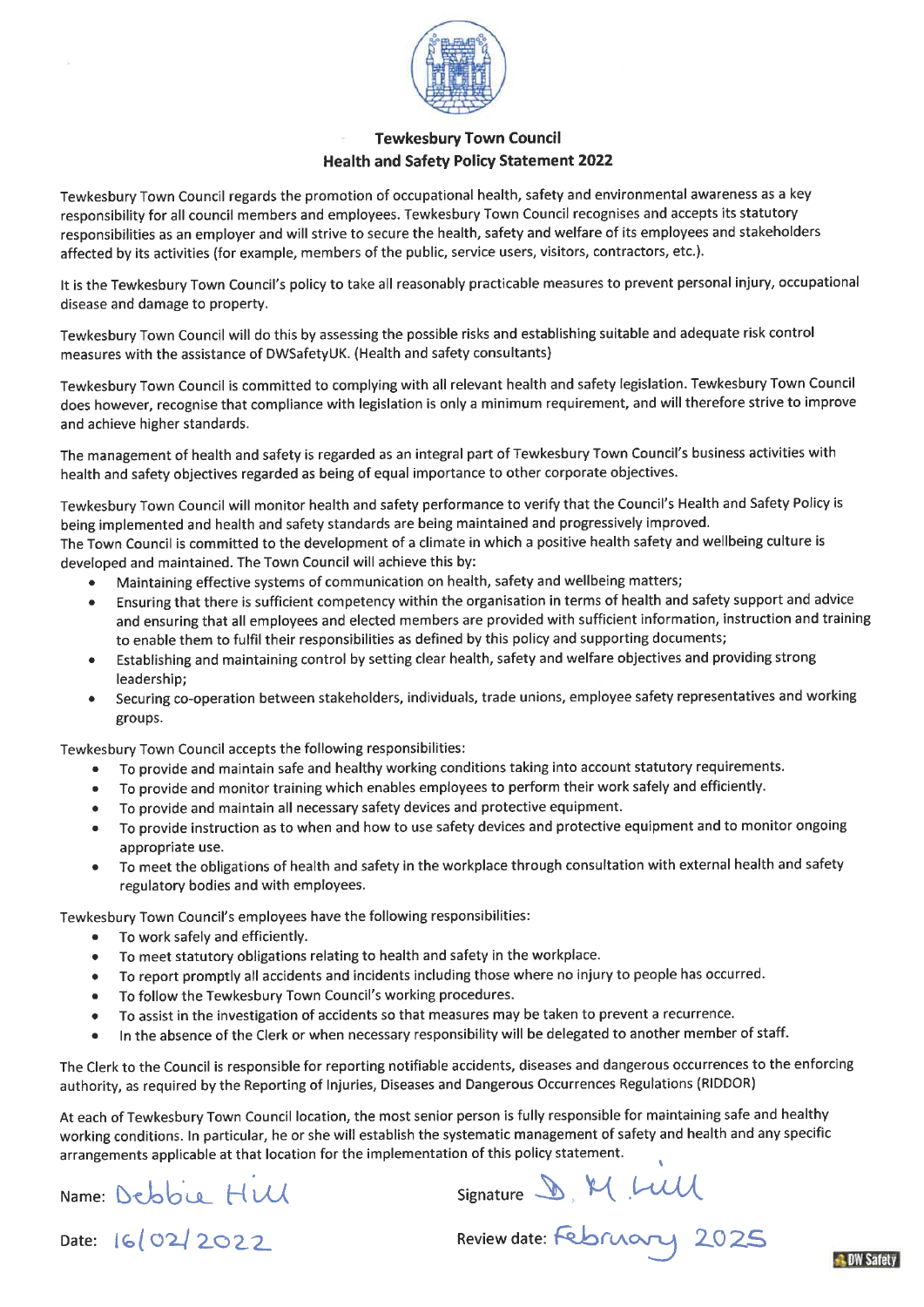

#### **Tewkesbury Town Council Health and Safety Policy Statement 2022**

Tewkesbury Town Council regards the promotion of occupational health, safety and environmental awareness as a key responsibility for all council members and employees. Tewkesbury Town Council recognises and accepts its statutory responsibilities as an employer and will strive to secure the health, safety and welfare of its employees and stakeholders affected by its activities (for example, members of the public, service users, visitors, contractors, etc.).

It is the Tewkesbury Town Council's policy to take all reasonably practicable measures to prevent personal injury, occupational disease and damage to property.

Tewkesbury Town Council will do this by assessing the possible risks and establishing suitable and adequate risk control measures with the assistance of DWSafetyUK. (Health and safety consultants)

Tewkesbury Town Council is committed to complying with all relevant health and safety legislation. Tewkesbury Town Council does however, recognise that compliance with legislation is only a minimum requirement, and will therefore strive to improve and achieve higher standards.

The management of health and safety is regarded as an integral part of Tewkesbury Town Council's business activities with health and safety objectives regarded as being of equal importance to other corporate objectives.

Tewkesbury Town Council will monitor health and safety performance to verify that the Council's Health and Safety Policy is being implemented and health and safety standards are being maintained and progressively improved. The Town Council is committed to the development of a climate in which a positive health safety and wellbeing culture is developed and maintained. The Town Council will achieve this by:

- Maintaining effective systems of communication on health, safety and wellbeing matters;
- Ensuring that there is sufficient competency within the organisation in terms of health and safety support and advice and ensuring that all employees and elected members are provided with sufficient information, instruction and training to enable them to fulfil their responsibilities as defined by this policy and supporting documents;
- Establishing and maintaining control by setting clear health, safety and welfare objectives and providing strong leadership;
- Securing co-operation between stakeholders, individuals, trade unions, employee safety representatives and working groups.

Tewkesbury Town Council accepts the following responsibilities:

- To provide and maintain safe and healthy working conditions taking into account statutory requirements.  $\bullet$
- To provide and monitor training which enables employees to perform their work safely and efficiently.  $\bullet$
- To provide and maintain all necessary safety devices and protective equipment.  $\bullet$
- To provide instruction as to when and how to use safety devices and protective equipment and to monitor ongoing  $\bullet$ appropriate use.
- To meet the obligations of health and safety in the workplace through consultation with external health and safety  $\bullet$ regulatory bodies and with employees.

Tewkesbury Town Council's employees have the following responsibilities:

- To work safely and efficiently.  $\bullet$
- To meet statutory obligations relating to health and safety in the workplace.  $\bullet$
- To report promptly all accidents and incidents including those where no injury to people has occurred.  $\bullet$
- To follow the Tewkesbury Town Council's working procedures.  $\bullet$
- To assist in the investigation of accidents so that measures may be taken to prevent a recurrence.  $\bullet$
- In the absence of the Clerk or when necessary responsibility will be delegated to another member of staff.  $\bullet$

The Clerk to the Council is responsible for reporting notifiable accidents, diseases and dangerous occurrences to the enforcing authority, as required by the Reporting of Injuries, Diseases and Dangerous Occurrences Regulations (RIDDOR)

At each of Tewkesbury Town Council location, the most senior person is fully responsible for maintaining safe and healthy working conditions. In particular, he or she will establish the systematic management of safety and health and any specific arrangements applicable at that location for the implementation of this policy statement.

Name: Debbu Hull

Signature D. M. LUU<br>Review date: February 2025

Date: 16/02/2022

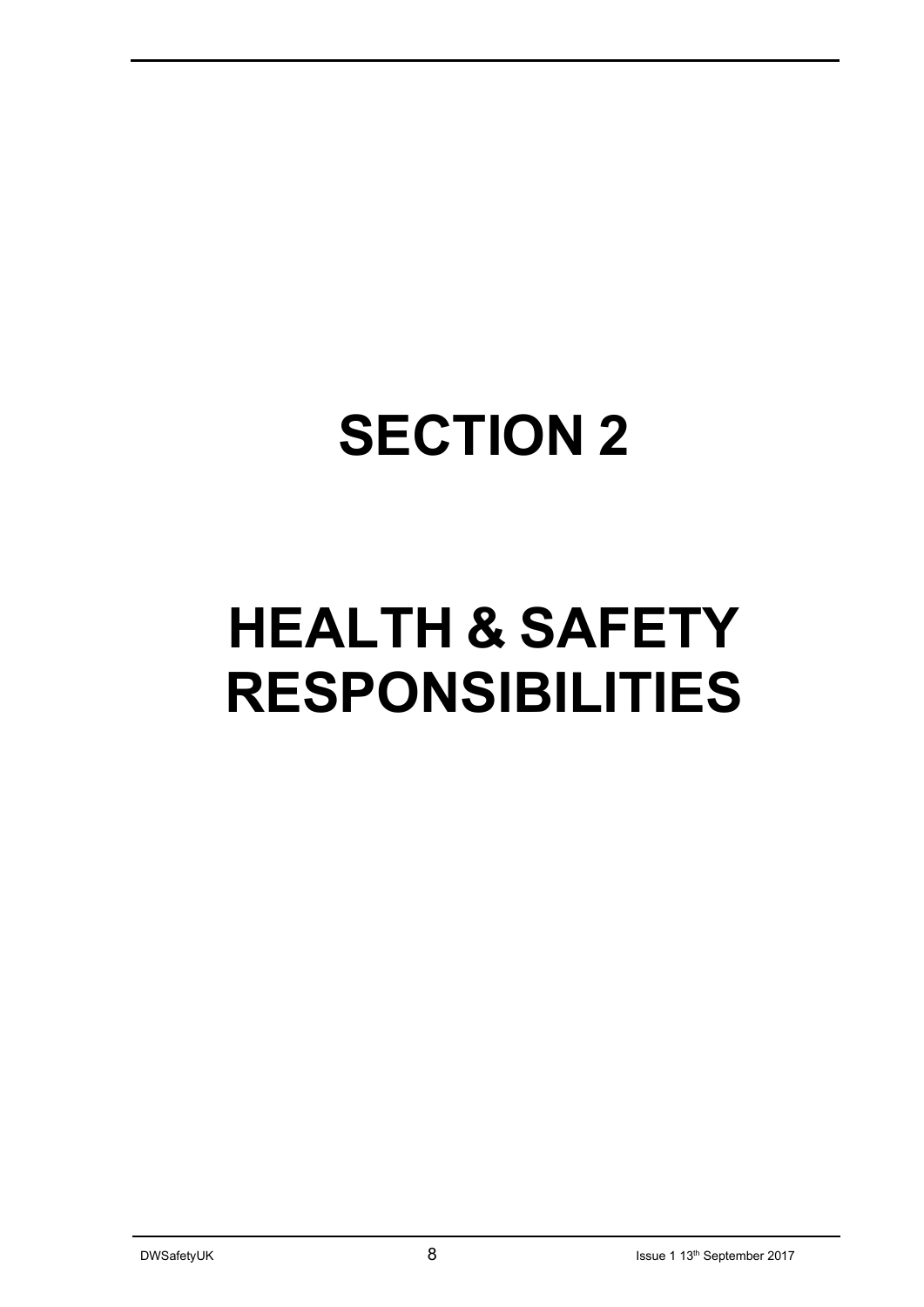## **SECTION 2**

## **HEALTH & SAFETY RESPONSIBILITIES**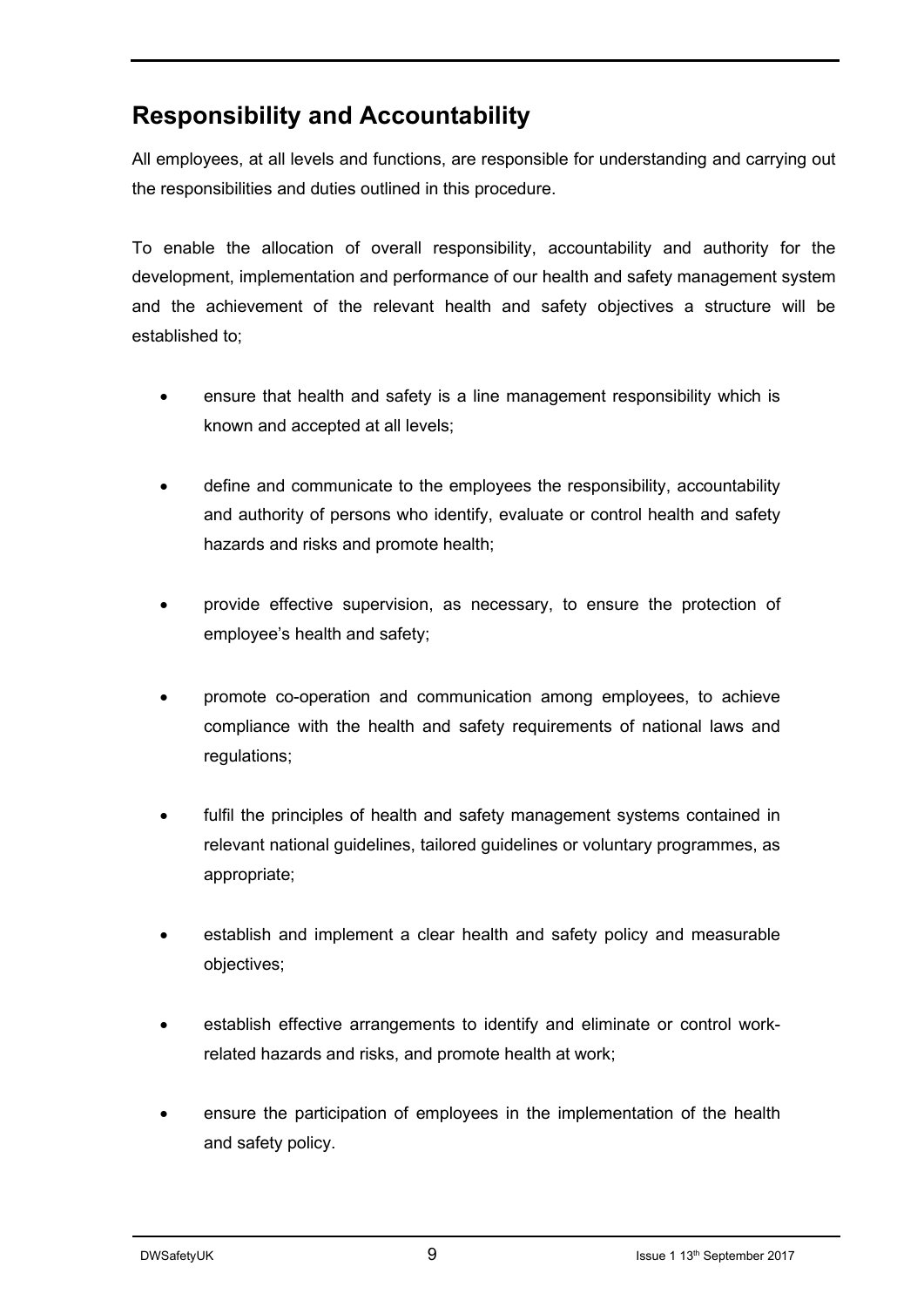## **Responsibility and Accountability**

All employees, at all levels and functions, are responsible for understanding and carrying out the responsibilities and duties outlined in this procedure.

To enable the allocation of overall responsibility, accountability and authority for the development, implementation and performance of our health and safety management system and the achievement of the relevant health and safety objectives a structure will be established to;

- ensure that health and safety is a line management responsibility which is known and accepted at all levels;
- define and communicate to the employees the responsibility, accountability and authority of persons who identify, evaluate or control health and safety hazards and risks and promote health;
- provide effective supervision, as necessary, to ensure the protection of employee's health and safety;
- promote co-operation and communication among employees, to achieve compliance with the health and safety requirements of national laws and regulations;
- fulfil the principles of health and safety management systems contained in relevant national guidelines, tailored guidelines or voluntary programmes, as appropriate;
- establish and implement a clear health and safety policy and measurable objectives;
- establish effective arrangements to identify and eliminate or control workrelated hazards and risks, and promote health at work;
- ensure the participation of employees in the implementation of the health and safety policy.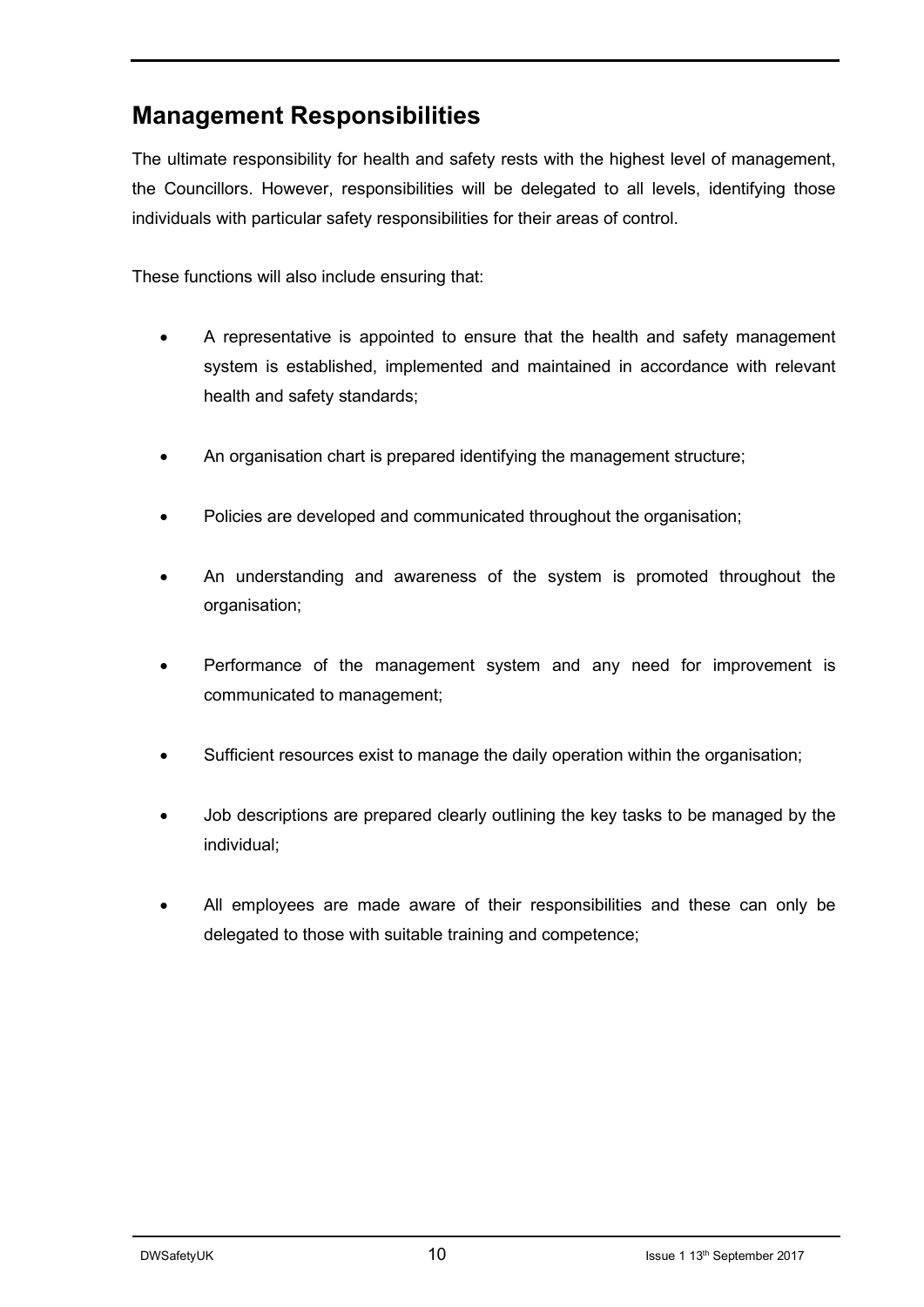## **Management Responsibilities**

The ultimate responsibility for health and safety rests with the highest level of management, the Councillors. However, responsibilities will be delegated to all levels, identifying those individuals with particular safety responsibilities for their areas of control.

These functions will also include ensuring that:

- A representative is appointed to ensure that the health and safety management system is established, implemented and maintained in accordance with relevant health and safety standards;
- An organisation chart is prepared identifying the management structure;
- Policies are developed and communicated throughout the organisation;
- An understanding and awareness of the system is promoted throughout the organisation;
- Performance of the management system and any need for improvement is communicated to management;
- Sufficient resources exist to manage the daily operation within the organisation;
- Job descriptions are prepared clearly outlining the key tasks to be managed by the individual;
- All employees are made aware of their responsibilities and these can only be delegated to those with suitable training and competence;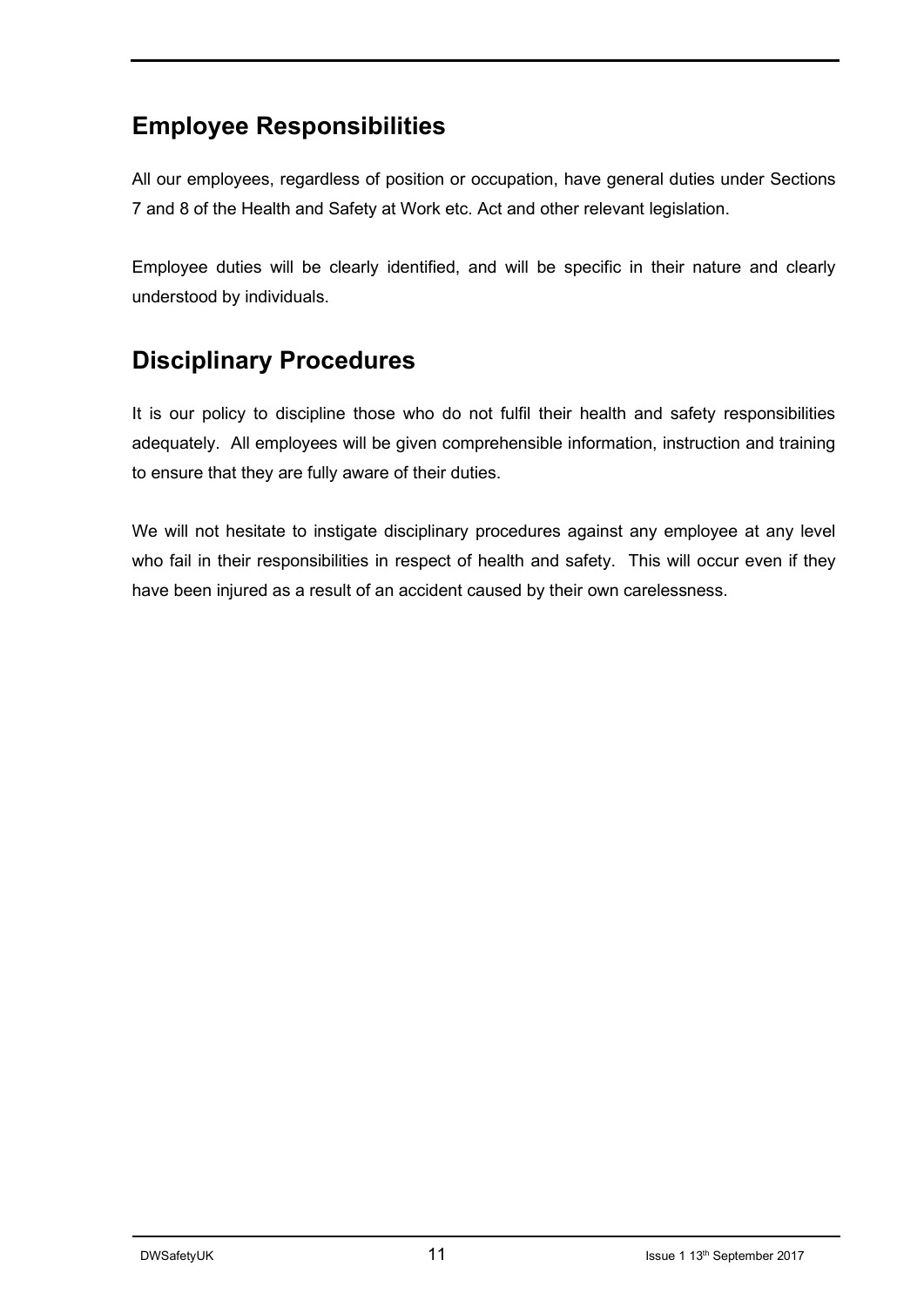## **Employee Responsibilities**

All our employees, regardless of position or occupation, have general duties under Sections 7 and 8 of the Health and Safety at Work etc. Act and other relevant legislation.

Employee duties will be clearly identified, and will be specific in their nature and clearly understood by individuals.

## **Disciplinary Procedures**

It is our policy to discipline those who do not fulfil their health and safety responsibilities adequately. All employees will be given comprehensible information, instruction and training to ensure that they are fully aware of their duties.

We will not hesitate to instigate disciplinary procedures against any employee at any level who fail in their responsibilities in respect of health and safety. This will occur even if they have been injured as a result of an accident caused by their own carelessness.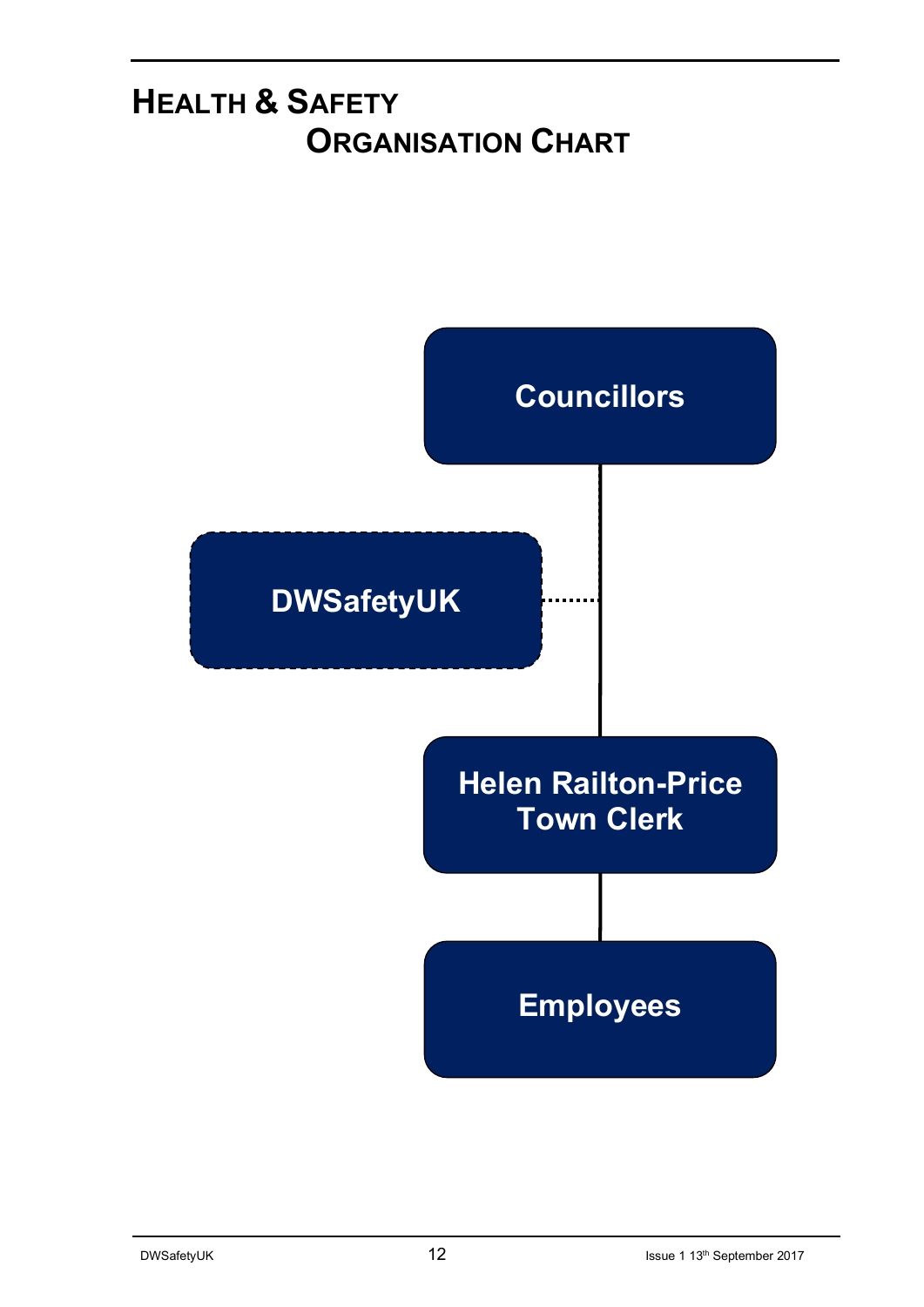## **HEALTH & SAFETY ORGANISATION CHART**

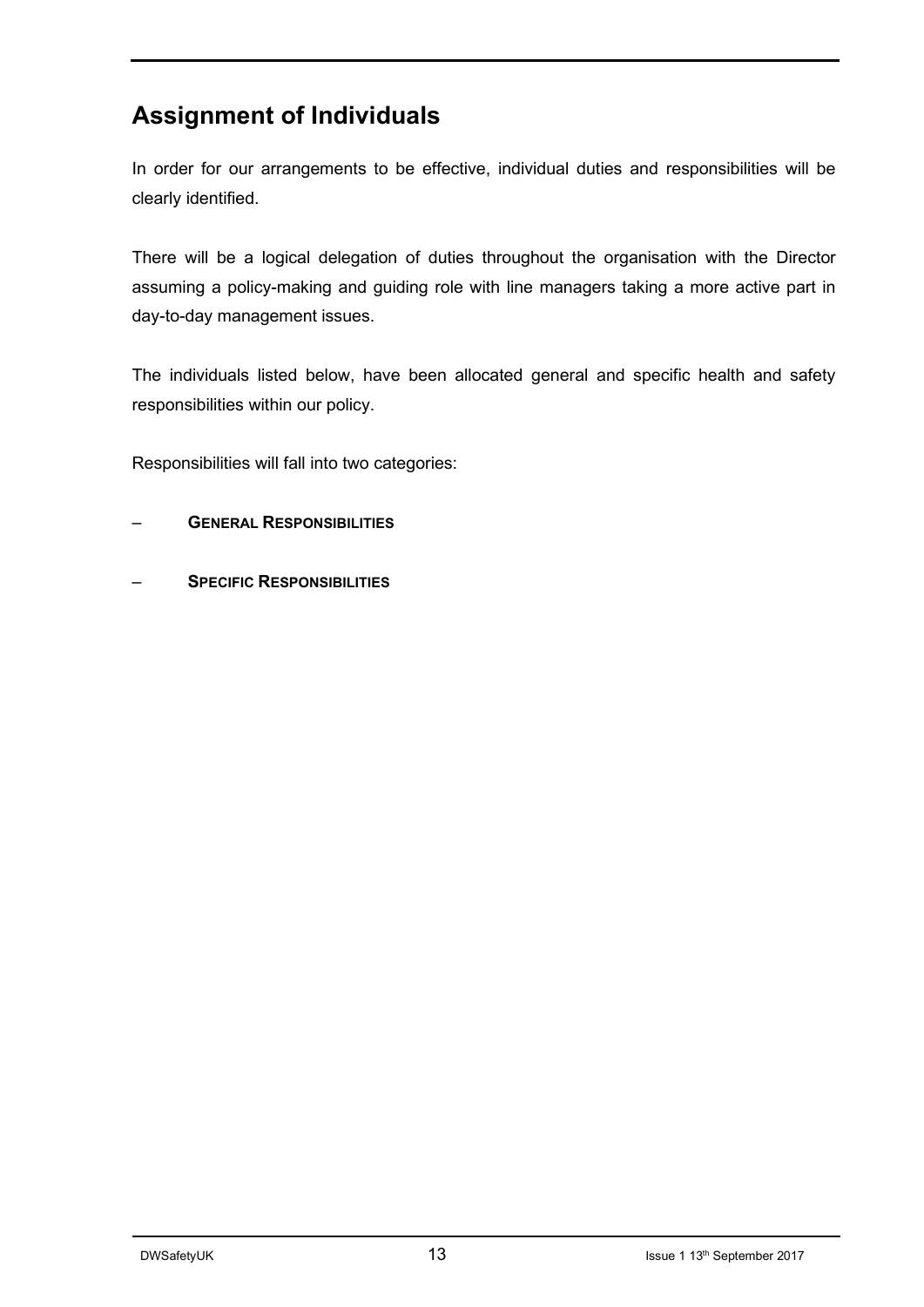## **Assignment of Individuals**

In order for our arrangements to be effective, individual duties and responsibilities will be clearly identified.

There will be a logical delegation of duties throughout the organisation with the Director assuming a policy-making and guiding role with line managers taking a more active part in day-to-day management issues.

The individuals listed below, have been allocated general and specific health and safety responsibilities within our policy.

Responsibilities will fall into two categories:

- **GENERAL RESPONSIBILITIES**
- **SPECIFIC RESPONSIBILITIES**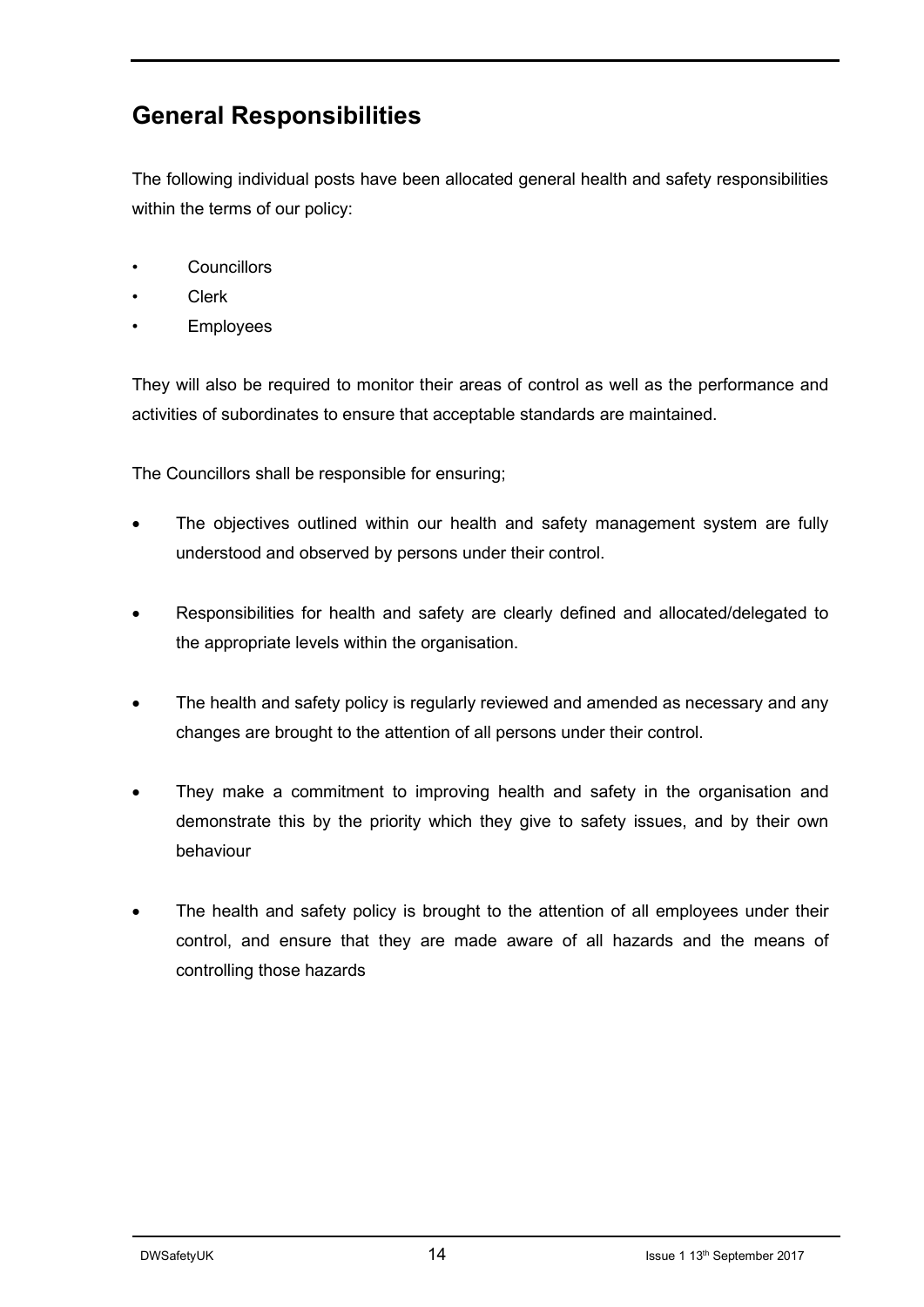## **General Responsibilities**

The following individual posts have been allocated general health and safety responsibilities within the terms of our policy:

- Councillors
- Clerk
- **Employees**

They will also be required to monitor their areas of control as well as the performance and activities of subordinates to ensure that acceptable standards are maintained.

The Councillors shall be responsible for ensuring;

- The objectives outlined within our health and safety management system are fully understood and observed by persons under their control.
- Responsibilities for health and safety are clearly defined and allocated/delegated to the appropriate levels within the organisation.
- The health and safety policy is regularly reviewed and amended as necessary and any changes are brought to the attention of all persons under their control.
- They make a commitment to improving health and safety in the organisation and demonstrate this by the priority which they give to safety issues, and by their own behaviour
- The health and safety policy is brought to the attention of all employees under their control, and ensure that they are made aware of all hazards and the means of controlling those hazards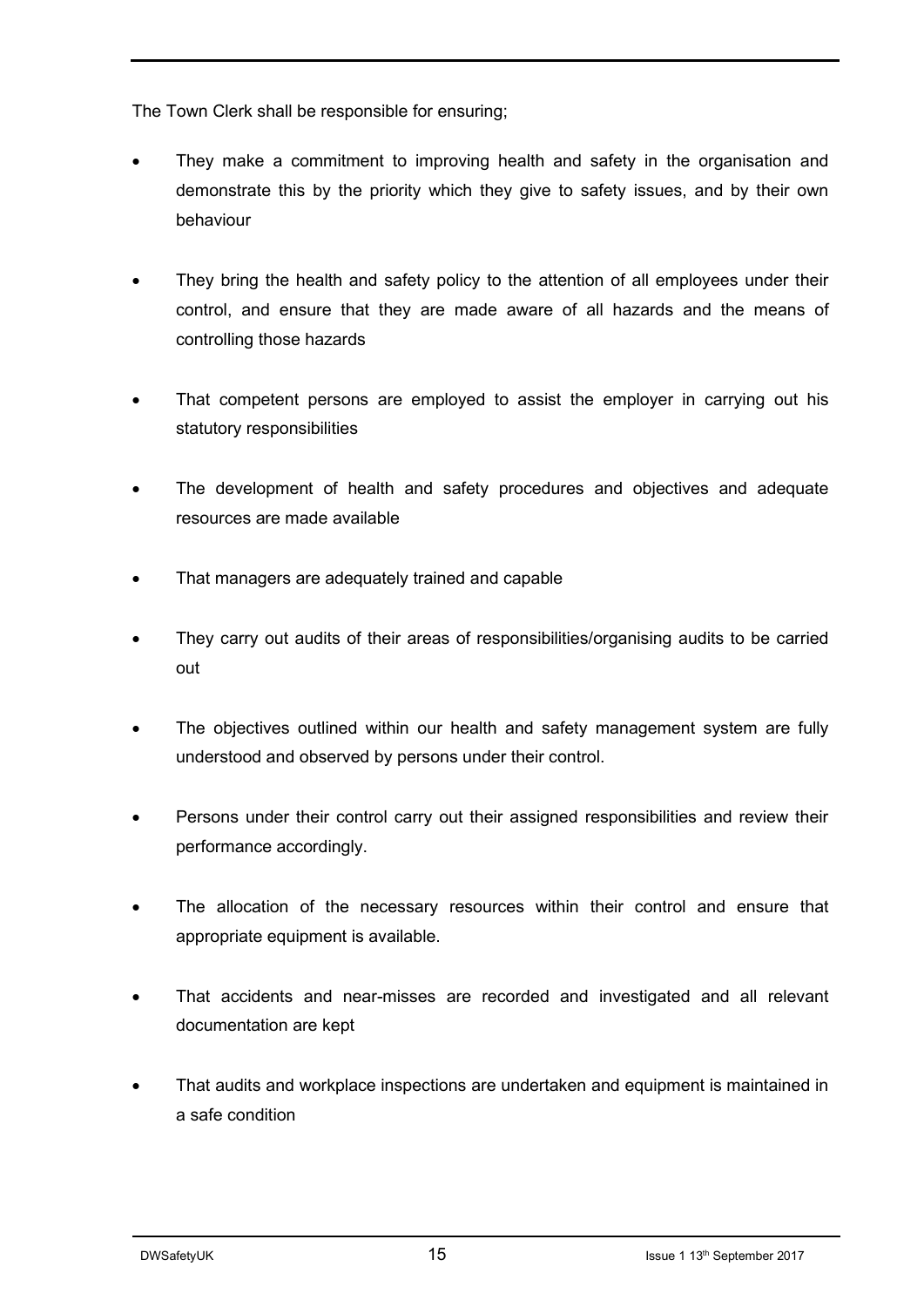The Town Clerk shall be responsible for ensuring;

- They make a commitment to improving health and safety in the organisation and demonstrate this by the priority which they give to safety issues, and by their own behaviour
- They bring the health and safety policy to the attention of all employees under their control, and ensure that they are made aware of all hazards and the means of controlling those hazards
- That competent persons are employed to assist the employer in carrying out his statutory responsibilities
- The development of health and safety procedures and objectives and adequate resources are made available
- That managers are adequately trained and capable
- They carry out audits of their areas of responsibilities/organising audits to be carried out
- The objectives outlined within our health and safety management system are fully understood and observed by persons under their control.
- Persons under their control carry out their assigned responsibilities and review their performance accordingly.
- The allocation of the necessary resources within their control and ensure that appropriate equipment is available.
- That accidents and near-misses are recorded and investigated and all relevant documentation are kept
- That audits and workplace inspections are undertaken and equipment is maintained in a safe condition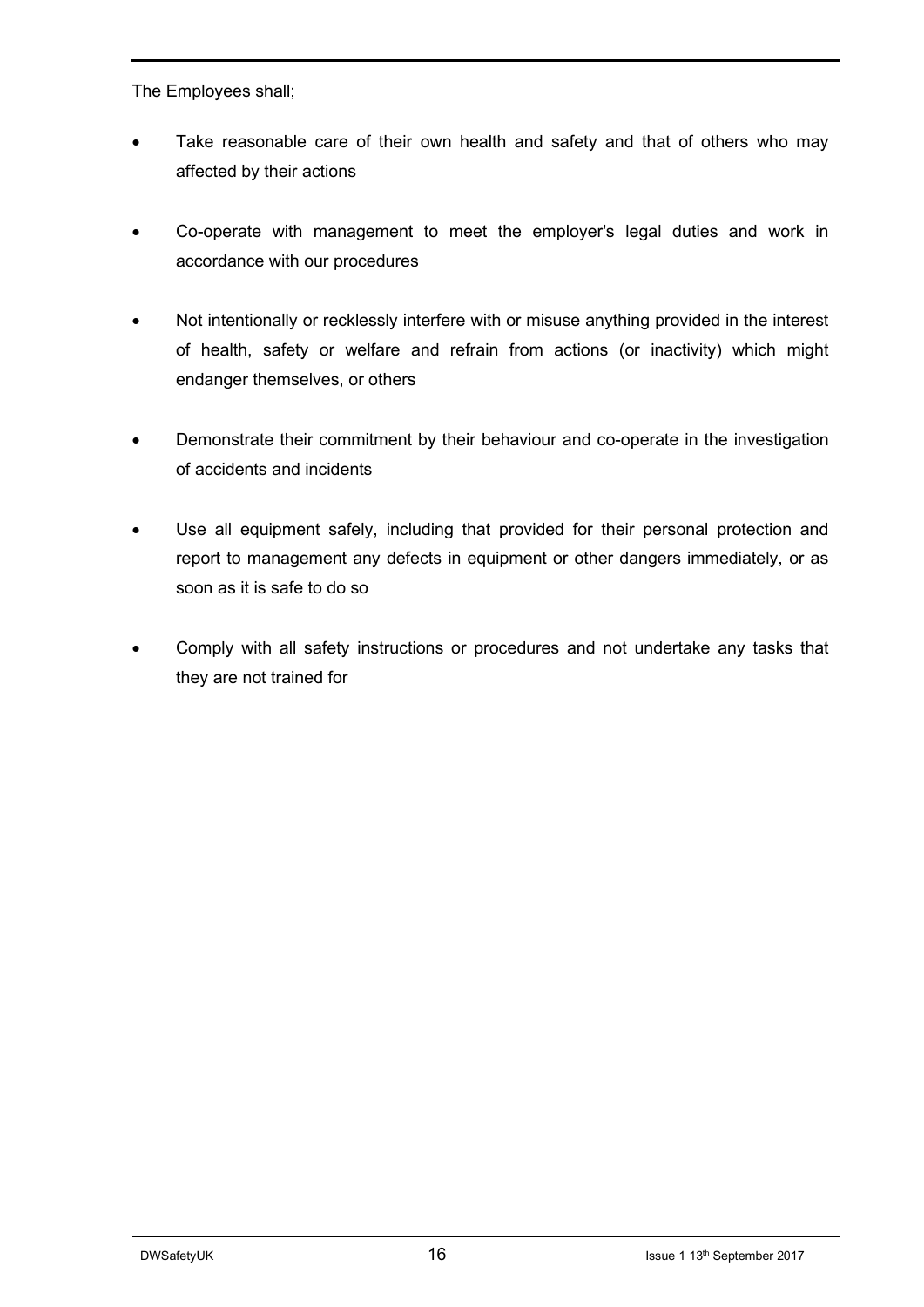The Employees shall;

- Take reasonable care of their own health and safety and that of others who may affected by their actions
- Co-operate with management to meet the employer's legal duties and work in accordance with our procedures
- Not intentionally or recklessly interfere with or misuse anything provided in the interest of health, safety or welfare and refrain from actions (or inactivity) which might endanger themselves, or others
- Demonstrate their commitment by their behaviour and co-operate in the investigation of accidents and incidents
- Use all equipment safely, including that provided for their personal protection and report to management any defects in equipment or other dangers immediately, or as soon as it is safe to do so
- Comply with all safety instructions or procedures and not undertake any tasks that they are not trained for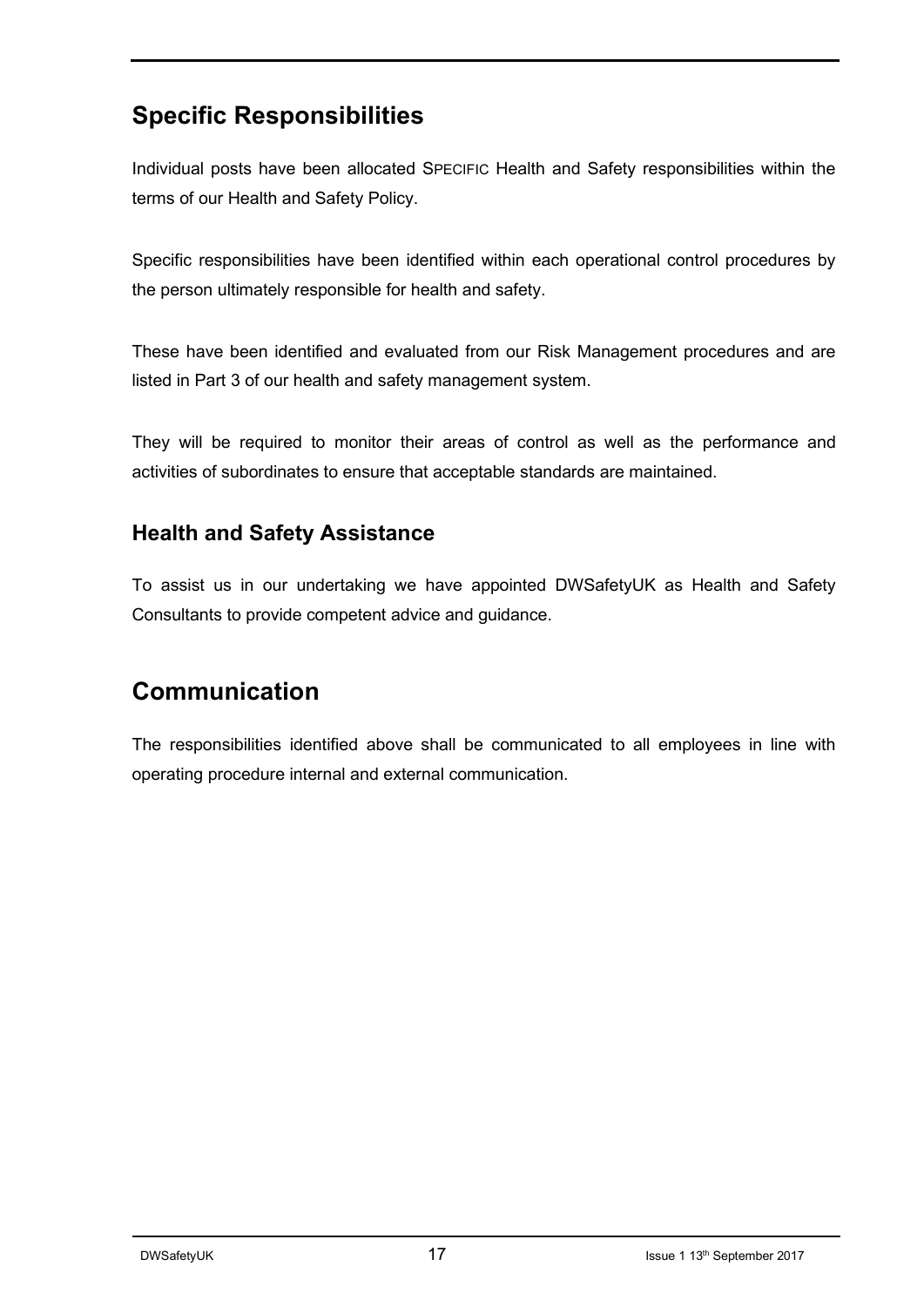## **Specific Responsibilities**

Individual posts have been allocated SPECIFIC Health and Safety responsibilities within the terms of our Health and Safety Policy.

Specific responsibilities have been identified within each operational control procedures by the person ultimately responsible for health and safety.

These have been identified and evaluated from our Risk Management procedures and are listed in Part 3 of our health and safety management system.

They will be required to monitor their areas of control as well as the performance and activities of subordinates to ensure that acceptable standards are maintained.

### **Health and Safety Assistance**

To assist us in our undertaking we have appointed DWSafetyUK as Health and Safety Consultants to provide competent advice and guidance.

## **Communication**

The responsibilities identified above shall be communicated to all employees in line with operating procedure internal and external communication.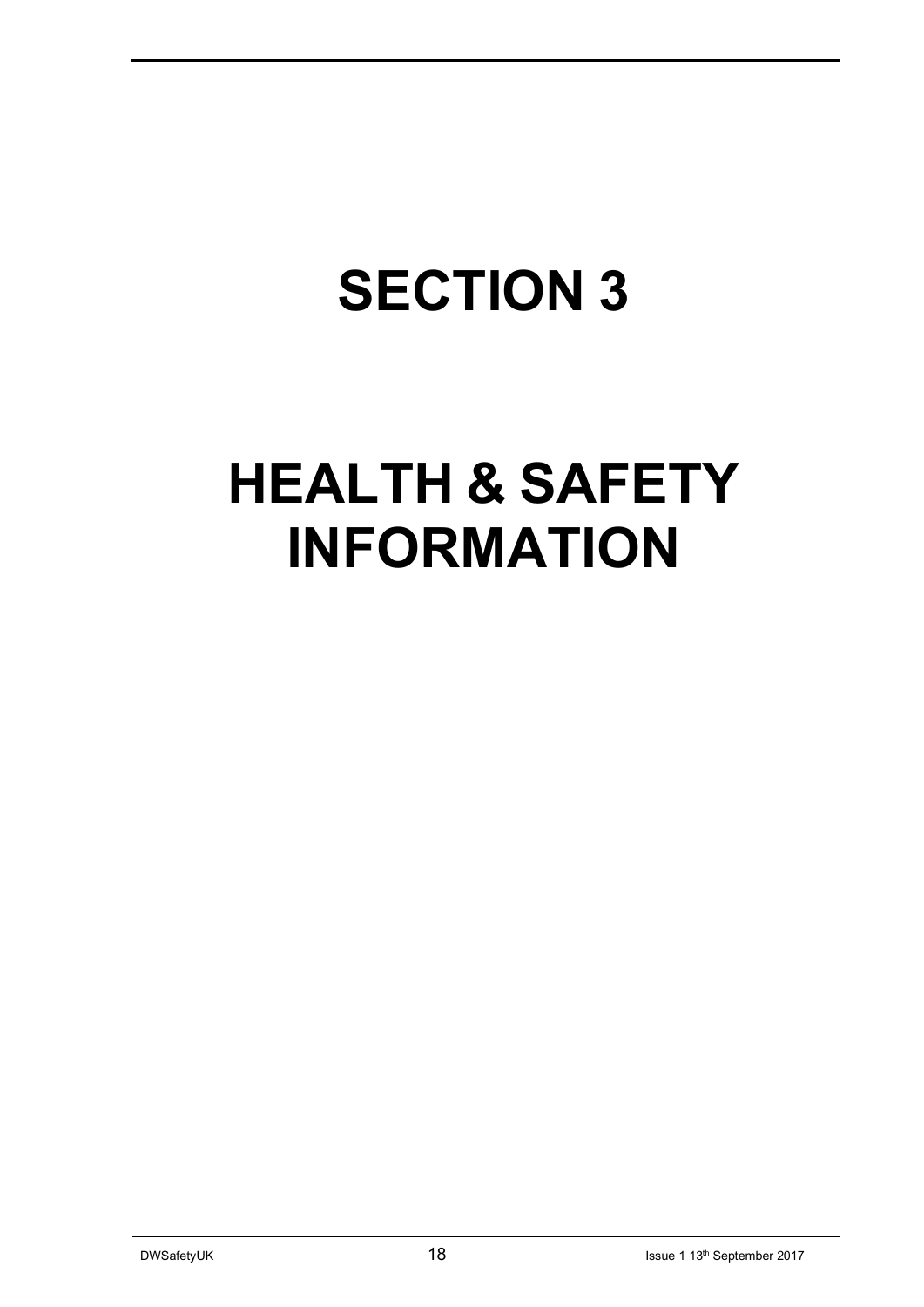# **SECTION 3**

## **HEALTH & SAFETY INFORMATION**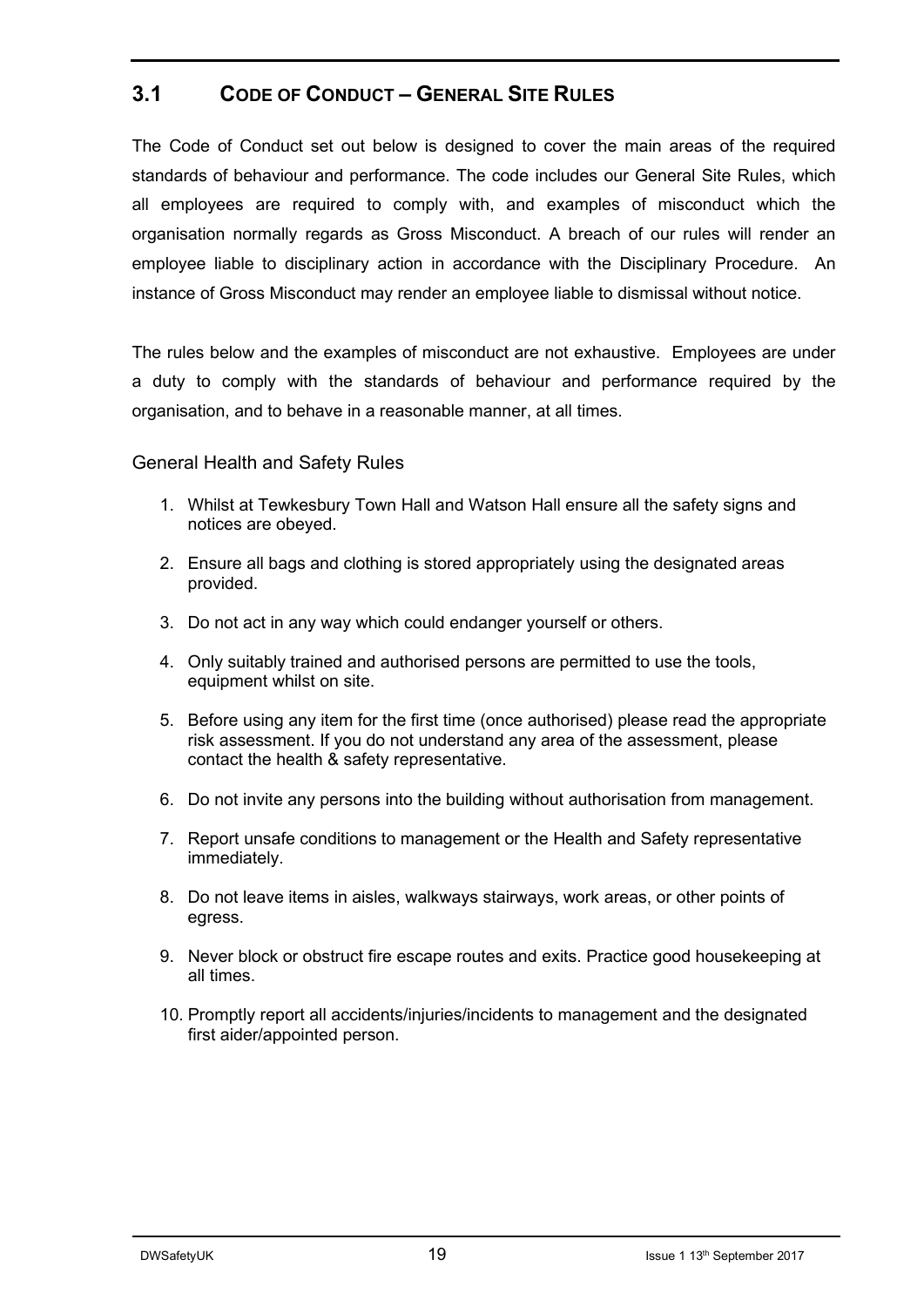#### **3.1 CODE OF CONDUCT – GENERAL SITE RULES**

The Code of Conduct set out below is designed to cover the main areas of the required standards of behaviour and performance. The code includes our General Site Rules, which all employees are required to comply with, and examples of misconduct which the organisation normally regards as Gross Misconduct. A breach of our rules will render an employee liable to disciplinary action in accordance with the Disciplinary Procedure. An instance of Gross Misconduct may render an employee liable to dismissal without notice.

The rules below and the examples of misconduct are not exhaustive. Employees are under a duty to comply with the standards of behaviour and performance required by the organisation, and to behave in a reasonable manner, at all times.

#### General Health and Safety Rules

- 1. Whilst at Tewkesbury Town Hall and Watson Hall ensure all the safety signs and notices are obeyed.
- 2. Ensure all bags and clothing is stored appropriately using the designated areas provided.
- 3. Do not act in any way which could endanger yourself or others.
- 4. Only suitably trained and authorised persons are permitted to use the tools, equipment whilst on site.
- 5. Before using any item for the first time (once authorised) please read the appropriate risk assessment. If you do not understand any area of the assessment, please contact the health & safety representative.
- 6. Do not invite any persons into the building without authorisation from management.
- 7. Report unsafe conditions to management or the Health and Safety representative immediately.
- 8. Do not leave items in aisles, walkways stairways, work areas, or other points of egress.
- 9. Never block or obstruct fire escape routes and exits. Practice good housekeeping at all times.
- 10. Promptly report all accidents/injuries/incidents to management and the designated first aider/appointed person.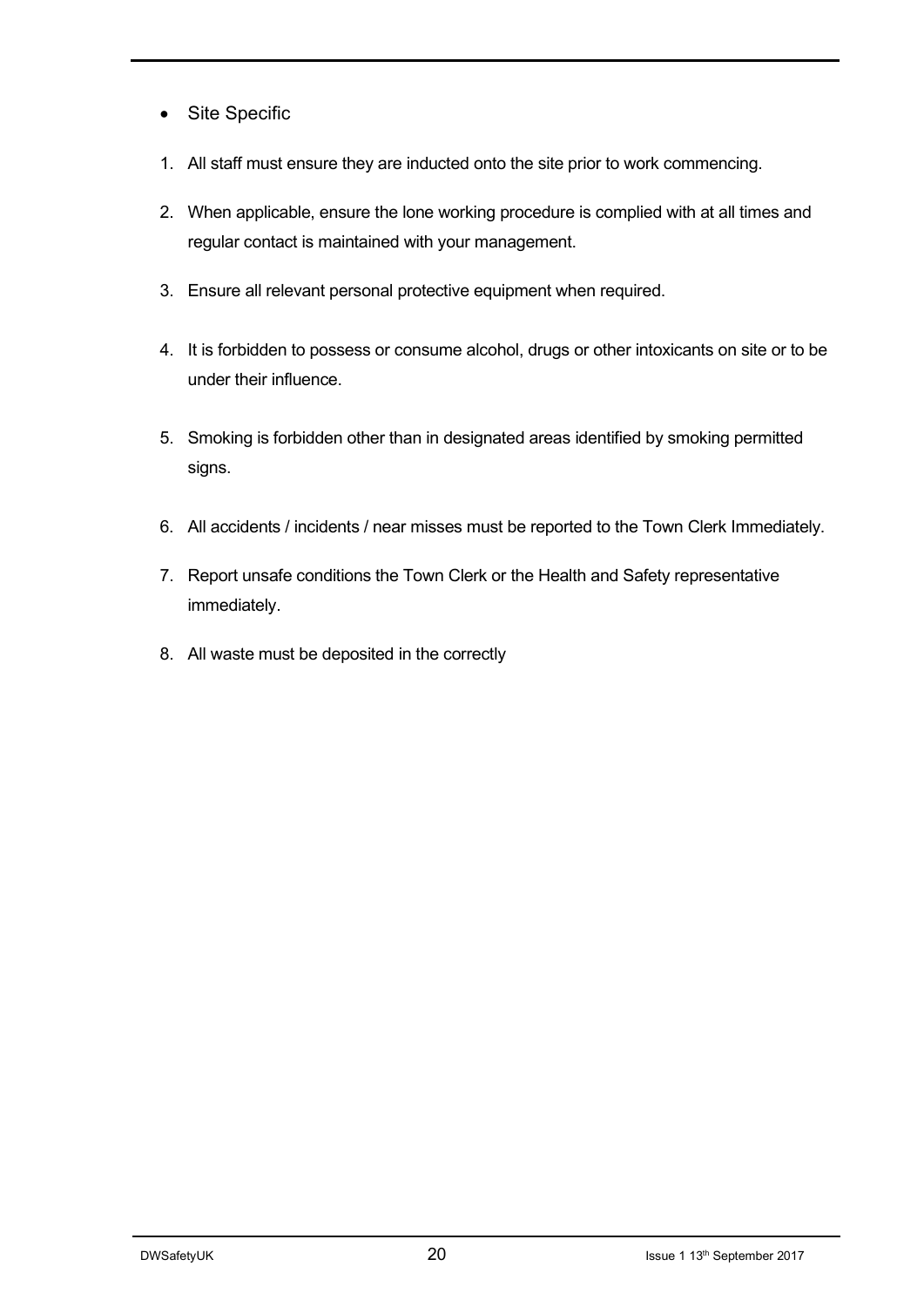- Site Specific
- 1. All staff must ensure they are inducted onto the site prior to work commencing.
- 2. When applicable, ensure the lone working procedure is complied with at all times and regular contact is maintained with your management.
- 3. Ensure all relevant personal protective equipment when required.
- 4. It is forbidden to possess or consume alcohol, drugs or other intoxicants on site or to be under their influence.
- 5. Smoking is forbidden other than in designated areas identified by smoking permitted signs.
- 6. All accidents / incidents / near misses must be reported to the Town Clerk Immediately.
- 7. Report unsafe conditions the Town Clerk or the Health and Safety representative immediately.
- 8. All waste must be deposited in the correctly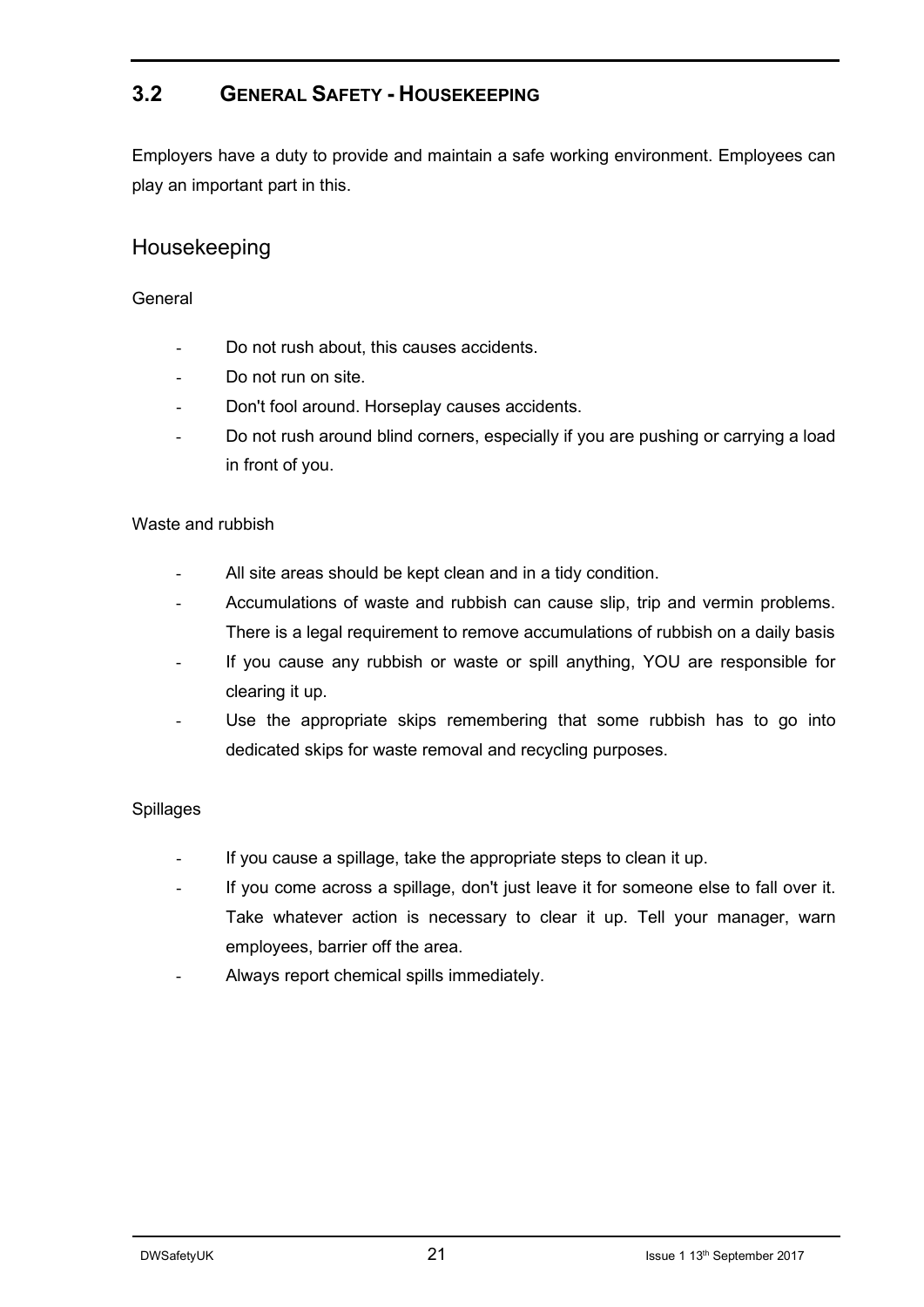### **3.2 GENERAL SAFETY - HOUSEKEEPING**

Employers have a duty to provide and maintain a safe working environment. Employees can play an important part in this.

### Housekeeping

#### **General**

- Do not rush about, this causes accidents.
- Do not run on site.
- Don't fool around. Horseplay causes accidents.
- Do not rush around blind corners, especially if you are pushing or carrying a load in front of you.

#### Waste and rubbish

- All site areas should be kept clean and in a tidy condition.
- Accumulations of waste and rubbish can cause slip, trip and vermin problems. There is a legal requirement to remove accumulations of rubbish on a daily basis
- If you cause any rubbish or waste or spill anything, YOU are responsible for clearing it up.
- Use the appropriate skips remembering that some rubbish has to go into dedicated skips for waste removal and recycling purposes.

#### Spillages

- If you cause a spillage, take the appropriate steps to clean it up.
- If you come across a spillage, don't just leave it for someone else to fall over it. Take whatever action is necessary to clear it up. Tell your manager, warn employees, barrier off the area.
- Always report chemical spills immediately.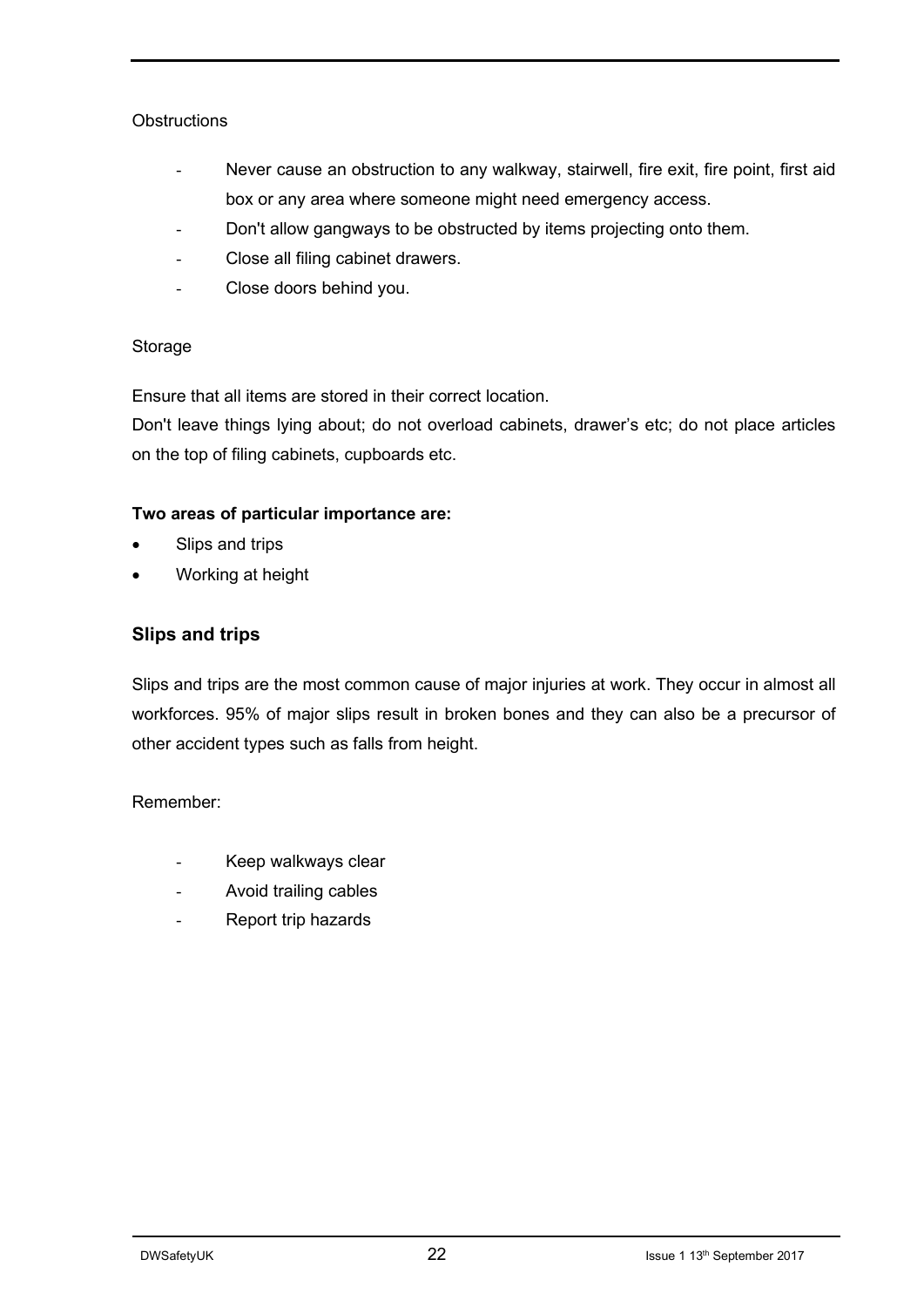#### **Obstructions**

- Never cause an obstruction to any walkway, stairwell, fire exit, fire point, first aid box or any area where someone might need emergency access.
- Don't allow gangways to be obstructed by items projecting onto them.
- Close all filing cabinet drawers.
- Close doors behind you.

#### Storage

Ensure that all items are stored in their correct location.

Don't leave things lying about; do not overload cabinets, drawer's etc; do not place articles on the top of filing cabinets, cupboards etc.

#### **Two areas of particular importance are:**

- Slips and trips
- Working at height

#### **Slips and trips**

Slips and trips are the most common cause of major injuries at work. They occur in almost all workforces. 95% of major slips result in broken bones and they can also be a precursor of other accident types such as falls from height.

#### Remember:

- Keep walkways clear
- Avoid trailing cables
- Report trip hazards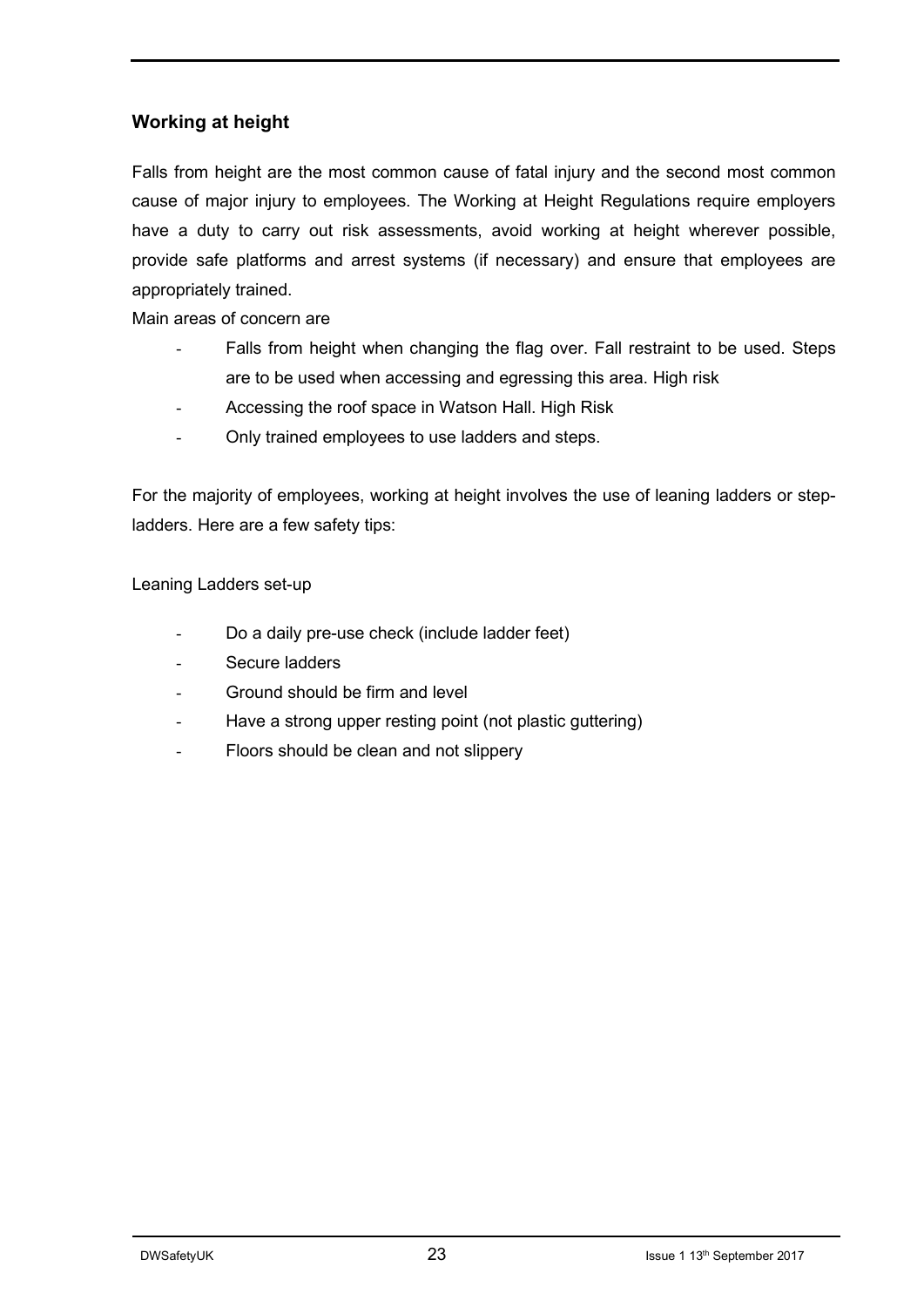#### **Working at height**

Falls from height are the most common cause of fatal injury and the second most common cause of major injury to employees. The Working at Height Regulations require employers have a duty to carry out risk assessments, avoid working at height wherever possible, provide safe platforms and arrest systems (if necessary) and ensure that employees are appropriately trained.

Main areas of concern are

- Falls from height when changing the flag over. Fall restraint to be used. Steps are to be used when accessing and egressing this area. High risk
- Accessing the roof space in Watson Hall. High Risk
- Only trained employees to use ladders and steps.

For the majority of employees, working at height involves the use of leaning ladders or stepladders. Here are a few safety tips:

Leaning Ladders set-up

- Do a daily pre-use check (include ladder feet)
- Secure ladders
- Ground should be firm and level
- Have a strong upper resting point (not plastic guttering)
- Floors should be clean and not slippery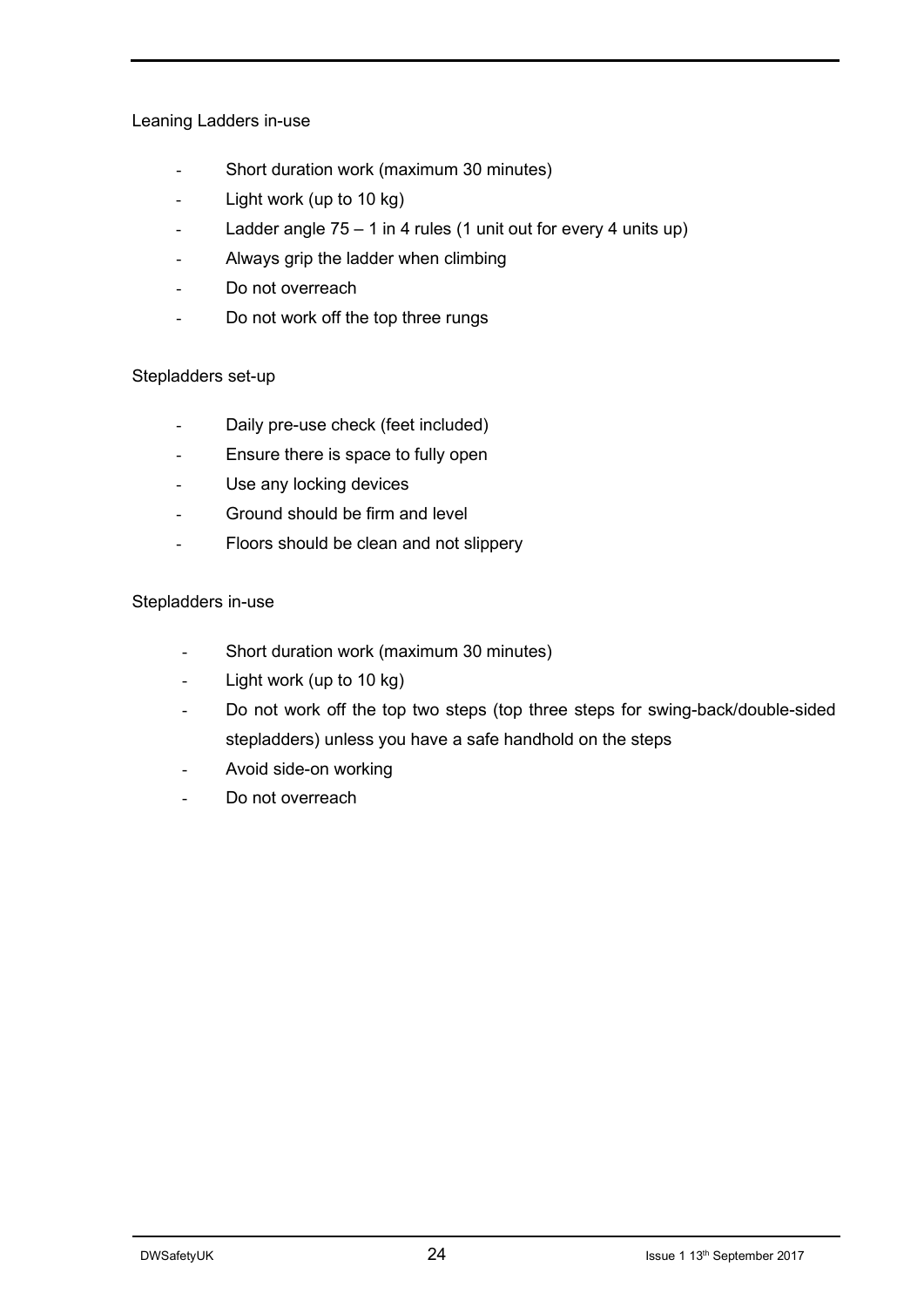#### Leaning Ladders in-use

- Short duration work (maximum 30 minutes)
- Light work (up to 10 kg)
- Ladder angle  $75 1$  in 4 rules (1 unit out for every 4 units up)
- Always grip the ladder when climbing
- Do not overreach
- Do not work off the top three rungs

#### Stepladders set-up

- Daily pre-use check (feet included)
- Ensure there is space to fully open
- Use any locking devices
- Ground should be firm and level
- Floors should be clean and not slippery

#### Stepladders in-use

- Short duration work (maximum 30 minutes)
- Light work (up to 10 kg)
- Do not work off the top two steps (top three steps for swing-back/double-sided stepladders) unless you have a safe handhold on the steps
- Avoid side-on working
- Do not overreach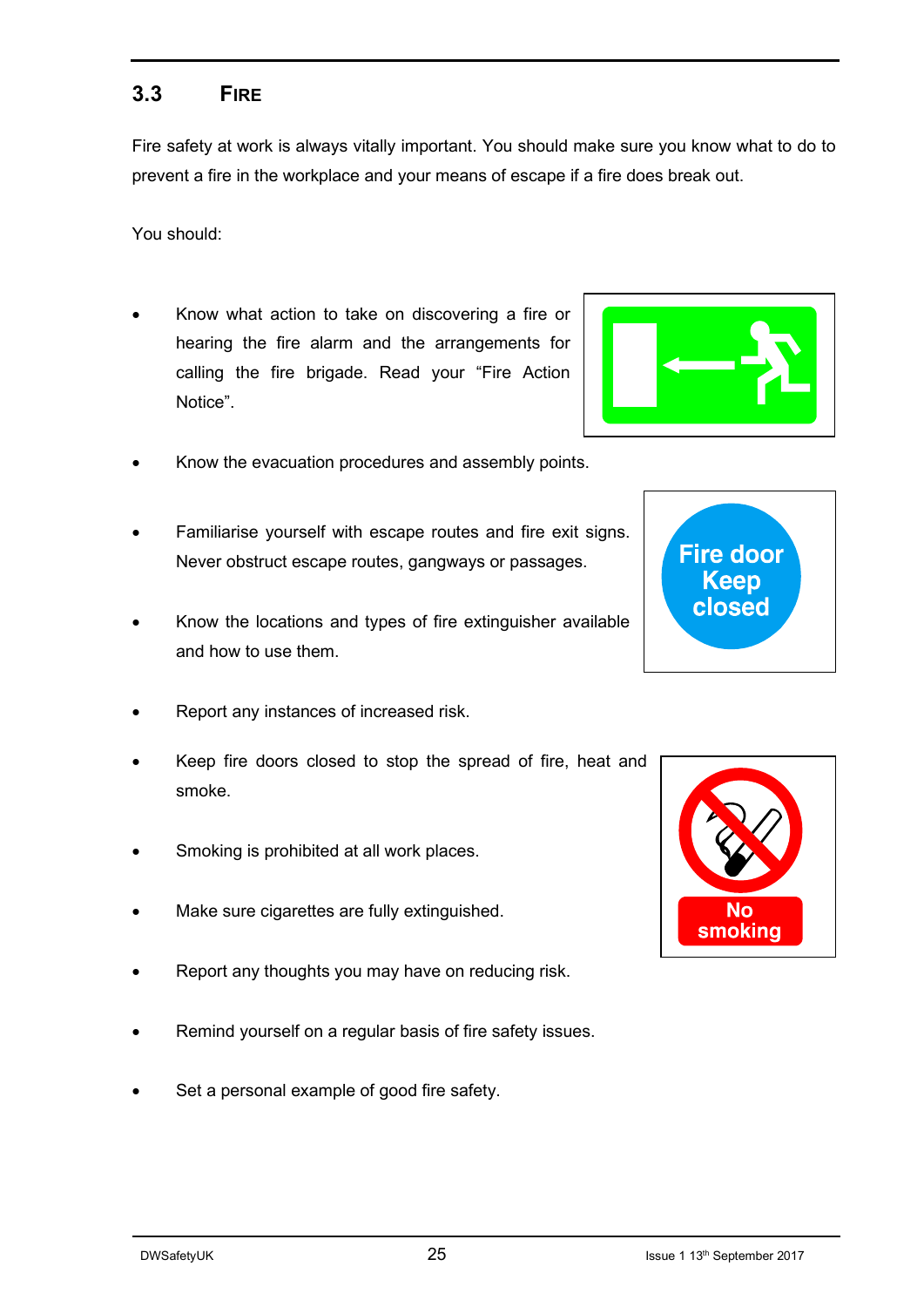#### **3.3 FIRE**

Fire safety at work is always vitally important. You should make sure you know what to do to prevent a fire in the workplace and your means of escape if a fire does break out.

You should:

- Know what action to take on discovering a fire or hearing the fire alarm and the arrangements for calling the fire brigade. Read your "Fire Action Notice".
- Know the evacuation procedures and assembly points.
- Familiarise yourself with escape routes and fire exit signs. Never obstruct escape routes, gangways or passages.
- Know the locations and types of fire extinguisher available and how to use them.
- Report any instances of increased risk.
- Keep fire doors closed to stop the spread of fire, heat and smoke.
- Smoking is prohibited at all work places.
- Make sure cigarettes are fully extinguished.
- Report any thoughts you may have on reducing risk.
- Remind yourself on a regular basis of fire safety issues.
- Set a personal example of good fire safety.





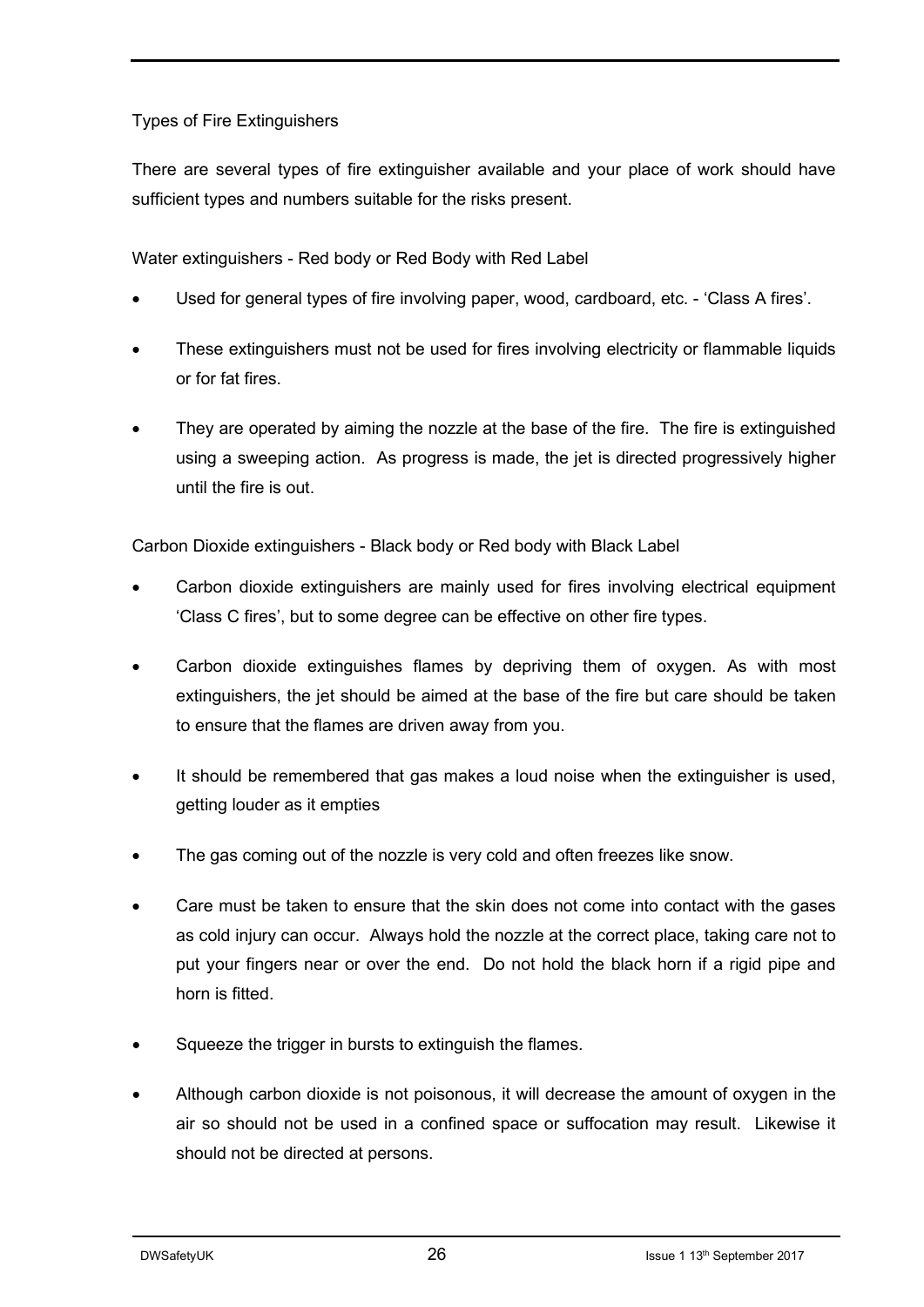#### Types of Fire Extinguishers

There are several types of fire extinguisher available and your place of work should have sufficient types and numbers suitable for the risks present.

Water extinguishers - Red body or Red Body with Red Label

- Used for general types of fire involving paper, wood, cardboard, etc. 'Class A fires'.
- These extinguishers must not be used for fires involving electricity or flammable liquids or for fat fires.
- They are operated by aiming the nozzle at the base of the fire. The fire is extinguished using a sweeping action. As progress is made, the jet is directed progressively higher until the fire is out.

Carbon Dioxide extinguishers - Black body or Red body with Black Label

- Carbon dioxide extinguishers are mainly used for fires involving electrical equipment 'Class C fires', but to some degree can be effective on other fire types.
- Carbon dioxide extinguishes flames by depriving them of oxygen. As with most extinguishers, the jet should be aimed at the base of the fire but care should be taken to ensure that the flames are driven away from you.
- It should be remembered that gas makes a loud noise when the extinguisher is used, getting louder as it empties
- The gas coming out of the nozzle is very cold and often freezes like snow.
- Care must be taken to ensure that the skin does not come into contact with the gases as cold injury can occur. Always hold the nozzle at the correct place, taking care not to put your fingers near or over the end. Do not hold the black horn if a rigid pipe and horn is fitted.
- Squeeze the trigger in bursts to extinguish the flames.
- Although carbon dioxide is not poisonous, it will decrease the amount of oxygen in the air so should not be used in a confined space or suffocation may result. Likewise it should not be directed at persons.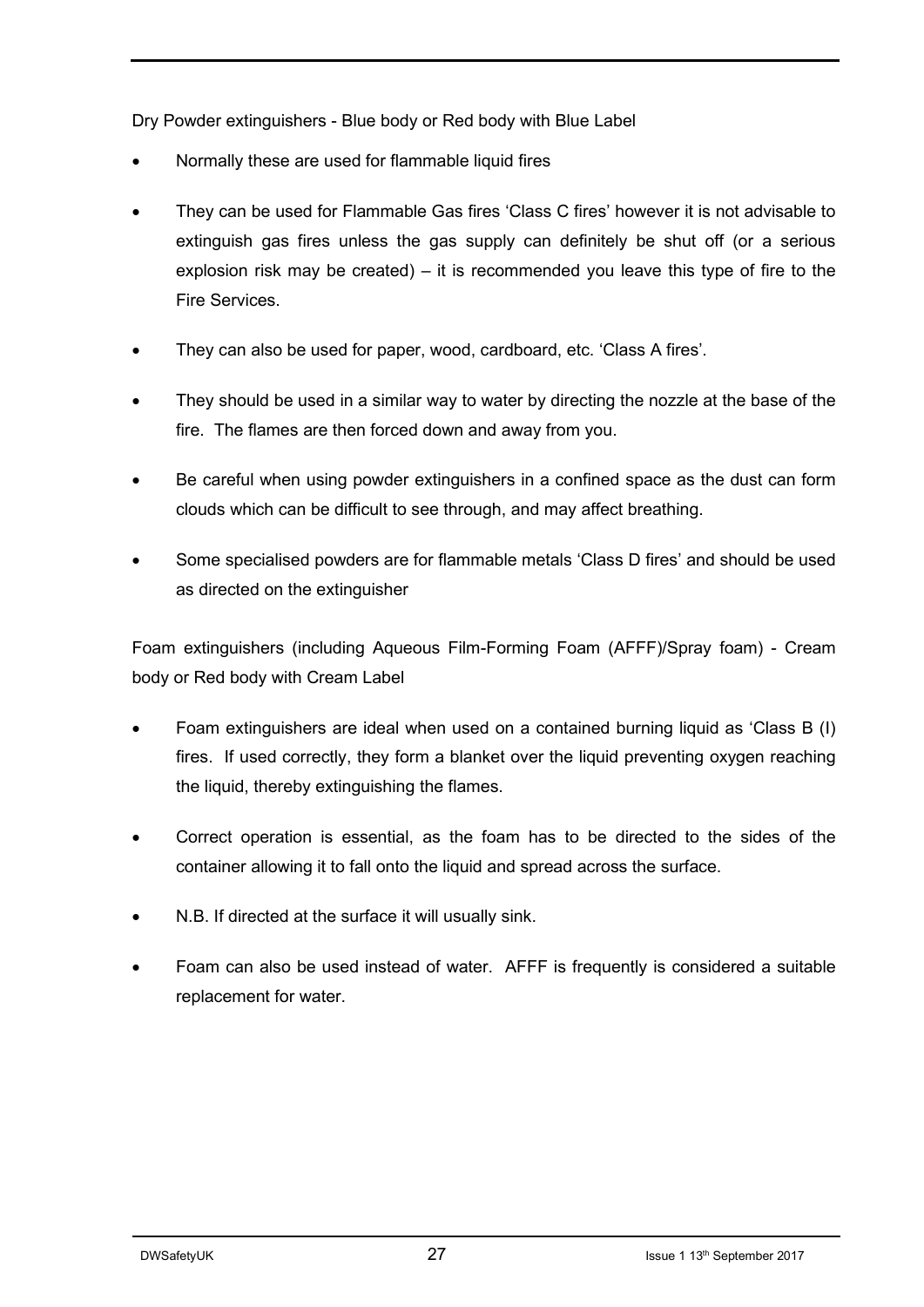Dry Powder extinguishers - Blue body or Red body with Blue Label

- Normally these are used for flammable liquid fires
- They can be used for Flammable Gas fires 'Class C fires' however it is not advisable to extinguish gas fires unless the gas supply can definitely be shut off (or a serious explosion risk may be created) – it is recommended you leave this type of fire to the Fire Services.
- They can also be used for paper, wood, cardboard, etc. 'Class A fires'.
- They should be used in a similar way to water by directing the nozzle at the base of the fire. The flames are then forced down and away from you.
- Be careful when using powder extinguishers in a confined space as the dust can form clouds which can be difficult to see through, and may affect breathing.
- Some specialised powders are for flammable metals 'Class D fires' and should be used as directed on the extinguisher

Foam extinguishers (including Aqueous Film-Forming Foam (AFFF)/Spray foam) - Cream body or Red body with Cream Label

- Foam extinguishers are ideal when used on a contained burning liquid as 'Class B (I) fires. If used correctly, they form a blanket over the liquid preventing oxygen reaching the liquid, thereby extinguishing the flames.
- Correct operation is essential, as the foam has to be directed to the sides of the container allowing it to fall onto the liquid and spread across the surface.
- N.B. If directed at the surface it will usually sink.
- Foam can also be used instead of water. AFFF is frequently is considered a suitable replacement for water.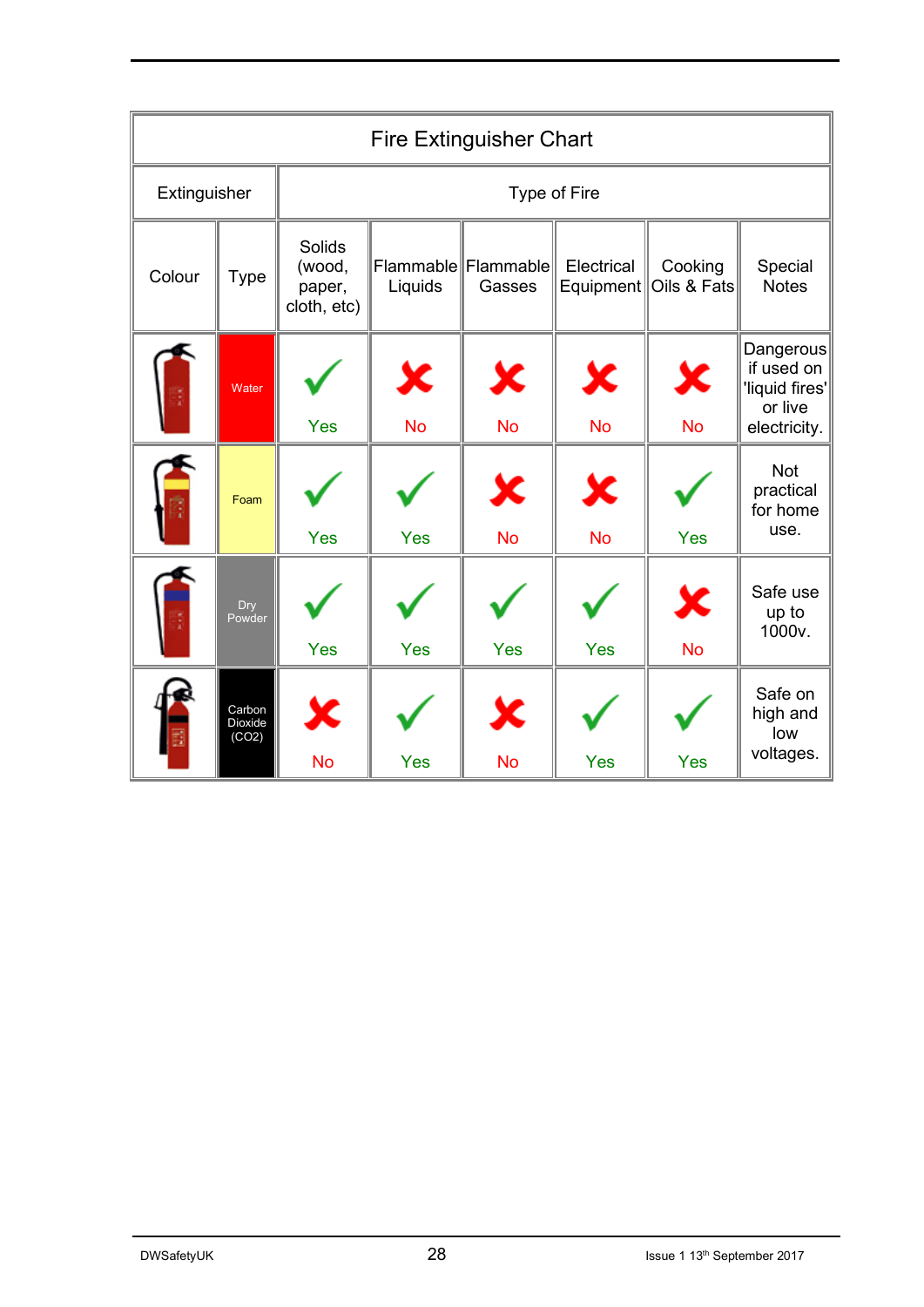| <b>Fire Extinguisher Chart</b> |                            |                                           |                |                               |                         |                                        |                                                                      |
|--------------------------------|----------------------------|-------------------------------------------|----------------|-------------------------------|-------------------------|----------------------------------------|----------------------------------------------------------------------|
| Extinguisher                   |                            | Type of Fire                              |                |                               |                         |                                        |                                                                      |
| Colour                         | Type                       | Solids<br>(wood,<br>paper,<br>cloth, etc) | Liquids        | Flammable Flammable<br>Gasses | Electrical<br>Equipment | Cooking<br>Oils & Fats                 | Special<br><b>Notes</b>                                              |
|                                | Water                      | Yes                                       | ×<br><b>No</b> | $\mathbf x$<br><b>No</b>      | ×<br><b>No</b>          | $\boldsymbol{\mathsf{x}}$<br><b>No</b> | Dangerous<br>if used on<br>'liquid fires'<br>or live<br>electricity. |
|                                | Foam                       | Yes                                       | Yes            | Х<br><b>No</b>                | X<br><b>No</b>          | <b>Yes</b>                             | <b>Not</b><br>practical<br>for home<br>use.                          |
|                                | Dry<br>Powder              | Yes                                       | Yes            | Yes                           | Yes                     | Х<br><b>No</b>                         | Safe use<br>up to<br>1000v.                                          |
|                                | Carbon<br>Dioxide<br>(CO2) | Х<br><b>No</b>                            | Yes            | K<br><b>No</b>                | Yes                     | Yes                                    | Safe on<br>high and<br>low<br>voltages.                              |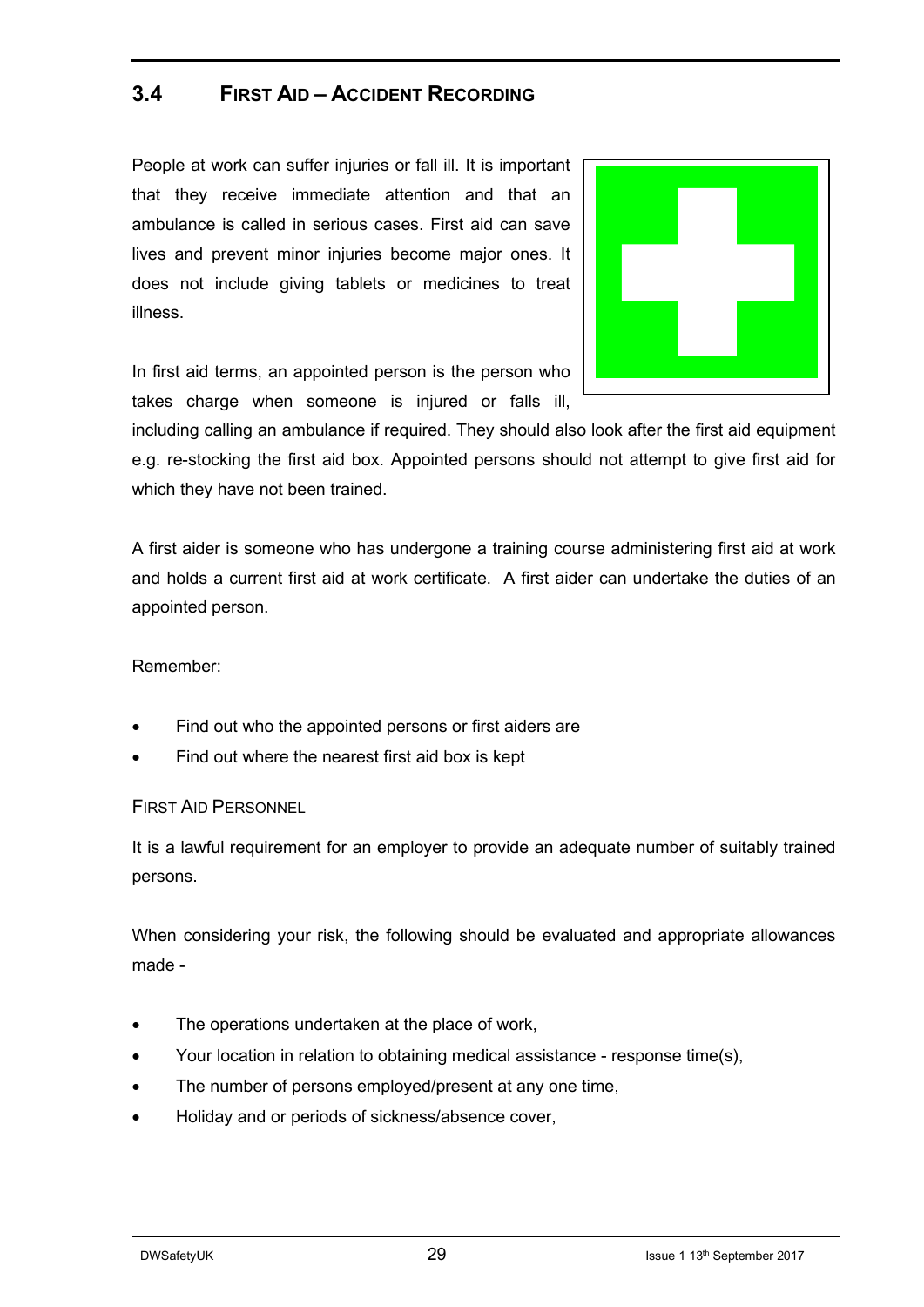#### **3.4 FIRST AID – ACCIDENT RECORDING**

People at work can suffer injuries or fall ill. It is important that they receive immediate attention and that an ambulance is called in serious cases. First aid can save lives and prevent minor injuries become major ones. It does not include giving tablets or medicines to treat illness.



In first aid terms, an appointed person is the person who takes charge when someone is injured or falls ill,

including calling an ambulance if required. They should also look after the first aid equipment e.g. re-stocking the first aid box. Appointed persons should not attempt to give first aid for which they have not been trained.

A first aider is someone who has undergone a training course administering first aid at work and holds a current first aid at work certificate. A first aider can undertake the duties of an appointed person.

Remember:

- Find out who the appointed persons or first aiders are
- Find out where the nearest first aid box is kept

FIRST AID PERSONNEL

It is a lawful requirement for an employer to provide an adequate number of suitably trained persons.

When considering your risk, the following should be evaluated and appropriate allowances made -

- The operations undertaken at the place of work,
- Your location in relation to obtaining medical assistance response time(s),
- The number of persons employed/present at any one time,
- Holiday and or periods of sickness/absence cover,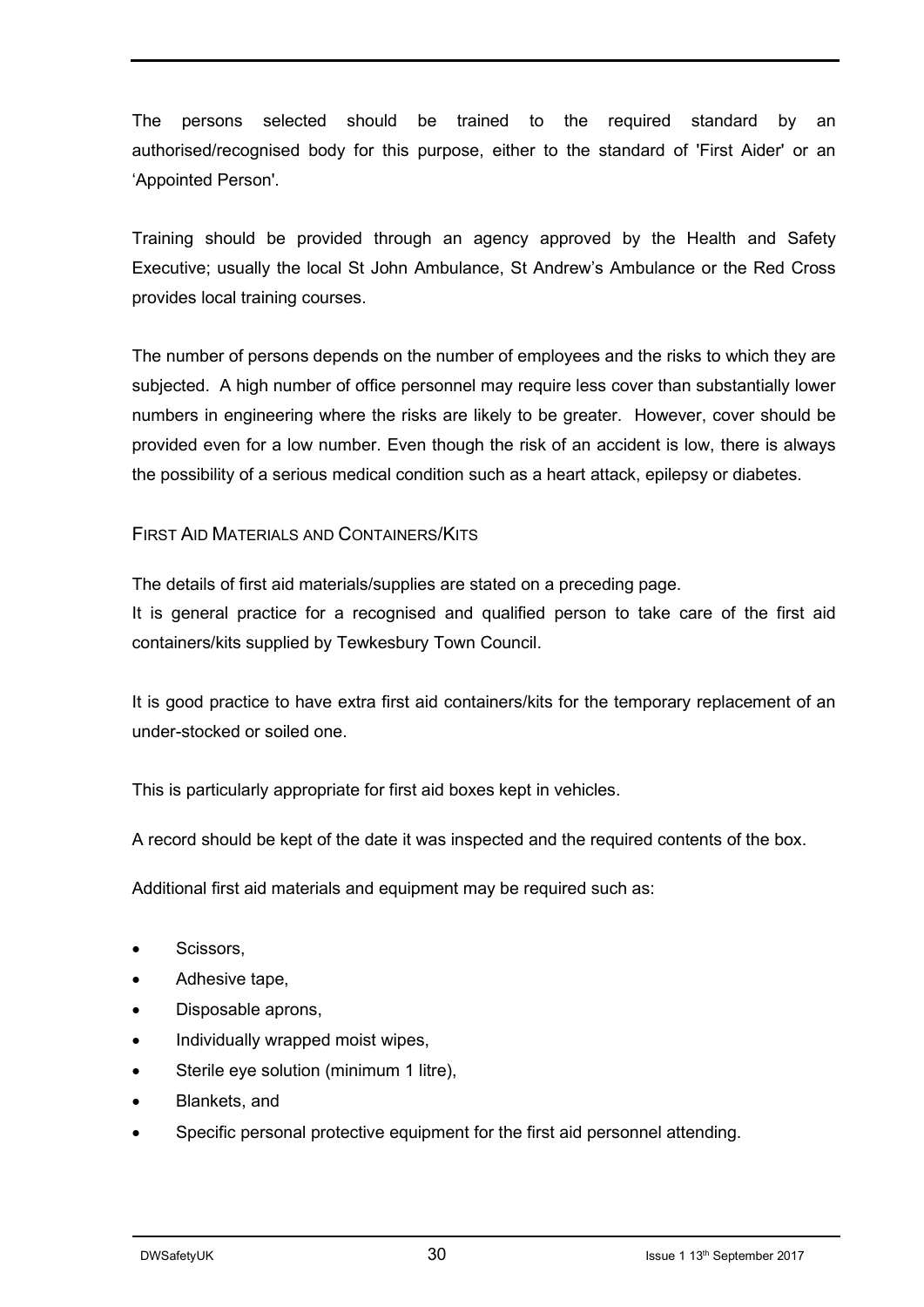The persons selected should be trained to the required standard by an authorised/recognised body for this purpose, either to the standard of 'First Aider' or an 'Appointed Person'.

Training should be provided through an agency approved by the Health and Safety Executive; usually the local St John Ambulance, St Andrew's Ambulance or the Red Cross provides local training courses.

The number of persons depends on the number of employees and the risks to which they are subjected. A high number of office personnel may require less cover than substantially lower numbers in engineering where the risks are likely to be greater. However, cover should be provided even for a low number. Even though the risk of an accident is low, there is always the possibility of a serious medical condition such as a heart attack, epilepsy or diabetes.

#### FIRST AID MATERIALS AND CONTAINERS/KITS

The details of first aid materials/supplies are stated on a preceding page.

It is general practice for a recognised and qualified person to take care of the first aid containers/kits supplied by Tewkesbury Town Council.

It is good practice to have extra first aid containers/kits for the temporary replacement of an under-stocked or soiled one.

This is particularly appropriate for first aid boxes kept in vehicles.

A record should be kept of the date it was inspected and the required contents of the box.

Additional first aid materials and equipment may be required such as:

- Scissors,
- Adhesive tape,
- Disposable aprons,
- Individually wrapped moist wipes,
- Sterile eye solution (minimum 1 litre),
- Blankets, and
- Specific personal protective equipment for the first aid personnel attending.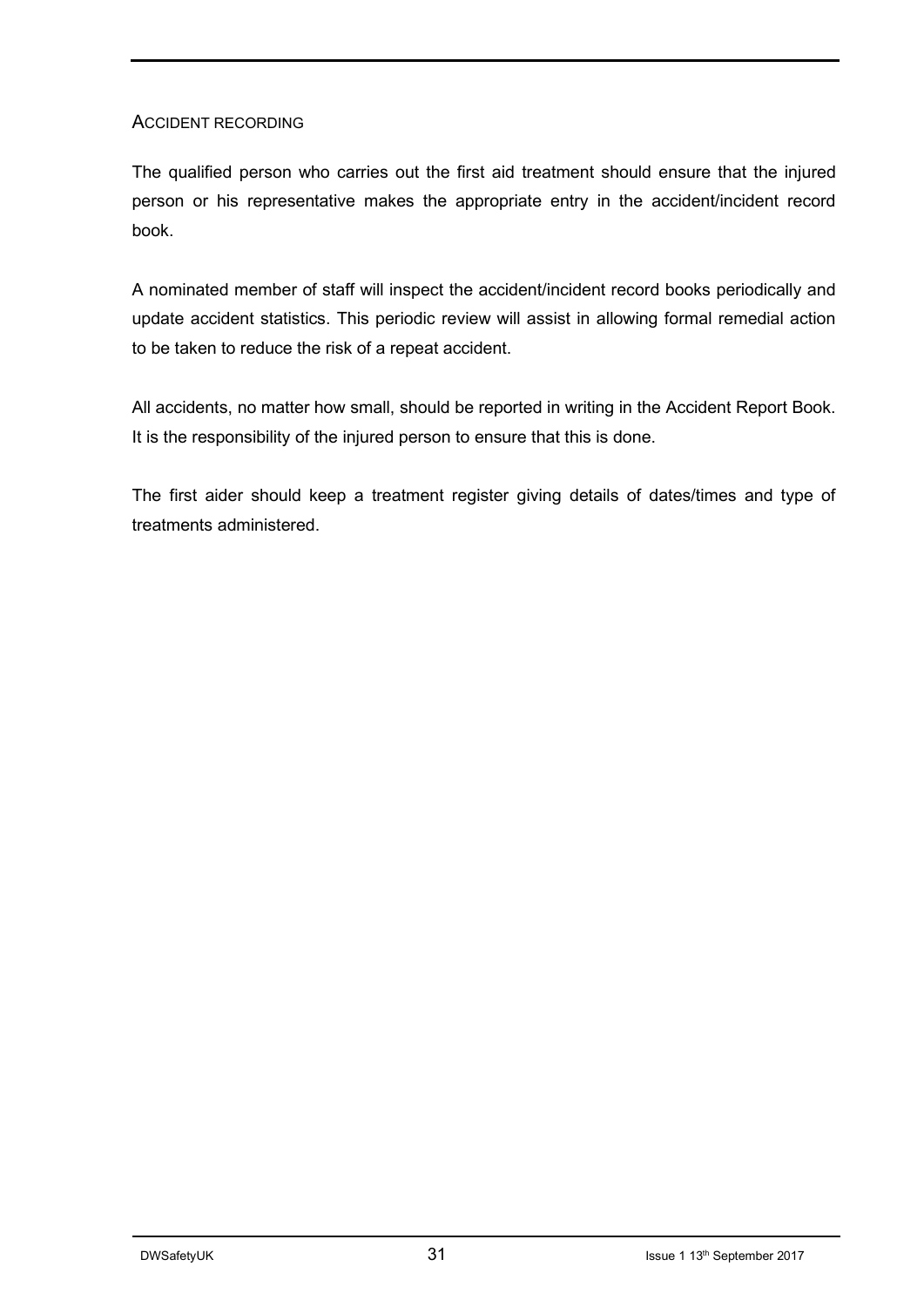#### ACCIDENT RECORDING

The qualified person who carries out the first aid treatment should ensure that the injured person or his representative makes the appropriate entry in the accident/incident record book.

A nominated member of staff will inspect the accident/incident record books periodically and update accident statistics. This periodic review will assist in allowing formal remedial action to be taken to reduce the risk of a repeat accident.

All accidents, no matter how small, should be reported in writing in the Accident Report Book. It is the responsibility of the injured person to ensure that this is done.

The first aider should keep a treatment register giving details of dates/times and type of treatments administered.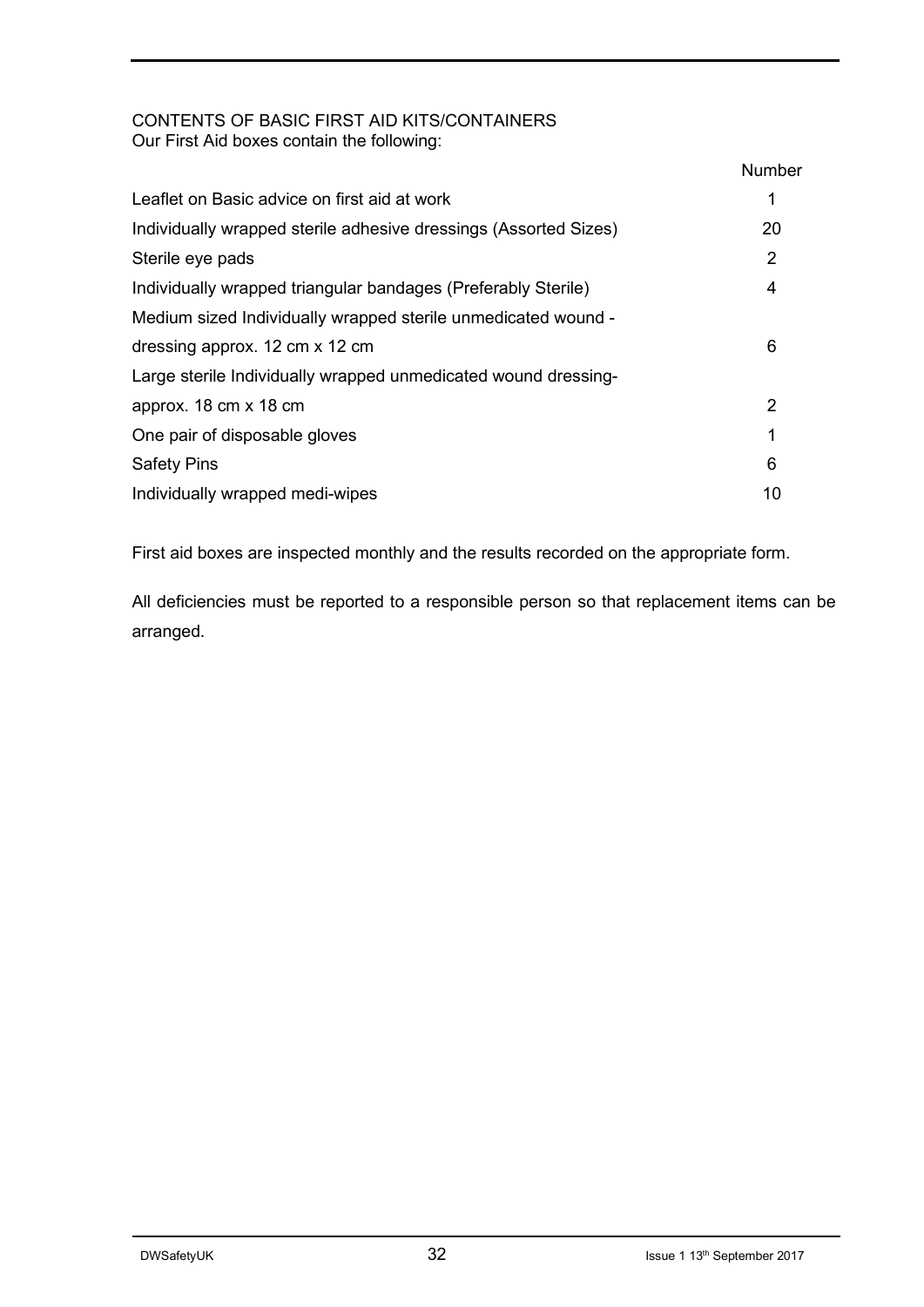#### CONTENTS OF BASIC FIRST AID KITS/CONTAINERS Our First Aid boxes contain the following:

| <b>Number</b> |
|---------------|
|               |
| 20            |
| 2             |
| 4             |
|               |
| 6             |
|               |
| 2             |
|               |
| 6             |
| 10            |
|               |

First aid boxes are inspected monthly and the results recorded on the appropriate form.

All deficiencies must be reported to a responsible person so that replacement items can be arranged.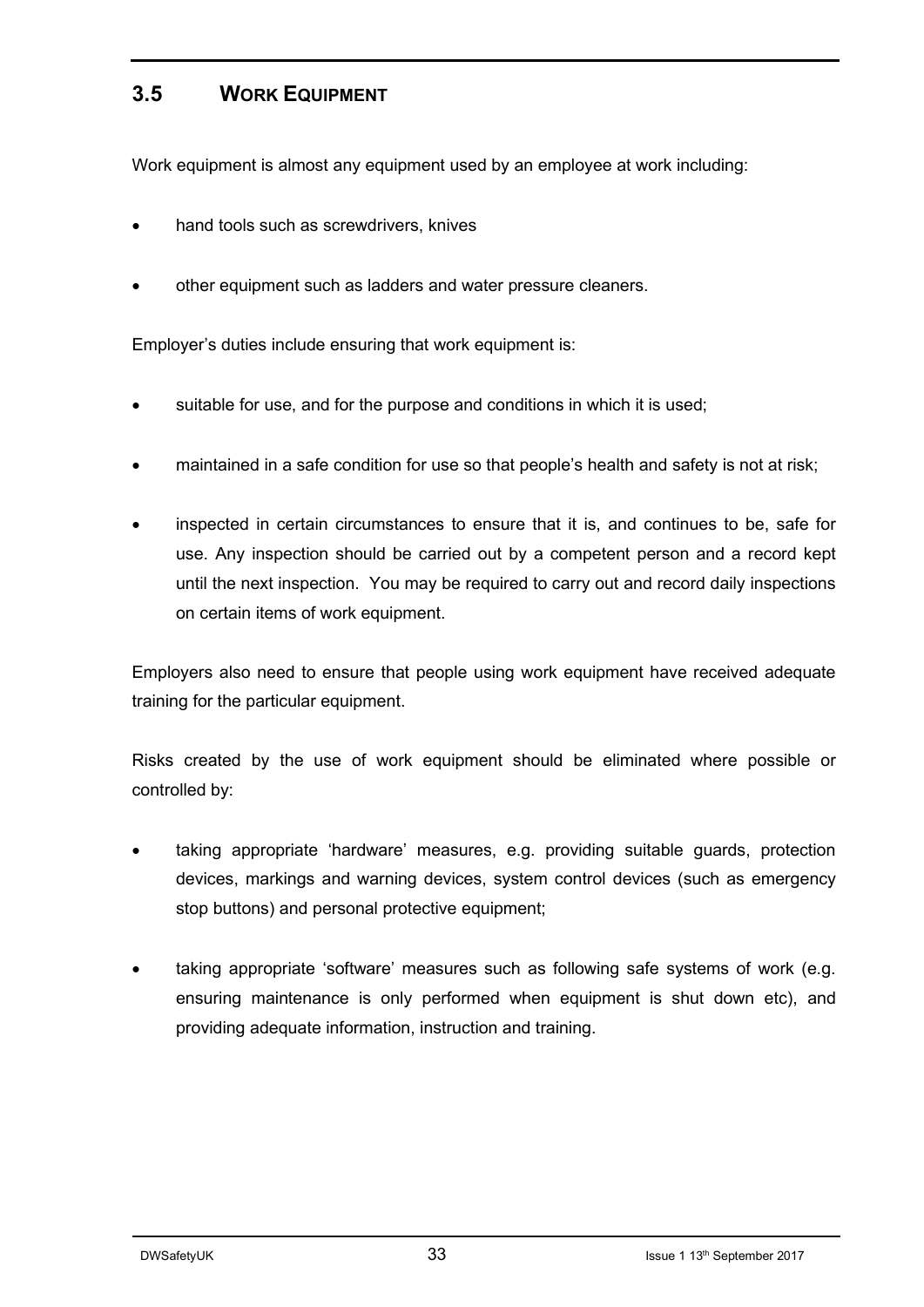#### **3.5 WORK EQUIPMENT**

Work equipment is almost any equipment used by an employee at work including:

- hand tools such as screwdrivers, knives
- other equipment such as ladders and water pressure cleaners.

Employer's duties include ensuring that work equipment is:

- suitable for use, and for the purpose and conditions in which it is used;
- maintained in a safe condition for use so that people's health and safety is not at risk;
- inspected in certain circumstances to ensure that it is, and continues to be, safe for use. Any inspection should be carried out by a competent person and a record kept until the next inspection. You may be required to carry out and record daily inspections on certain items of work equipment.

Employers also need to ensure that people using work equipment have received adequate training for the particular equipment.

Risks created by the use of work equipment should be eliminated where possible or controlled by:

- taking appropriate 'hardware' measures, e.g. providing suitable guards, protection devices, markings and warning devices, system control devices (such as emergency stop buttons) and personal protective equipment;
- taking appropriate 'software' measures such as following safe systems of work (e.g. ensuring maintenance is only performed when equipment is shut down etc), and providing adequate information, instruction and training.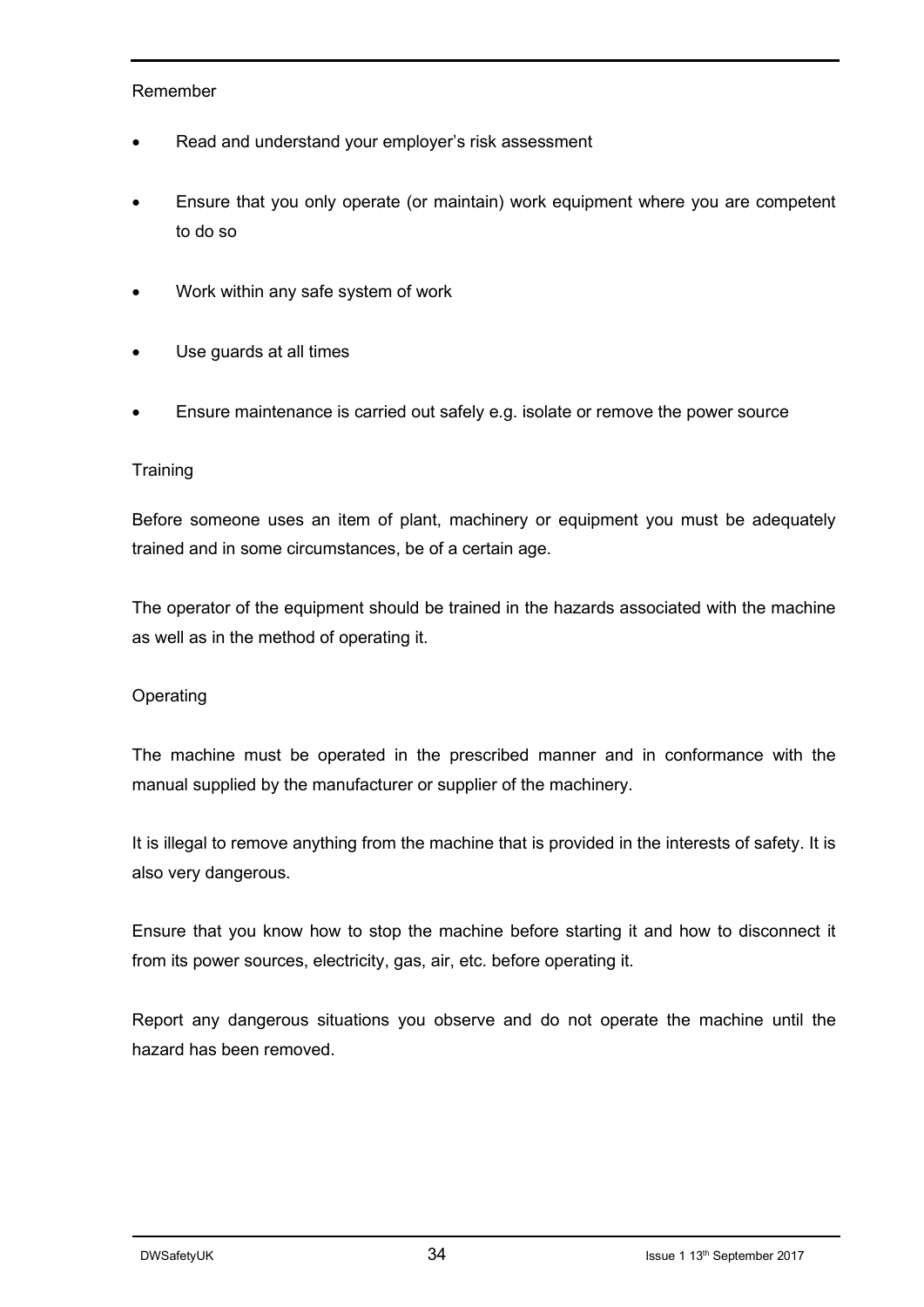#### Remember

- Read and understand your employer's risk assessment
- Ensure that you only operate (or maintain) work equipment where you are competent to do so
- Work within any safe system of work
- Use guards at all times
- Ensure maintenance is carried out safely e.g. isolate or remove the power source

#### **Training**

Before someone uses an item of plant, machinery or equipment you must be adequately trained and in some circumstances, be of a certain age.

The operator of the equipment should be trained in the hazards associated with the machine as well as in the method of operating it.

#### Operating

The machine must be operated in the prescribed manner and in conformance with the manual supplied by the manufacturer or supplier of the machinery.

It is illegal to remove anything from the machine that is provided in the interests of safety. It is also very dangerous.

Ensure that you know how to stop the machine before starting it and how to disconnect it from its power sources, electricity, gas, air, etc. before operating it.

Report any dangerous situations you observe and do not operate the machine until the hazard has been removed.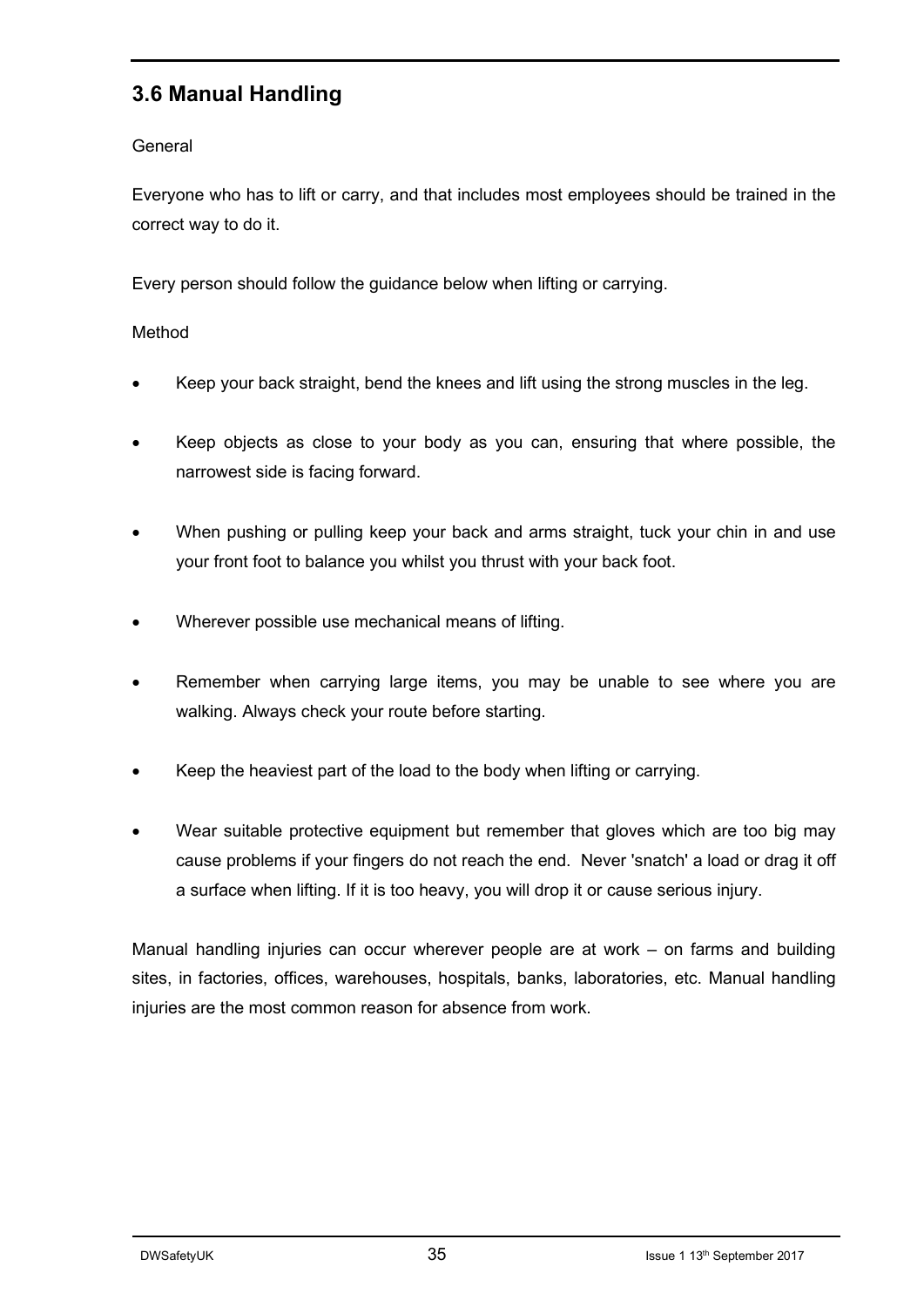### **3.6 Manual Handling**

#### **General**

Everyone who has to lift or carry, and that includes most employees should be trained in the correct way to do it.

Every person should follow the guidance below when lifting or carrying.

#### Method

- Keep your back straight, bend the knees and lift using the strong muscles in the leg.
- Keep objects as close to your body as you can, ensuring that where possible, the narrowest side is facing forward.
- When pushing or pulling keep your back and arms straight, tuck your chin in and use your front foot to balance you whilst you thrust with your back foot.
- Wherever possible use mechanical means of lifting.
- Remember when carrying large items, you may be unable to see where you are walking. Always check your route before starting.
- Keep the heaviest part of the load to the body when lifting or carrying.
- Wear suitable protective equipment but remember that gloves which are too big may cause problems if your fingers do not reach the end. Never 'snatch' a load or drag it off a surface when lifting. If it is too heavy, you will drop it or cause serious injury.

Manual handling injuries can occur wherever people are at work – on farms and building sites, in factories, offices, warehouses, hospitals, banks, laboratories, etc. Manual handling injuries are the most common reason for absence from work.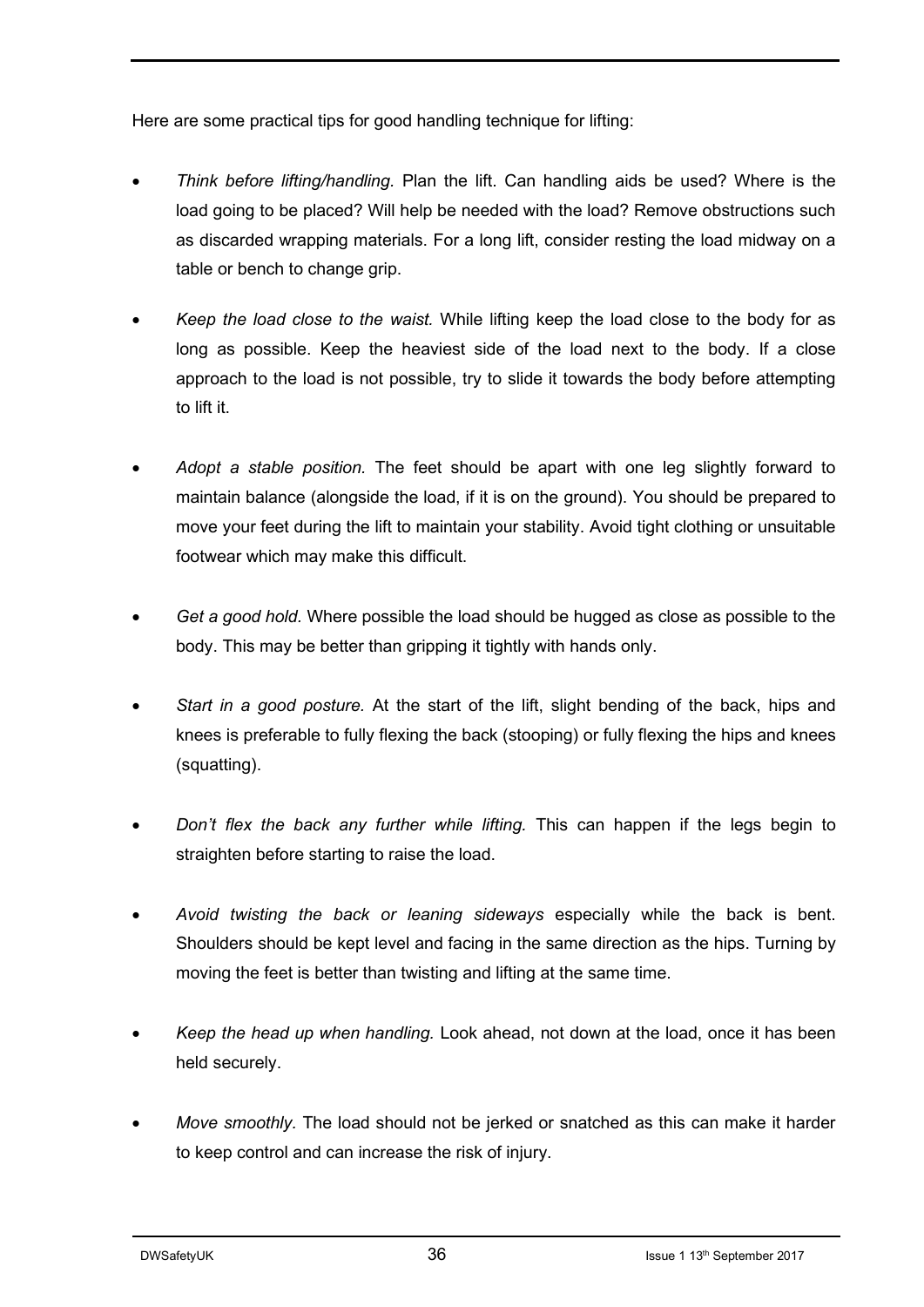Here are some practical tips for good handling technique for lifting:

- *Think before lifting/handling.* Plan the lift. Can handling aids be used? Where is the load going to be placed? Will help be needed with the load? Remove obstructions such as discarded wrapping materials. For a long lift, consider resting the load midway on a table or bench to change grip.
- *Keep the load close to the waist.* While lifting keep the load close to the body for as long as possible. Keep the heaviest side of the load next to the body. If a close approach to the load is not possible, try to slide it towards the body before attempting to lift it.
- *Adopt a stable position.* The feet should be apart with one leg slightly forward to maintain balance (alongside the load, if it is on the ground). You should be prepared to move your feet during the lift to maintain your stability. Avoid tight clothing or unsuitable footwear which may make this difficult.
- *Get a good hold.* Where possible the load should be hugged as close as possible to the body. This may be better than gripping it tightly with hands only.
- *Start in a good posture.* At the start of the lift, slight bending of the back, hips and knees is preferable to fully flexing the back (stooping) or fully flexing the hips and knees (squatting).
- *Don't flex the back any further while lifting.* This can happen if the legs begin to straighten before starting to raise the load.
- *Avoid twisting the back or leaning sideways* especially while the back is bent. Shoulders should be kept level and facing in the same direction as the hips. Turning by moving the feet is better than twisting and lifting at the same time.
- *Keep the head up when handling.* Look ahead, not down at the load, once it has been held securely.
- *Move smoothly.* The load should not be jerked or snatched as this can make it harder to keep control and can increase the risk of injury.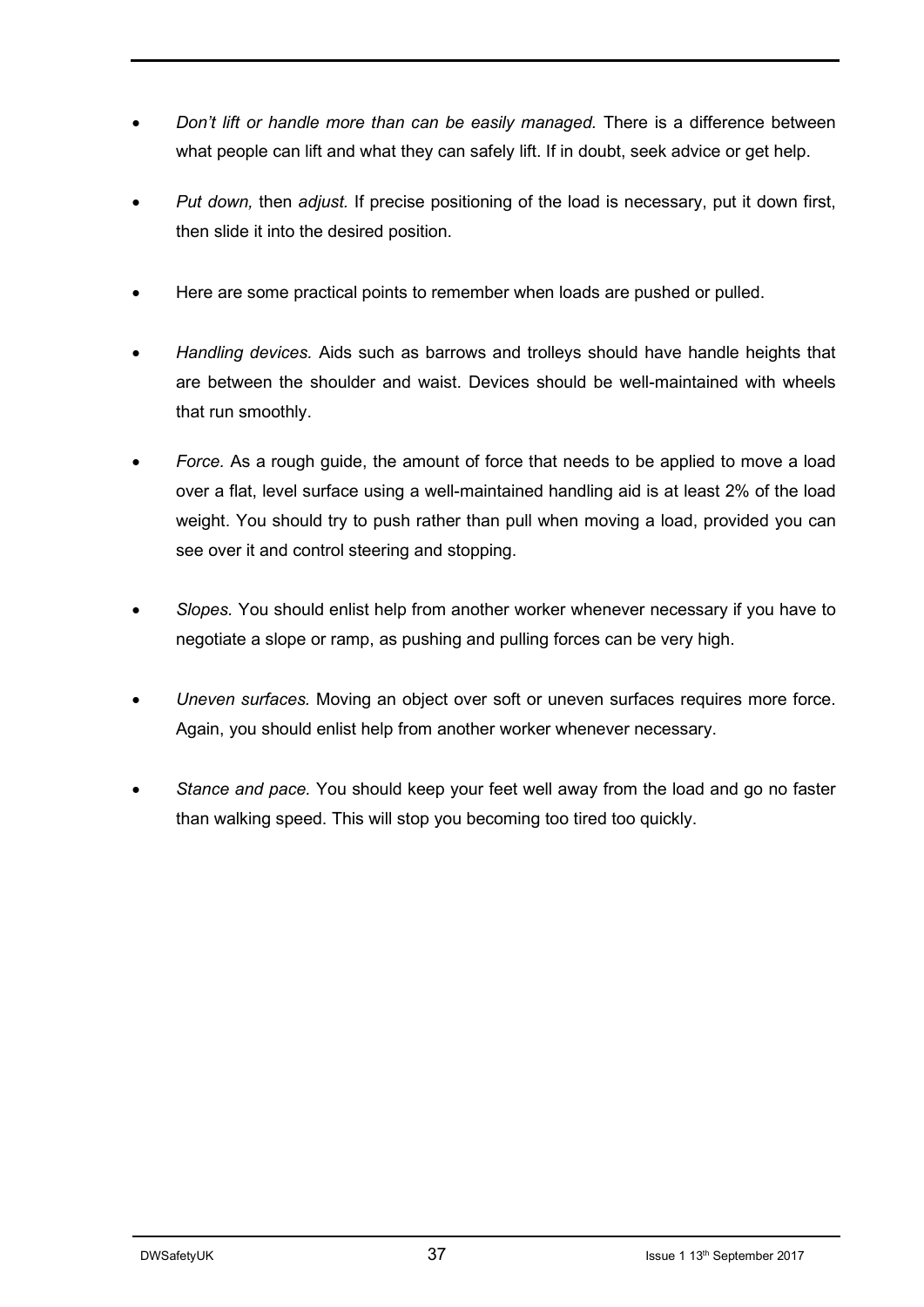- *Don't lift or handle more than can be easily managed.* There is a difference between what people can lift and what they can safely lift. If in doubt, seek advice or get help.
- *Put down,* then *adjust.* If precise positioning of the load is necessary, put it down first, then slide it into the desired position.
- Here are some practical points to remember when loads are pushed or pulled.
- *Handling devices.* Aids such as barrows and trolleys should have handle heights that are between the shoulder and waist. Devices should be well-maintained with wheels that run smoothly.
- *Force.* As a rough guide, the amount of force that needs to be applied to move a load over a flat, level surface using a well-maintained handling aid is at least 2% of the load weight. You should try to push rather than pull when moving a load, provided you can see over it and control steering and stopping.
- *Slopes.* You should enlist help from another worker whenever necessary if you have to negotiate a slope or ramp, as pushing and pulling forces can be very high.
- *Uneven surfaces.* Moving an object over soft or uneven surfaces requires more force. Again, you should enlist help from another worker whenever necessary.
- *Stance and pace.* You should keep your feet well away from the load and go no faster than walking speed. This will stop you becoming too tired too quickly.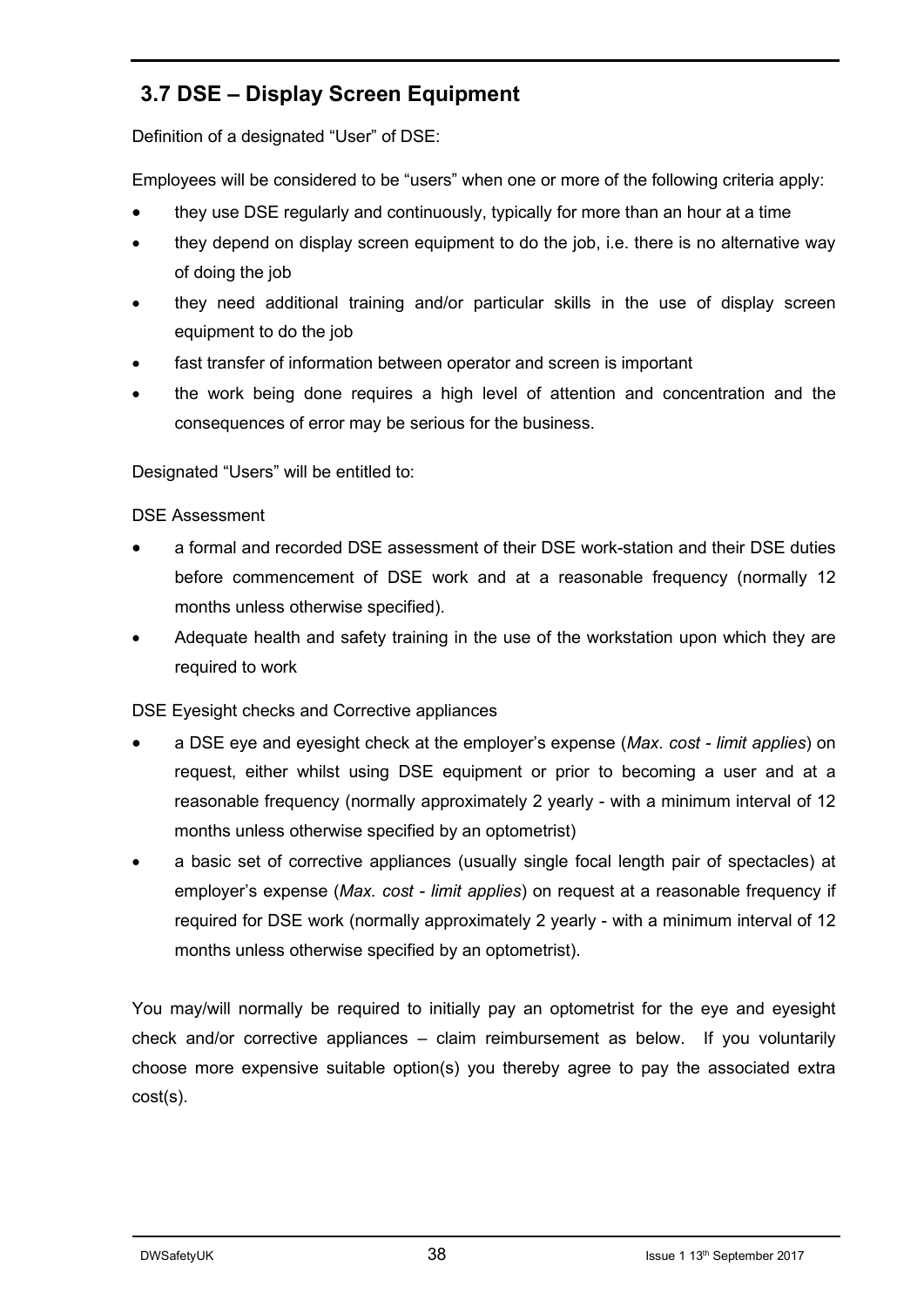## **3.7 DSE – Display Screen Equipment**

Definition of a designated "User" of DSE:

Employees will be considered to be "users" when one or more of the following criteria apply:

- they use DSE regularly and continuously, typically for more than an hour at a time
- they depend on display screen equipment to do the job, i.e. there is no alternative way of doing the job
- they need additional training and/or particular skills in the use of display screen equipment to do the job
- fast transfer of information between operator and screen is important
- the work being done requires a high level of attention and concentration and the consequences of error may be serious for the business.

Designated "Users" will be entitled to:

#### DSE Assessment

- a formal and recorded DSE assessment of their DSE work-station and their DSE duties before commencement of DSE work and at a reasonable frequency (normally 12 months unless otherwise specified).
- Adequate health and safety training in the use of the workstation upon which they are required to work

DSE Eyesight checks and Corrective appliances

- a DSE eye and eyesight check at the employer's expense (*Max. cost - limit applies*) on request, either whilst using DSE equipment or prior to becoming a user and at a reasonable frequency (normally approximately 2 yearly - with a minimum interval of 12 months unless otherwise specified by an optometrist)
- a basic set of corrective appliances (usually single focal length pair of spectacles) at employer's expense (*Max. cost - limit applies*) on request at a reasonable frequency if required for DSE work (normally approximately 2 yearly - with a minimum interval of 12 months unless otherwise specified by an optometrist).

You may/will normally be required to initially pay an optometrist for the eye and eyesight check and/or corrective appliances – claim reimbursement as below. If you voluntarily choose more expensive suitable option(s) you thereby agree to pay the associated extra cost(s).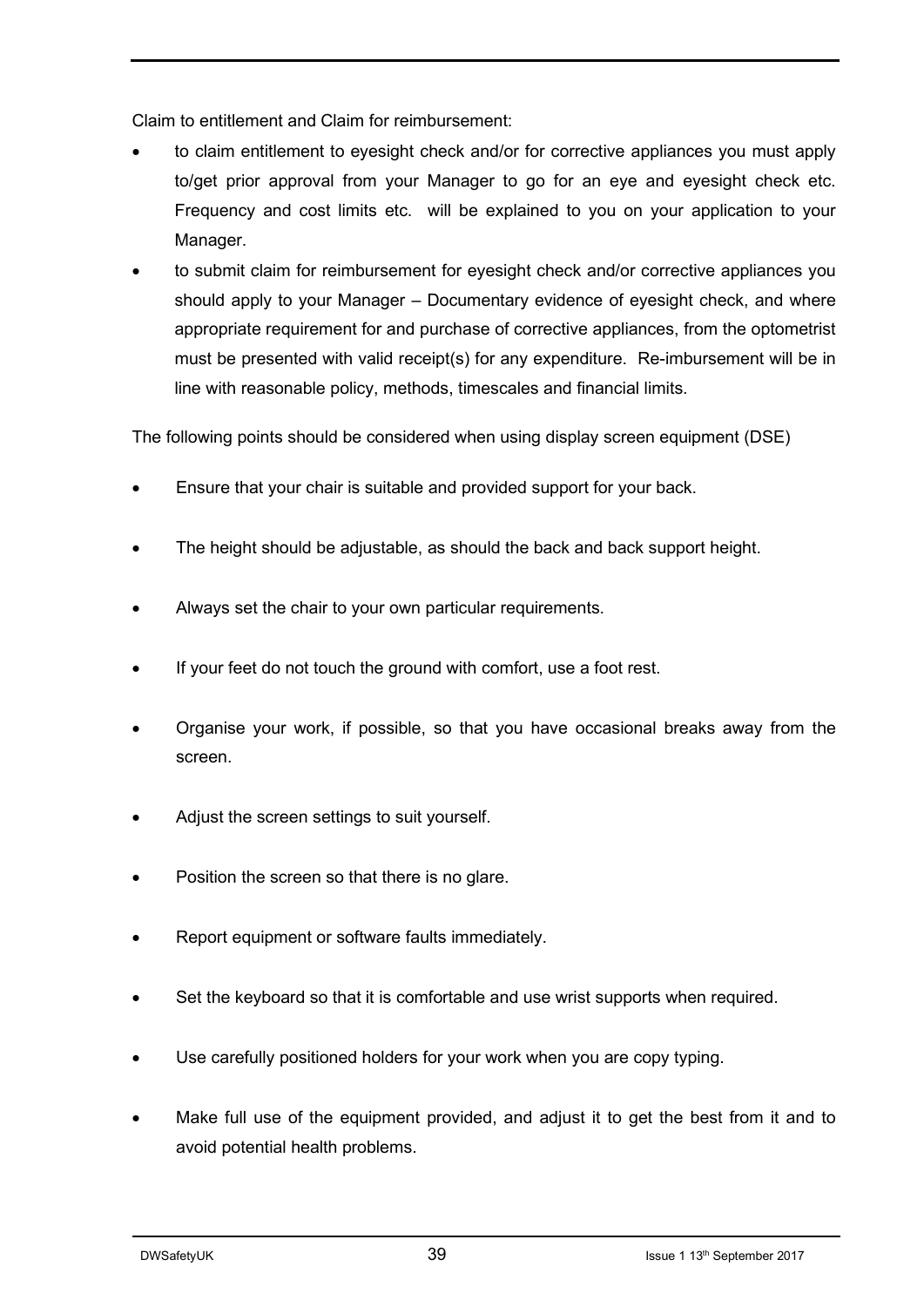Claim to entitlement and Claim for reimbursement:

- to claim entitlement to eyesight check and/or for corrective appliances you must apply to/get prior approval from your Manager to go for an eye and eyesight check etc. Frequency and cost limits etc. will be explained to you on your application to your Manager.
- to submit claim for reimbursement for eyesight check and/or corrective appliances you should apply to your Manager – Documentary evidence of eyesight check, and where appropriate requirement for and purchase of corrective appliances, from the optometrist must be presented with valid receipt(s) for any expenditure. Re-imbursement will be in line with reasonable policy, methods, timescales and financial limits.

The following points should be considered when using display screen equipment (DSE)

- Ensure that your chair is suitable and provided support for your back.
- The height should be adjustable, as should the back and back support height.
- Always set the chair to your own particular requirements.
- If your feet do not touch the ground with comfort, use a foot rest.
- Organise your work, if possible, so that you have occasional breaks away from the screen.
- Adjust the screen settings to suit yourself.
- Position the screen so that there is no glare.
- Report equipment or software faults immediately.
- Set the keyboard so that it is comfortable and use wrist supports when required.
- Use carefully positioned holders for your work when you are copy typing.
- Make full use of the equipment provided, and adjust it to get the best from it and to avoid potential health problems.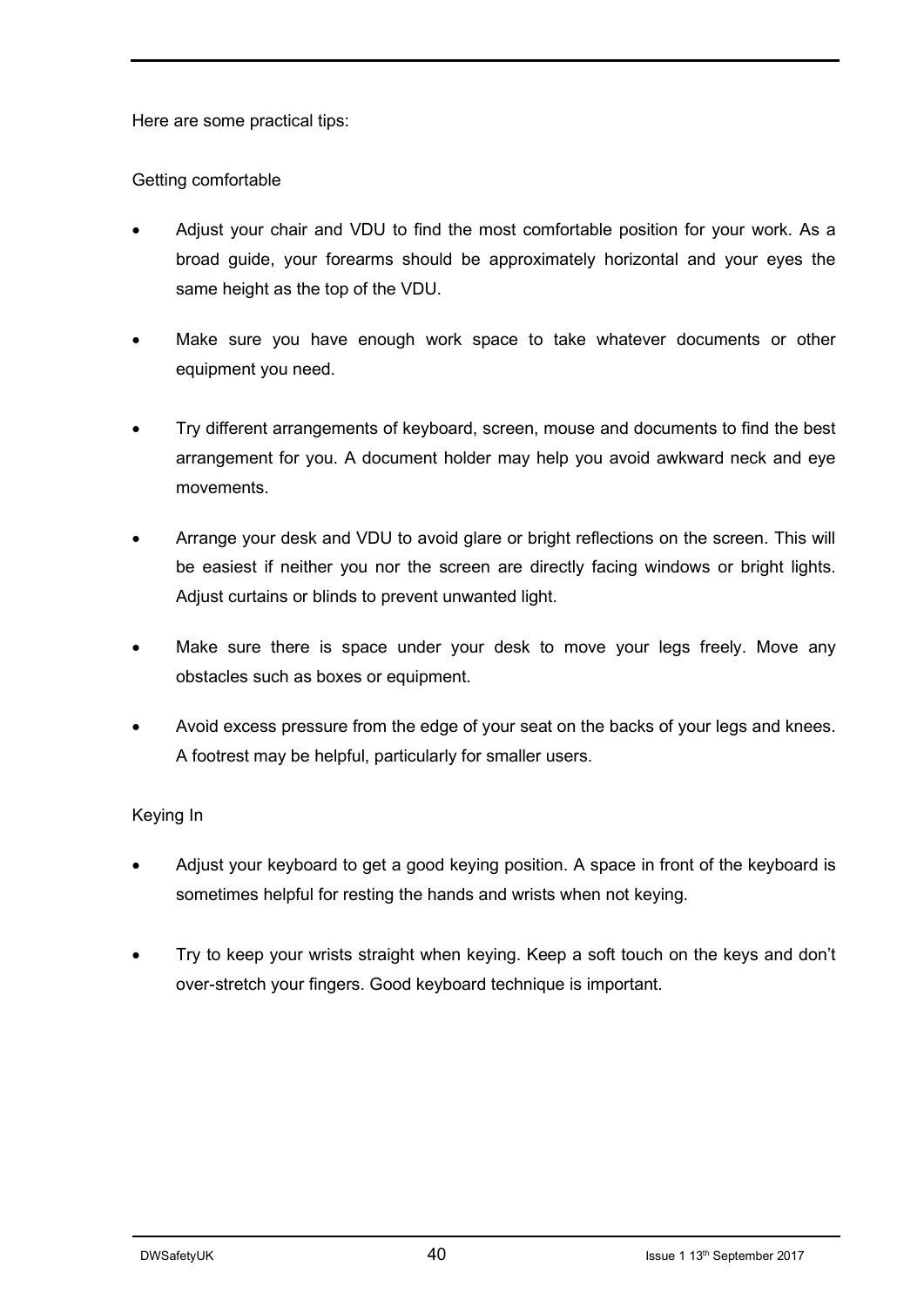Here are some practical tips:

#### Getting comfortable

- Adjust your chair and VDU to find the most comfortable position for your work. As a broad guide, your forearms should be approximately horizontal and your eyes the same height as the top of the VDU.
- Make sure you have enough work space to take whatever documents or other equipment you need.
- Try different arrangements of keyboard, screen, mouse and documents to find the best arrangement for you. A document holder may help you avoid awkward neck and eye movements.
- Arrange your desk and VDU to avoid glare or bright reflections on the screen. This will be easiest if neither you nor the screen are directly facing windows or bright lights. Adjust curtains or blinds to prevent unwanted light.
- Make sure there is space under your desk to move your legs freely. Move any obstacles such as boxes or equipment.
- Avoid excess pressure from the edge of your seat on the backs of your legs and knees. A footrest may be helpful, particularly for smaller users.

#### Keying In

- Adjust your keyboard to get a good keying position. A space in front of the keyboard is sometimes helpful for resting the hands and wrists when not keying.
- Try to keep your wrists straight when keying. Keep a soft touch on the keys and don't over-stretch your fingers. Good keyboard technique is important.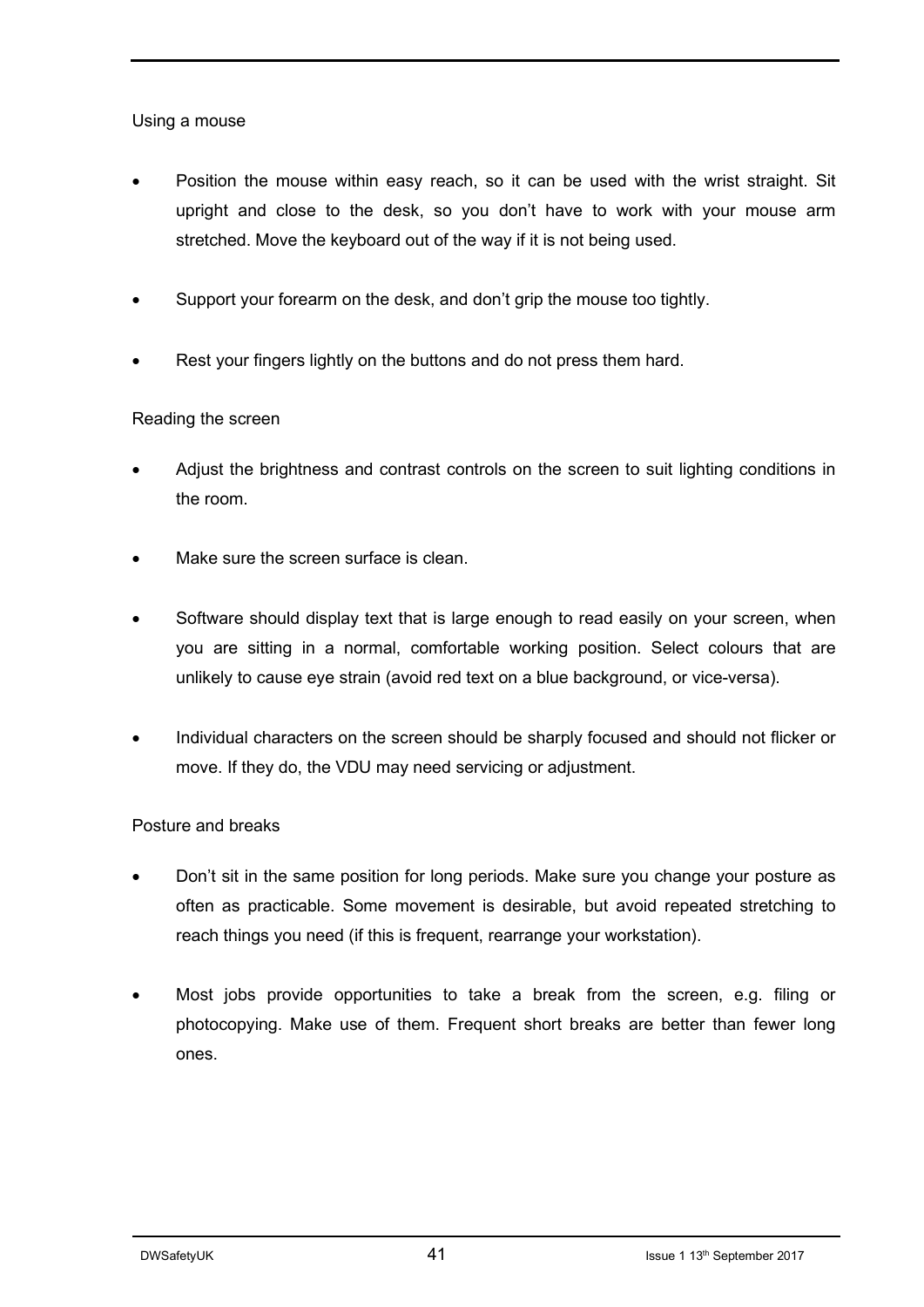#### Using a mouse

- Position the mouse within easy reach, so it can be used with the wrist straight. Sit upright and close to the desk, so you don't have to work with your mouse arm stretched. Move the keyboard out of the way if it is not being used.
- Support your forearm on the desk, and don't grip the mouse too tightly.
- Rest your fingers lightly on the buttons and do not press them hard.

#### Reading the screen

- Adjust the brightness and contrast controls on the screen to suit lighting conditions in the room.
- Make sure the screen surface is clean.
- Software should display text that is large enough to read easily on your screen, when you are sitting in a normal, comfortable working position. Select colours that are unlikely to cause eye strain (avoid red text on a blue background, or vice-versa).
- Individual characters on the screen should be sharply focused and should not flicker or move. If they do, the VDU may need servicing or adjustment.

#### Posture and breaks

- Don't sit in the same position for long periods. Make sure you change your posture as often as practicable. Some movement is desirable, but avoid repeated stretching to reach things you need (if this is frequent, rearrange your workstation).
- Most jobs provide opportunities to take a break from the screen, e.g. filing or photocopying. Make use of them. Frequent short breaks are better than fewer long ones.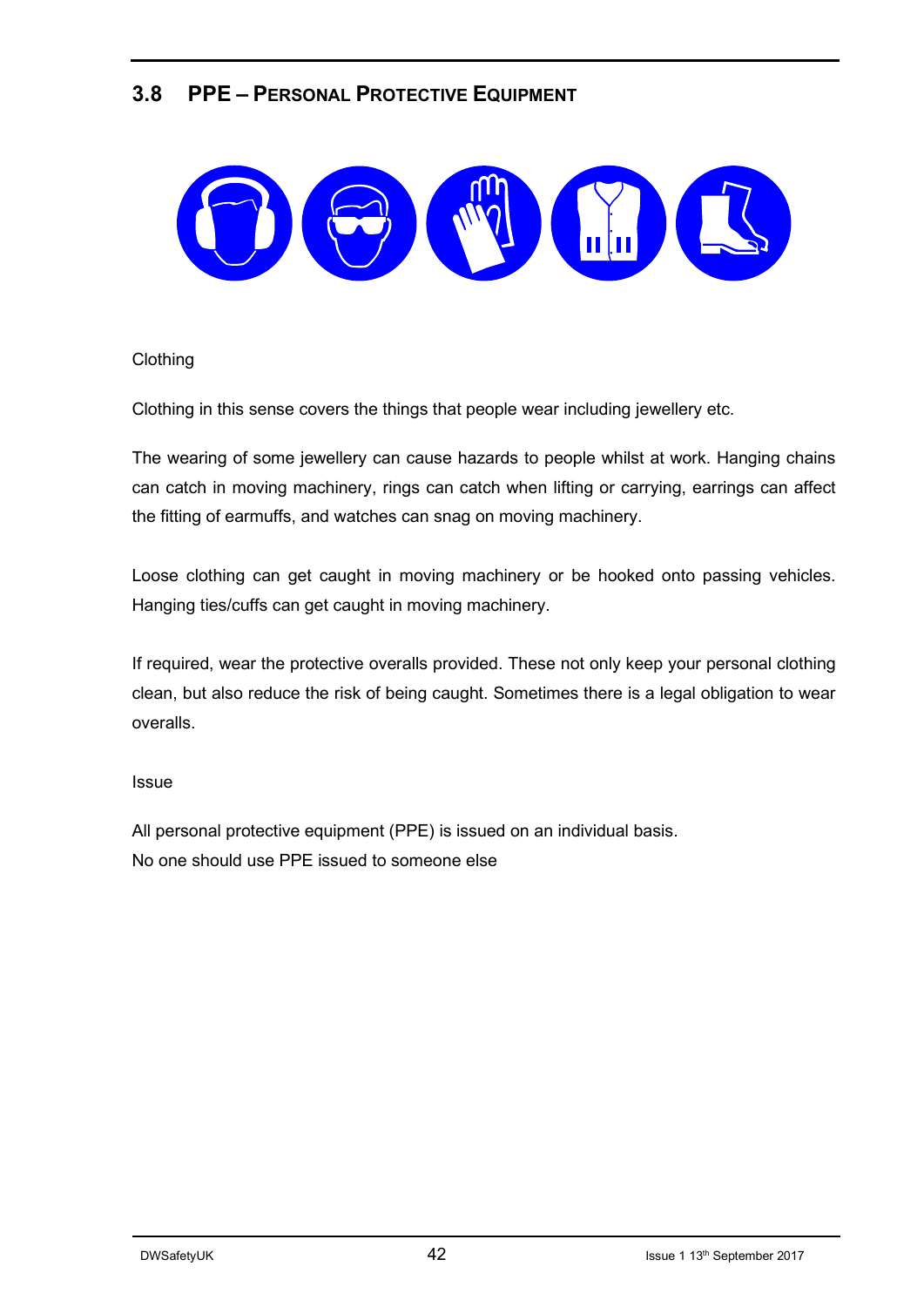### **3.8 PPE – PERSONAL PROTECTIVE EQUIPMENT**



#### **Clothing**

Clothing in this sense covers the things that people wear including jewellery etc.

The wearing of some jewellery can cause hazards to people whilst at work. Hanging chains can catch in moving machinery, rings can catch when lifting or carrying, earrings can affect the fitting of earmuffs, and watches can snag on moving machinery.

Loose clothing can get caught in moving machinery or be hooked onto passing vehicles. Hanging ties/cuffs can get caught in moving machinery.

If required, wear the protective overalls provided. These not only keep your personal clothing clean, but also reduce the risk of being caught. Sometimes there is a legal obligation to wear overalls.

#### **Issue**

All personal protective equipment (PPE) is issued on an individual basis. No one should use PPE issued to someone else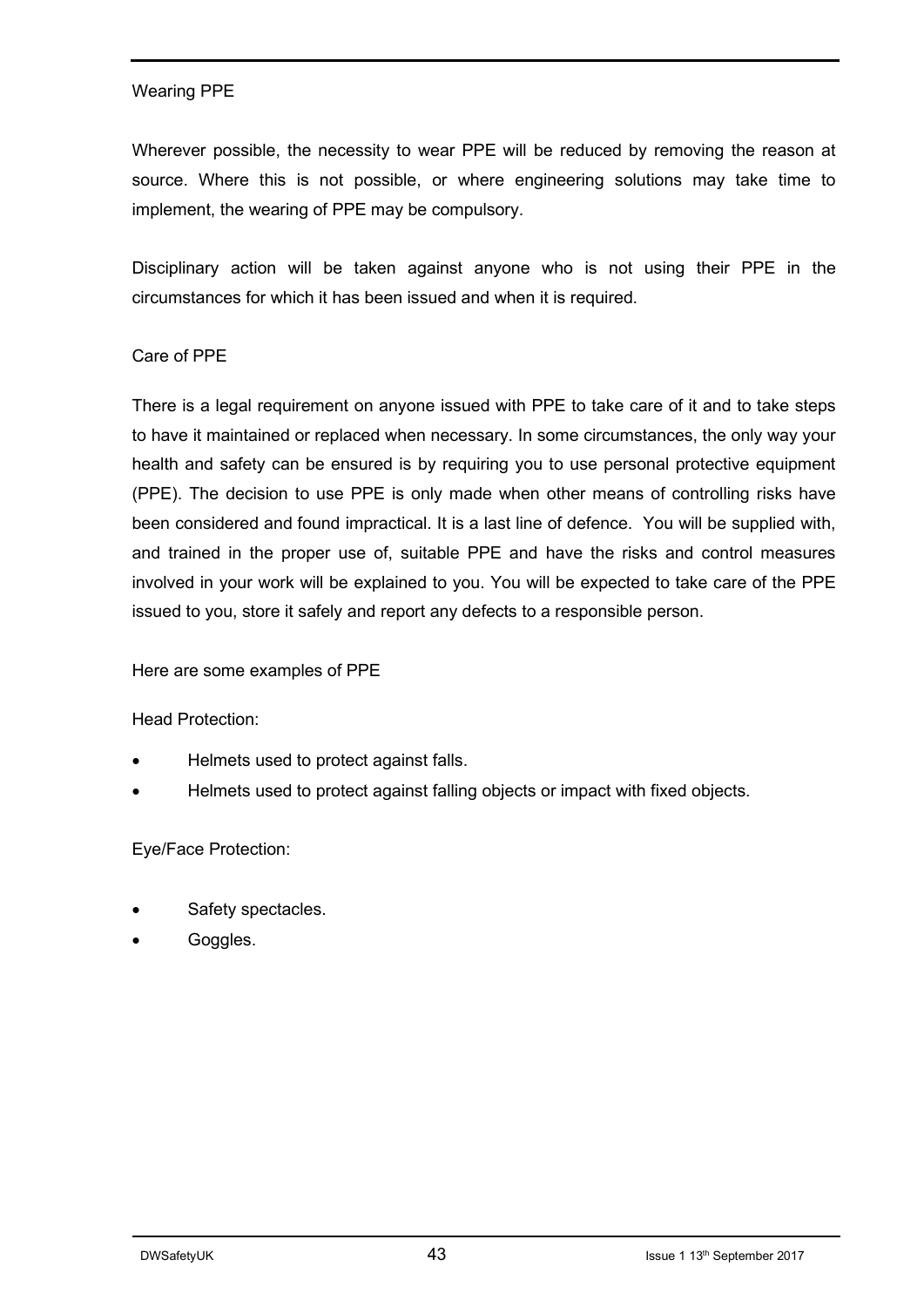#### Wearing PPE

Wherever possible, the necessity to wear PPE will be reduced by removing the reason at source. Where this is not possible, or where engineering solutions may take time to implement, the wearing of PPE may be compulsory.

Disciplinary action will be taken against anyone who is not using their PPE in the circumstances for which it has been issued and when it is required.

#### Care of PPE

There is a legal requirement on anyone issued with PPE to take care of it and to take steps to have it maintained or replaced when necessary. In some circumstances, the only way your health and safety can be ensured is by requiring you to use personal protective equipment (PPE). The decision to use PPE is only made when other means of controlling risks have been considered and found impractical. It is a last line of defence. You will be supplied with, and trained in the proper use of, suitable PPE and have the risks and control measures involved in your work will be explained to you. You will be expected to take care of the PPE issued to you, store it safely and report any defects to a responsible person.

Here are some examples of PPE

Head Protection:

- Helmets used to protect against falls.
- Helmets used to protect against falling objects or impact with fixed objects.

#### Eye/Face Protection:

- Safety spectacles.
- Goggles.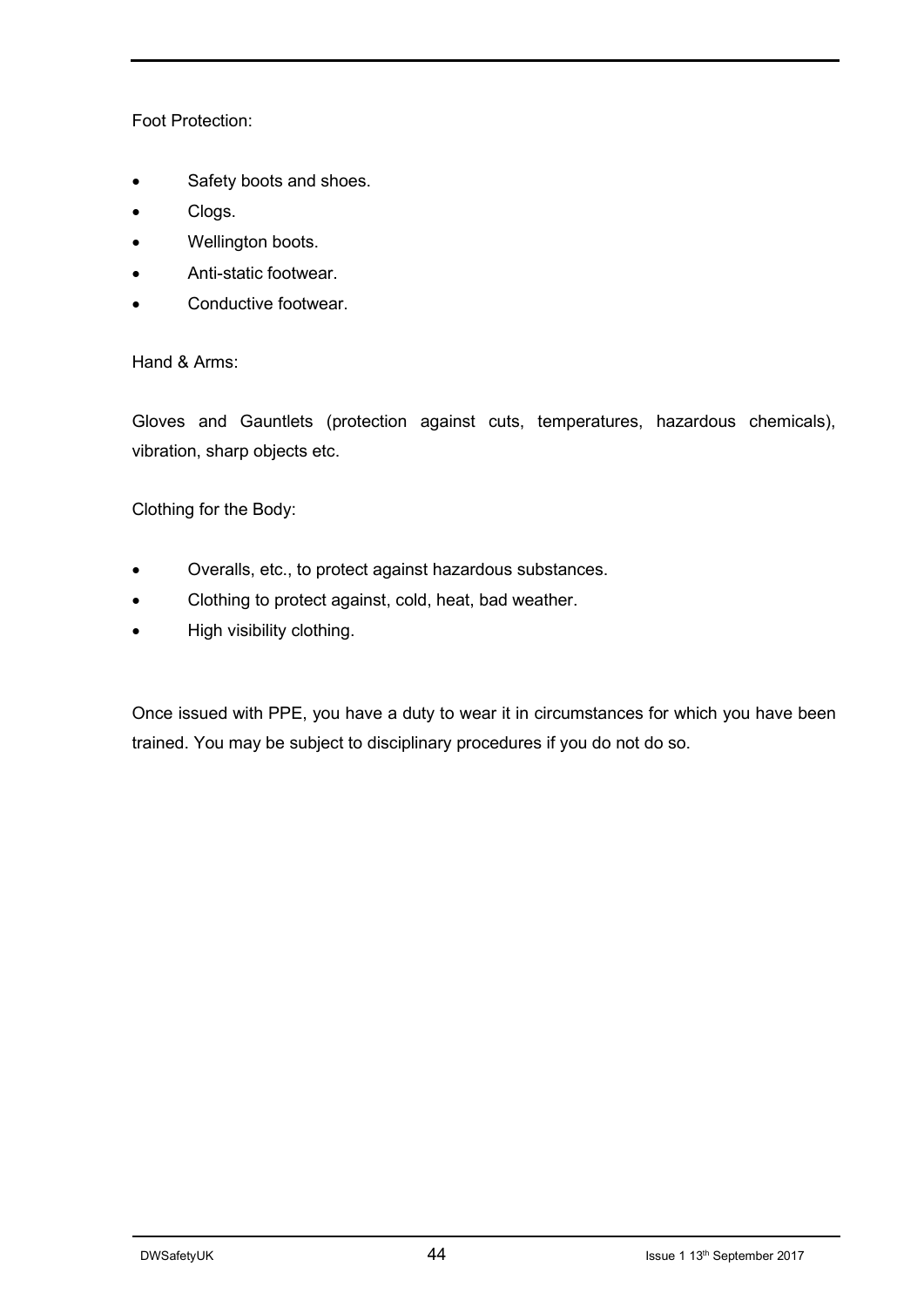#### Foot Protection:

- Safety boots and shoes.
- Clogs.
- Wellington boots.
- Anti-static footwear.
- Conductive footwear.

Hand & Arms:

Gloves and Gauntlets (protection against cuts, temperatures, hazardous chemicals), vibration, sharp objects etc.

Clothing for the Body:

- Overalls, etc., to protect against hazardous substances.
- Clothing to protect against, cold, heat, bad weather.
- High visibility clothing.

Once issued with PPE, you have a duty to wear it in circumstances for which you have been trained. You may be subject to disciplinary procedures if you do not do so.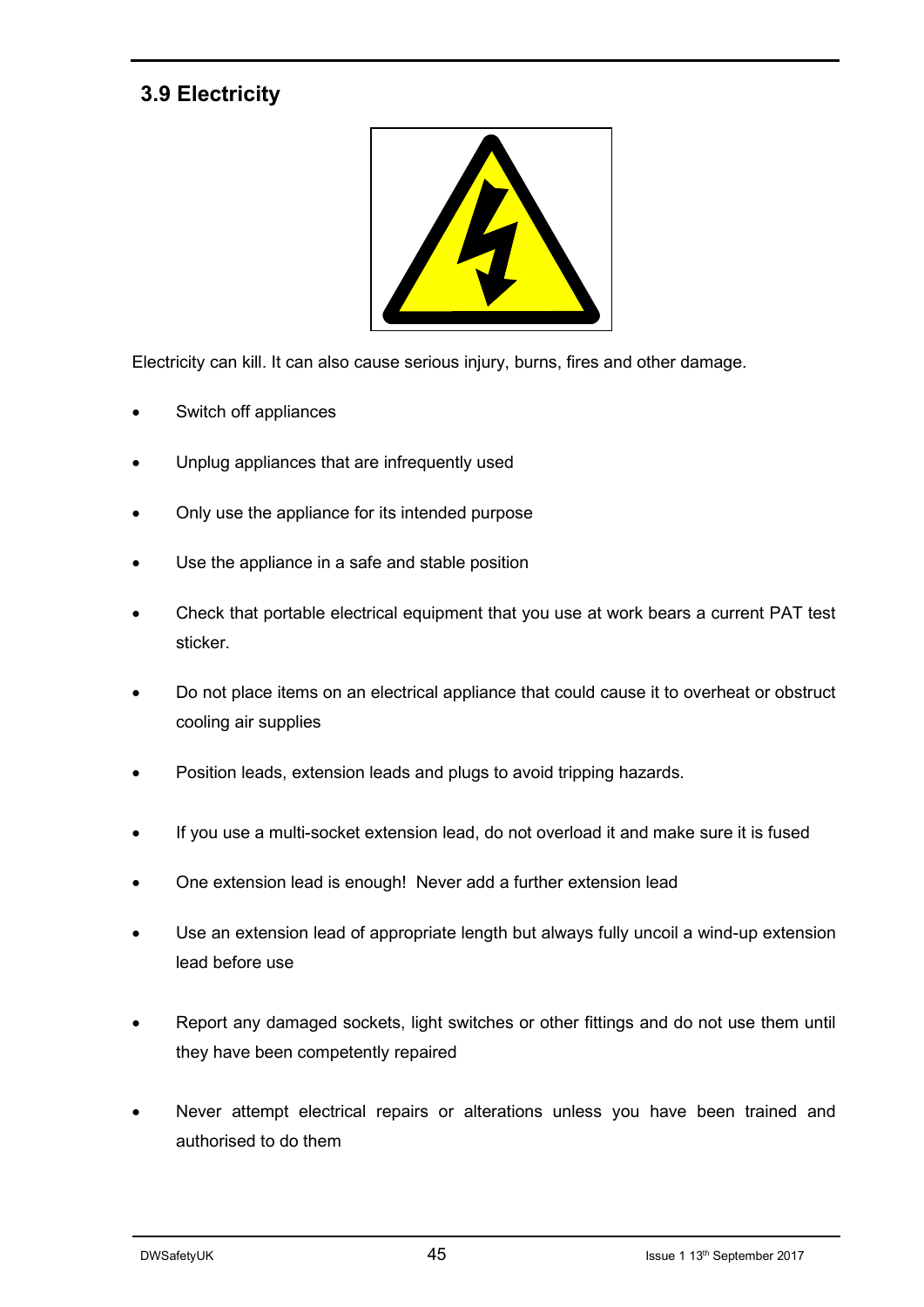## **3.9 Electricity**



Electricity can kill. It can also cause serious injury, burns, fires and other damage.

- Switch off appliances
- Unplug appliances that are infrequently used
- Only use the appliance for its intended purpose
- Use the appliance in a safe and stable position
- Check that portable electrical equipment that you use at work bears a current PAT test sticker.
- Do not place items on an electrical appliance that could cause it to overheat or obstruct cooling air supplies
- Position leads, extension leads and plugs to avoid tripping hazards.
- If you use a multi-socket extension lead, do not overload it and make sure it is fused
- One extension lead is enough! Never add a further extension lead
- Use an extension lead of appropriate length but always fully uncoil a wind-up extension lead before use
- Report any damaged sockets, light switches or other fittings and do not use them until they have been competently repaired
- Never attempt electrical repairs or alterations unless you have been trained and authorised to do them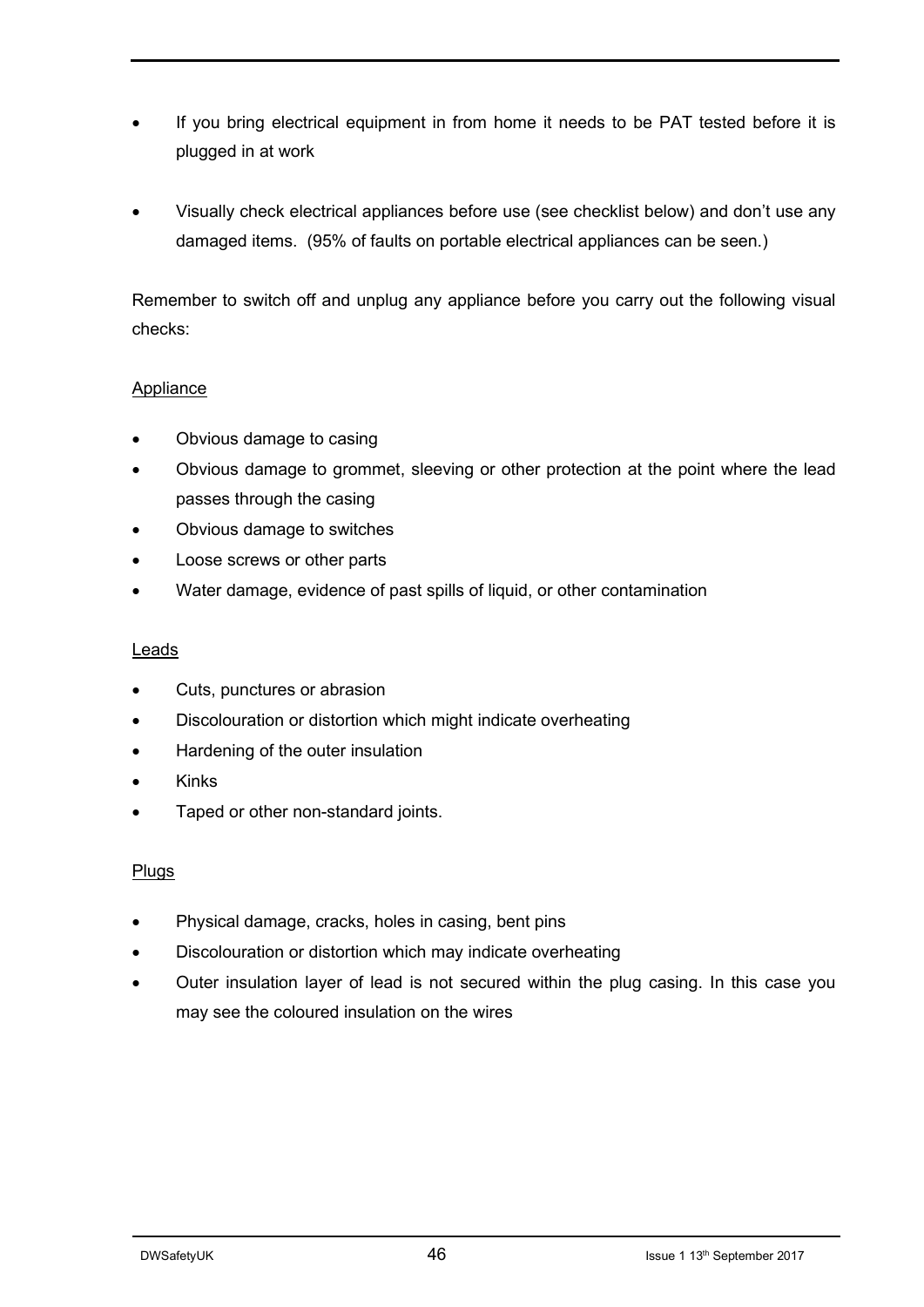- If you bring electrical equipment in from home it needs to be PAT tested before it is plugged in at work
- Visually check electrical appliances before use (see checklist below) and don't use any damaged items. (95% of faults on portable electrical appliances can be seen.)

Remember to switch off and unplug any appliance before you carry out the following visual checks:

#### **Appliance**

- Obvious damage to casing
- Obvious damage to grommet, sleeving or other protection at the point where the lead passes through the casing
- Obvious damage to switches
- Loose screws or other parts
- Water damage, evidence of past spills of liquid, or other contamination

#### Leads

- Cuts, punctures or abrasion
- Discolouration or distortion which might indicate overheating
- Hardening of the outer insulation
- Kinks
- Taped or other non-standard joints.

#### Plugs

- Physical damage, cracks, holes in casing, bent pins
- Discolouration or distortion which may indicate overheating
- Outer insulation layer of lead is not secured within the plug casing. In this case you may see the coloured insulation on the wires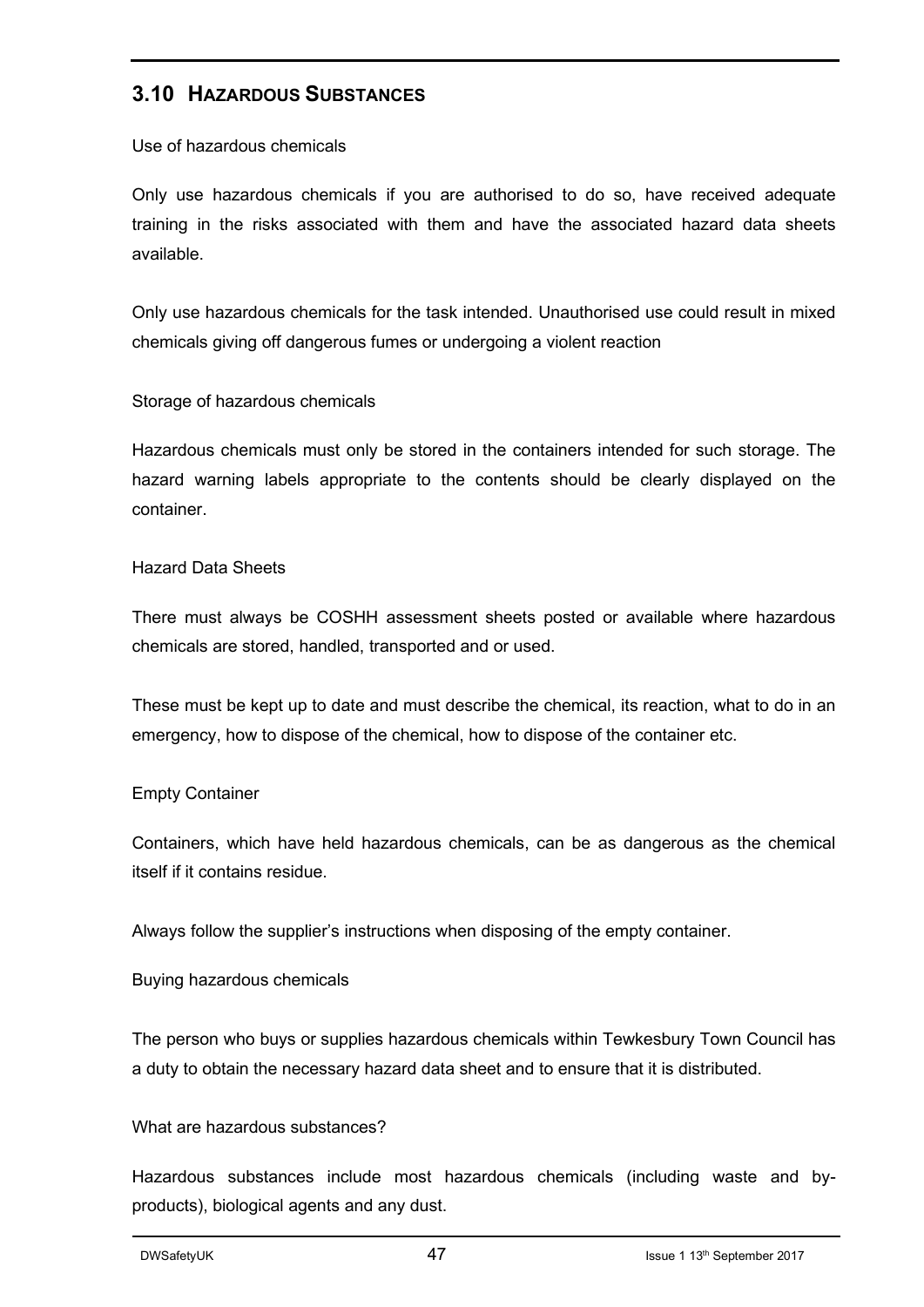#### **3.10 HAZARDOUS SUBSTANCES**

Use of hazardous chemicals

Only use hazardous chemicals if you are authorised to do so, have received adequate training in the risks associated with them and have the associated hazard data sheets available.

Only use hazardous chemicals for the task intended. Unauthorised use could result in mixed chemicals giving off dangerous fumes or undergoing a violent reaction

#### Storage of hazardous chemicals

Hazardous chemicals must only be stored in the containers intended for such storage. The hazard warning labels appropriate to the contents should be clearly displayed on the container.

#### Hazard Data Sheets

There must always be COSHH assessment sheets posted or available where hazardous chemicals are stored, handled, transported and or used.

These must be kept up to date and must describe the chemical, its reaction, what to do in an emergency, how to dispose of the chemical, how to dispose of the container etc.

#### Empty Container

Containers, which have held hazardous chemicals, can be as dangerous as the chemical itself if it contains residue.

Always follow the supplier's instructions when disposing of the empty container.

Buying hazardous chemicals

The person who buys or supplies hazardous chemicals within Tewkesbury Town Council has a duty to obtain the necessary hazard data sheet and to ensure that it is distributed.

#### What are hazardous substances?

Hazardous substances include most hazardous chemicals (including waste and byproducts), biological agents and any dust.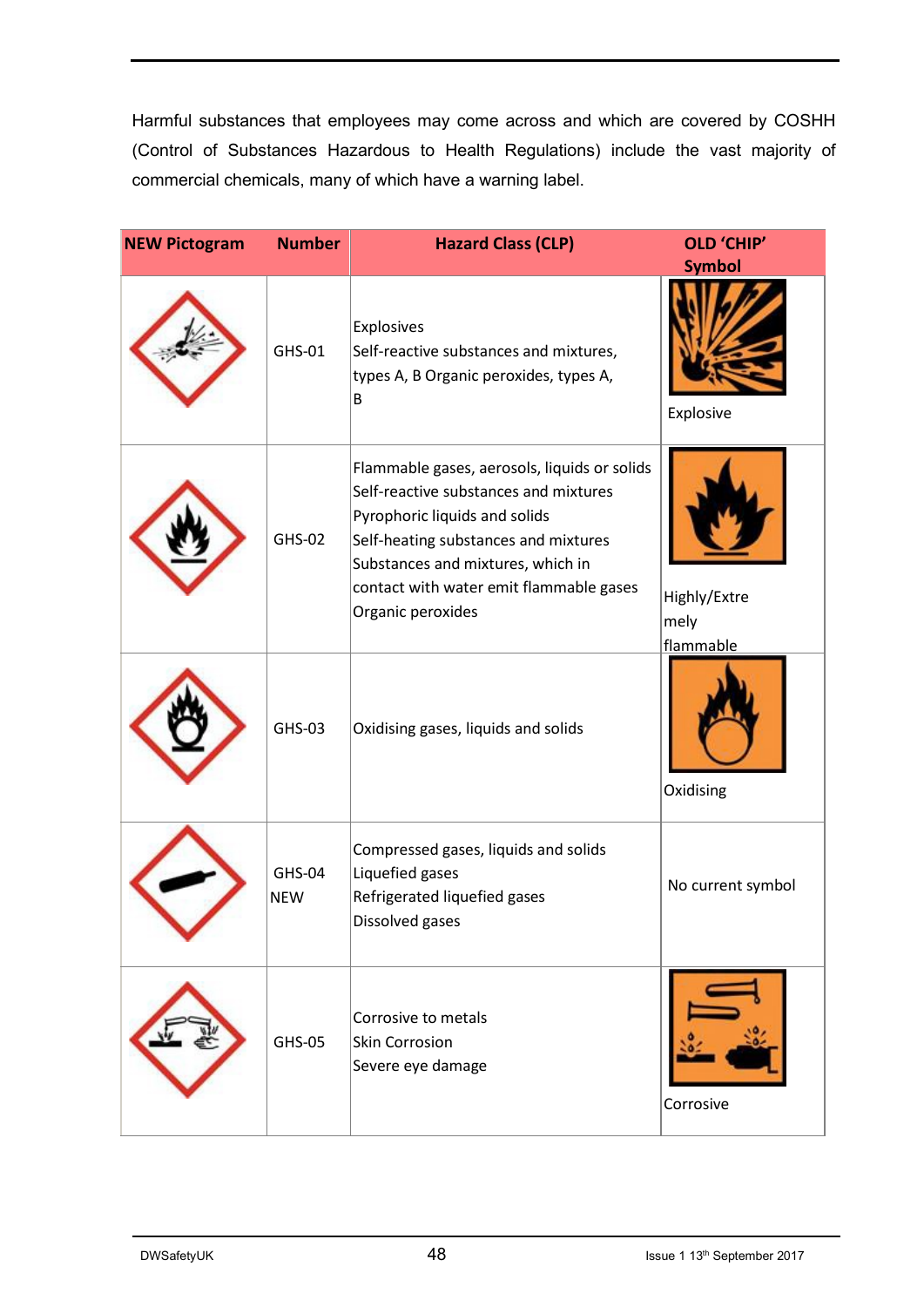Harmful substances that employees may come across and which are covered by COSHH (Control of Substances Hazardous to Health Regulations) include the vast majority of commercial chemicals, many of which have a warning label.

| <b>NEW Pictogram</b> | <b>Number</b>               | <b>Hazard Class (CLP)</b>                                                                                                                                                                                                                                           | <b>OLD 'CHIP'</b>                 |
|----------------------|-----------------------------|---------------------------------------------------------------------------------------------------------------------------------------------------------------------------------------------------------------------------------------------------------------------|-----------------------------------|
|                      | GHS-01                      | Explosives<br>Self-reactive substances and mixtures,<br>types A, B Organic peroxides, types A,<br>В                                                                                                                                                                 | <b>Symbol</b><br>Explosive        |
|                      | GHS-02                      | Flammable gases, aerosols, liquids or solids<br>Self-reactive substances and mixtures<br>Pyrophoric liquids and solids<br>Self-heating substances and mixtures<br>Substances and mixtures, which in<br>contact with water emit flammable gases<br>Organic peroxides | Highly/Extre<br>mely<br>flammable |
|                      | GHS-03                      | Oxidising gases, liquids and solids                                                                                                                                                                                                                                 | Oxidising                         |
|                      | <b>GHS-04</b><br><b>NEW</b> | Compressed gases, liquids and solids<br>Liquefied gases<br>Refrigerated liquefied gases<br>Dissolved gases                                                                                                                                                          | No current symbol                 |
|                      | <b>GHS-05</b>               | Corrosive to metals<br><b>Skin Corrosion</b><br>Severe eye damage                                                                                                                                                                                                   | Corrosive                         |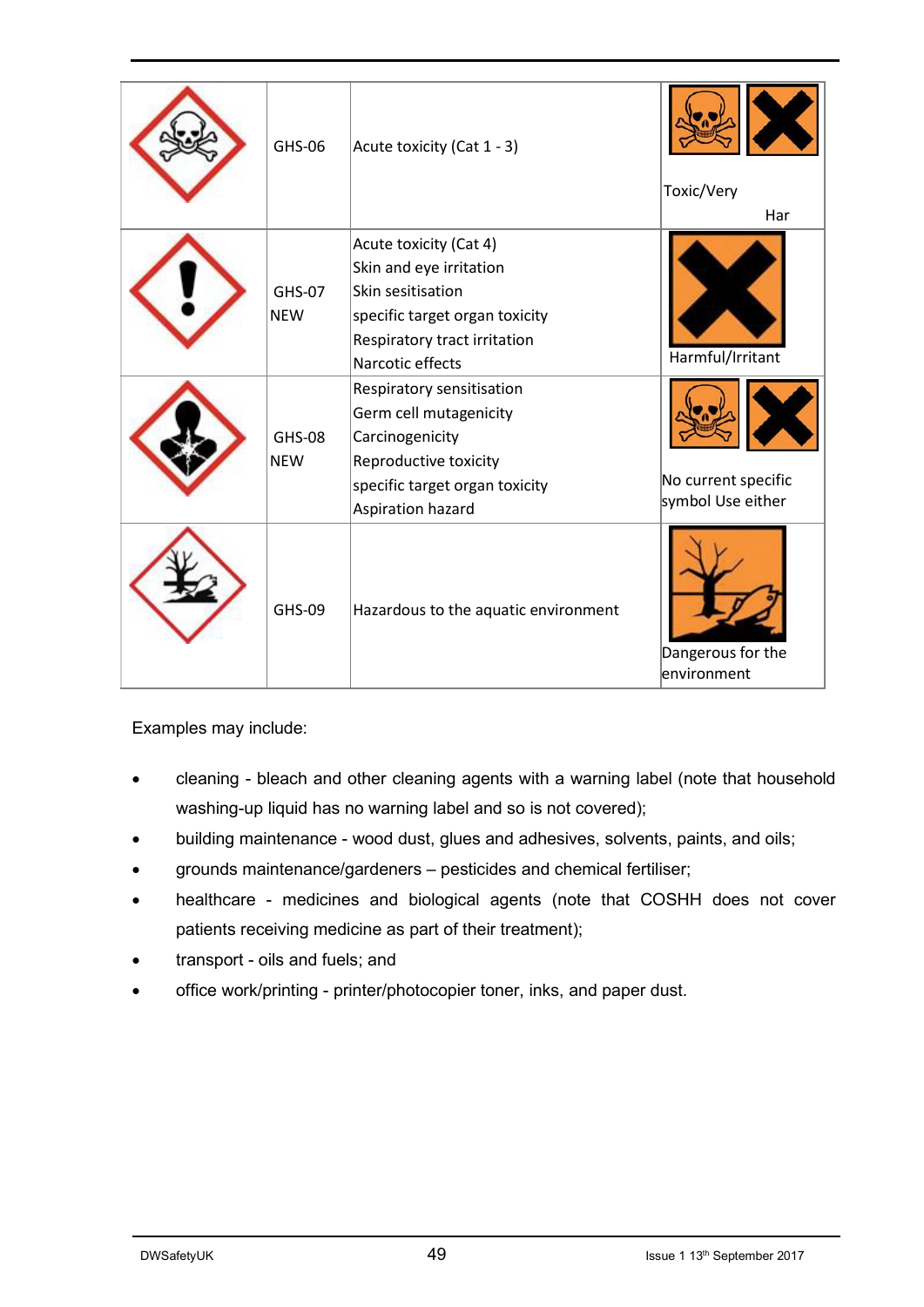| GHS-06                      | Acute toxicity (Cat 1 - 3)                                                                                                                                   | Toxic/Very<br>Har                        |
|-----------------------------|--------------------------------------------------------------------------------------------------------------------------------------------------------------|------------------------------------------|
| <b>GHS-07</b><br><b>NEW</b> | Acute toxicity (Cat 4)<br>Skin and eye irritation<br>Skin sesitisation<br>specific target organ toxicity<br>Respiratory tract irritation<br>Narcotic effects | Harmful/Irritant                         |
| <b>GHS-08</b><br><b>NEW</b> | Respiratory sensitisation<br>Germ cell mutagenicity<br>Carcinogenicity<br>Reproductive toxicity<br>specific target organ toxicity<br>Aspiration hazard       | No current specific<br>symbol Use either |
| <b>GHS-09</b>               | Hazardous to the aquatic environment                                                                                                                         | Dangerous for the<br>environment         |

Examples may include:

- cleaning bleach and other cleaning agents with a warning label (note that household washing-up liquid has no warning label and so is not covered);
- building maintenance wood dust, glues and adhesives, solvents, paints, and oils;
- grounds maintenance/gardeners pesticides and chemical fertiliser;
- healthcare medicines and biological agents (note that COSHH does not cover patients receiving medicine as part of their treatment);
- transport oils and fuels; and
- office work/printing printer/photocopier toner, inks, and paper dust.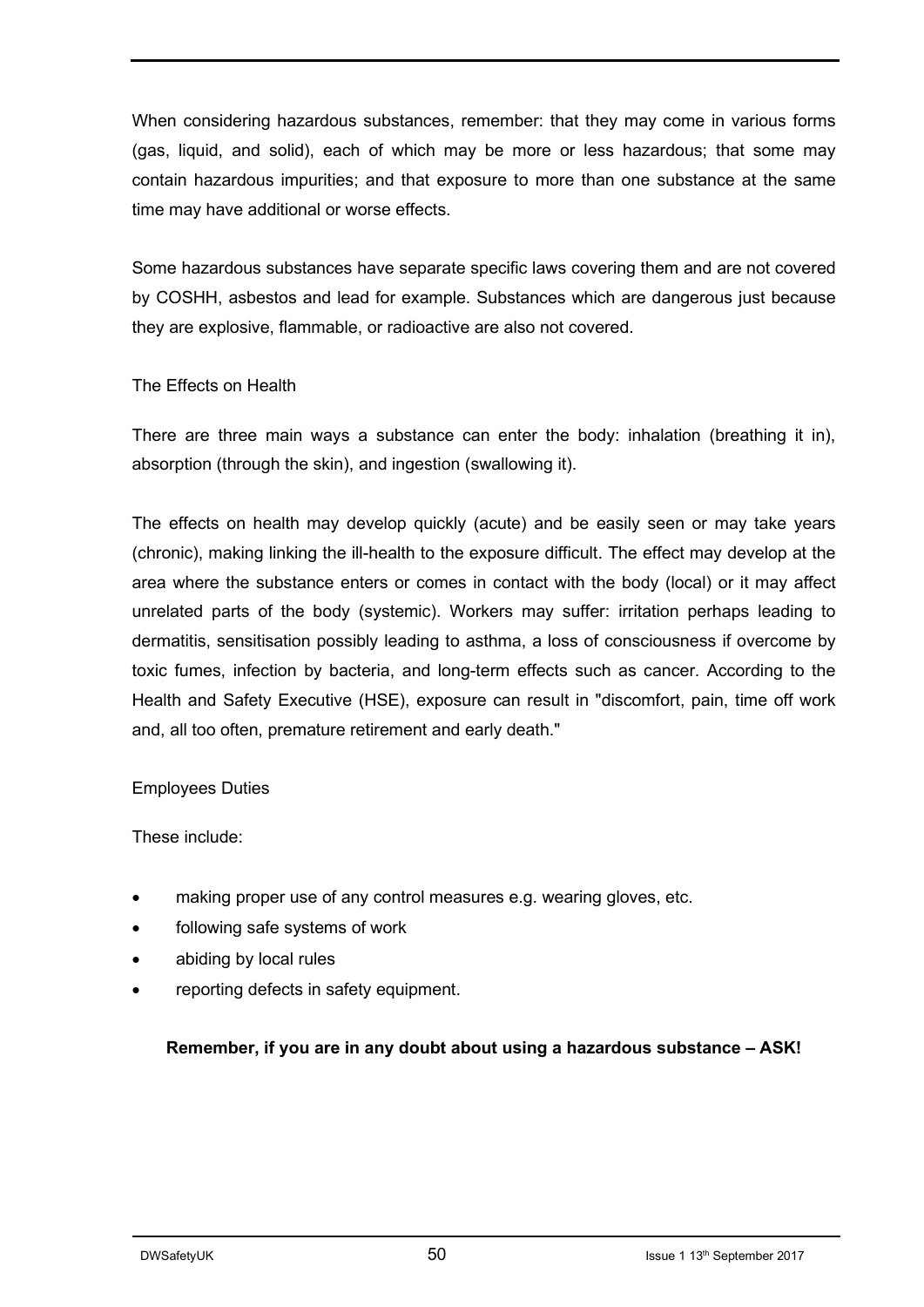When considering hazardous substances, remember: that they may come in various forms (gas, liquid, and solid), each of which may be more or less hazardous; that some may contain hazardous impurities; and that exposure to more than one substance at the same time may have additional or worse effects.

Some hazardous substances have separate specific laws covering them and are not covered by COSHH, asbestos and lead for example. Substances which are dangerous just because they are explosive, flammable, or radioactive are also not covered.

#### The Effects on Health

There are three main ways a substance can enter the body: inhalation (breathing it in), absorption (through the skin), and ingestion (swallowing it).

The effects on health may develop quickly (acute) and be easily seen or may take years (chronic), making linking the ill-health to the exposure difficult. The effect may develop at the area where the substance enters or comes in contact with the body (local) or it may affect unrelated parts of the body (systemic). Workers may suffer: irritation perhaps leading to dermatitis, sensitisation possibly leading to asthma, a loss of consciousness if overcome by toxic fumes, infection by bacteria, and long-term effects such as cancer. According to the Health and Safety Executive (HSE), exposure can result in "discomfort, pain, time off work and, all too often, premature retirement and early death."

#### Employees Duties

#### These include:

- making proper use of any control measures e.g. wearing gloves, etc.
- following safe systems of work
- abiding by local rules
- reporting defects in safety equipment.

#### **Remember, if you are in any doubt about using a hazardous substance – ASK!**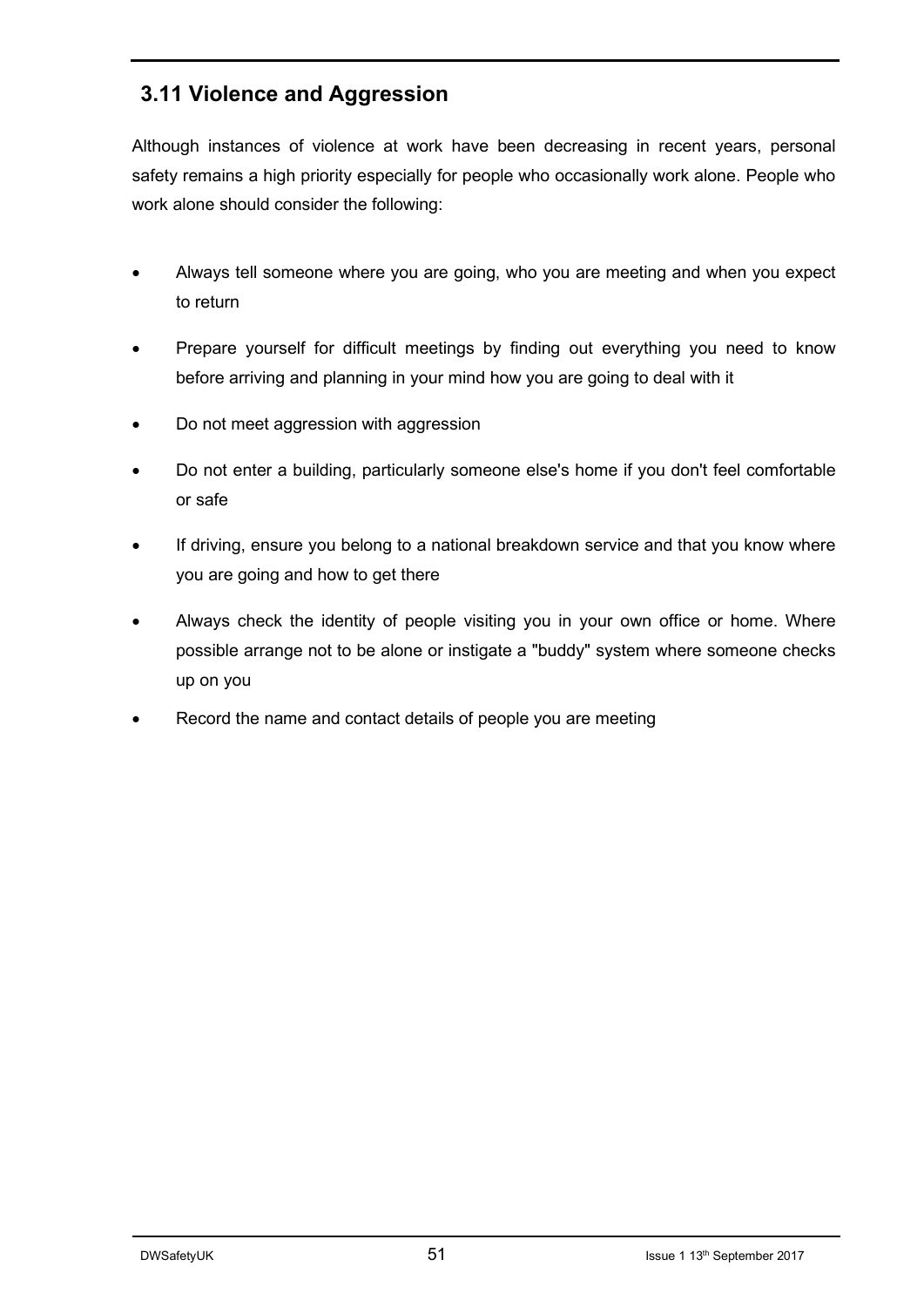## **3.11 Violence and Aggression**

Although instances of violence at work have been decreasing in recent years, personal safety remains a high priority especially for people who occasionally work alone. People who work alone should consider the following:

- Always tell someone where you are going, who you are meeting and when you expect to return
- Prepare yourself for difficult meetings by finding out everything you need to know before arriving and planning in your mind how you are going to deal with it
- Do not meet aggression with aggression
- Do not enter a building, particularly someone else's home if you don't feel comfortable or safe
- If driving, ensure you belong to a national breakdown service and that you know where you are going and how to get there
- Always check the identity of people visiting you in your own office or home. Where possible arrange not to be alone or instigate a "buddy" system where someone checks up on you
- Record the name and contact details of people you are meeting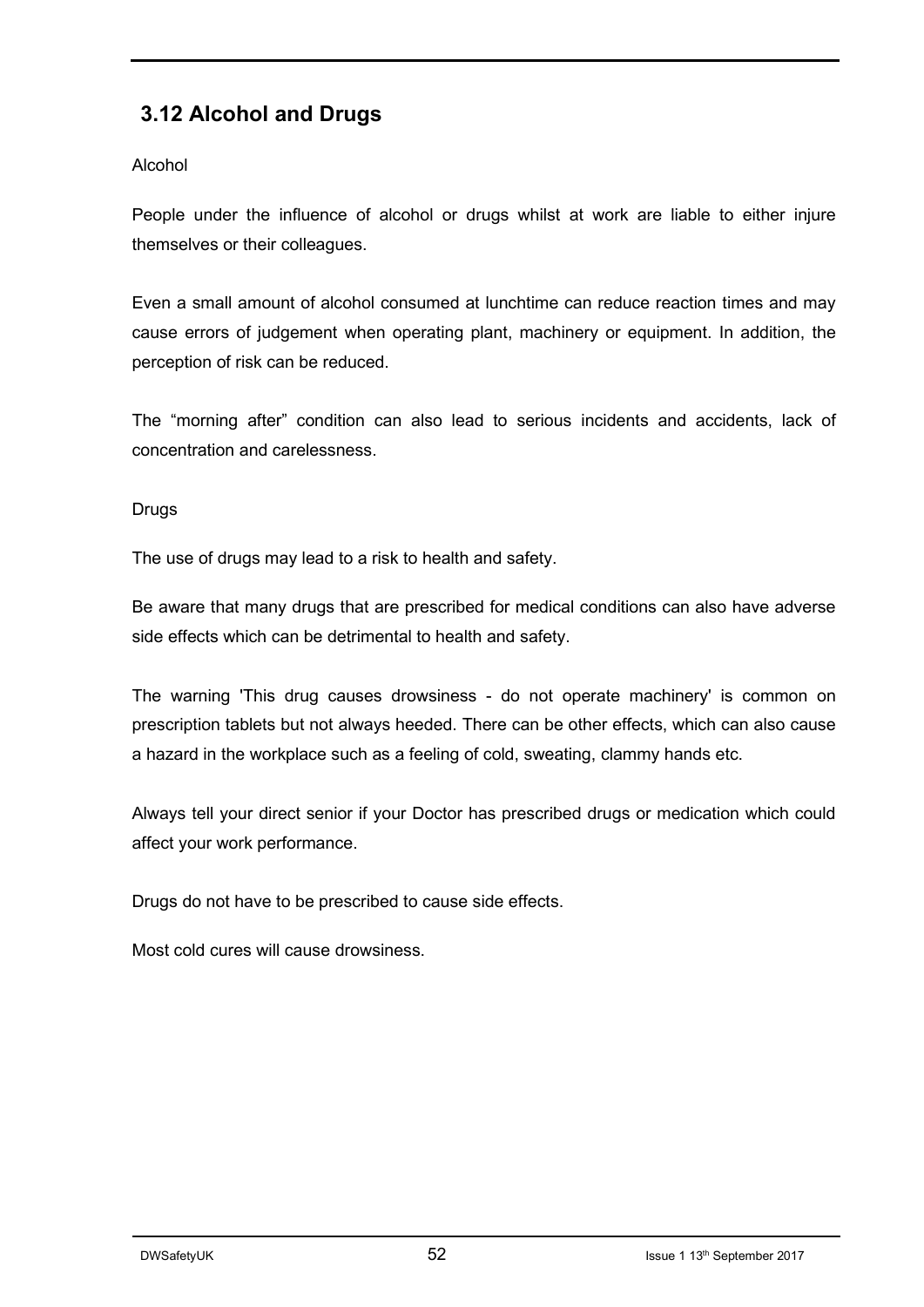## **3.12 Alcohol and Drugs**

#### Alcohol

People under the influence of alcohol or drugs whilst at work are liable to either injure themselves or their colleagues.

Even a small amount of alcohol consumed at lunchtime can reduce reaction times and may cause errors of judgement when operating plant, machinery or equipment. In addition, the perception of risk can be reduced.

The "morning after" condition can also lead to serious incidents and accidents, lack of concentration and carelessness.

#### Drugs

The use of drugs may lead to a risk to health and safety.

Be aware that many drugs that are prescribed for medical conditions can also have adverse side effects which can be detrimental to health and safety.

The warning 'This drug causes drowsiness - do not operate machinery' is common on prescription tablets but not always heeded. There can be other effects, which can also cause a hazard in the workplace such as a feeling of cold, sweating, clammy hands etc.

Always tell your direct senior if your Doctor has prescribed drugs or medication which could affect your work performance.

Drugs do not have to be prescribed to cause side effects.

Most cold cures will cause drowsiness.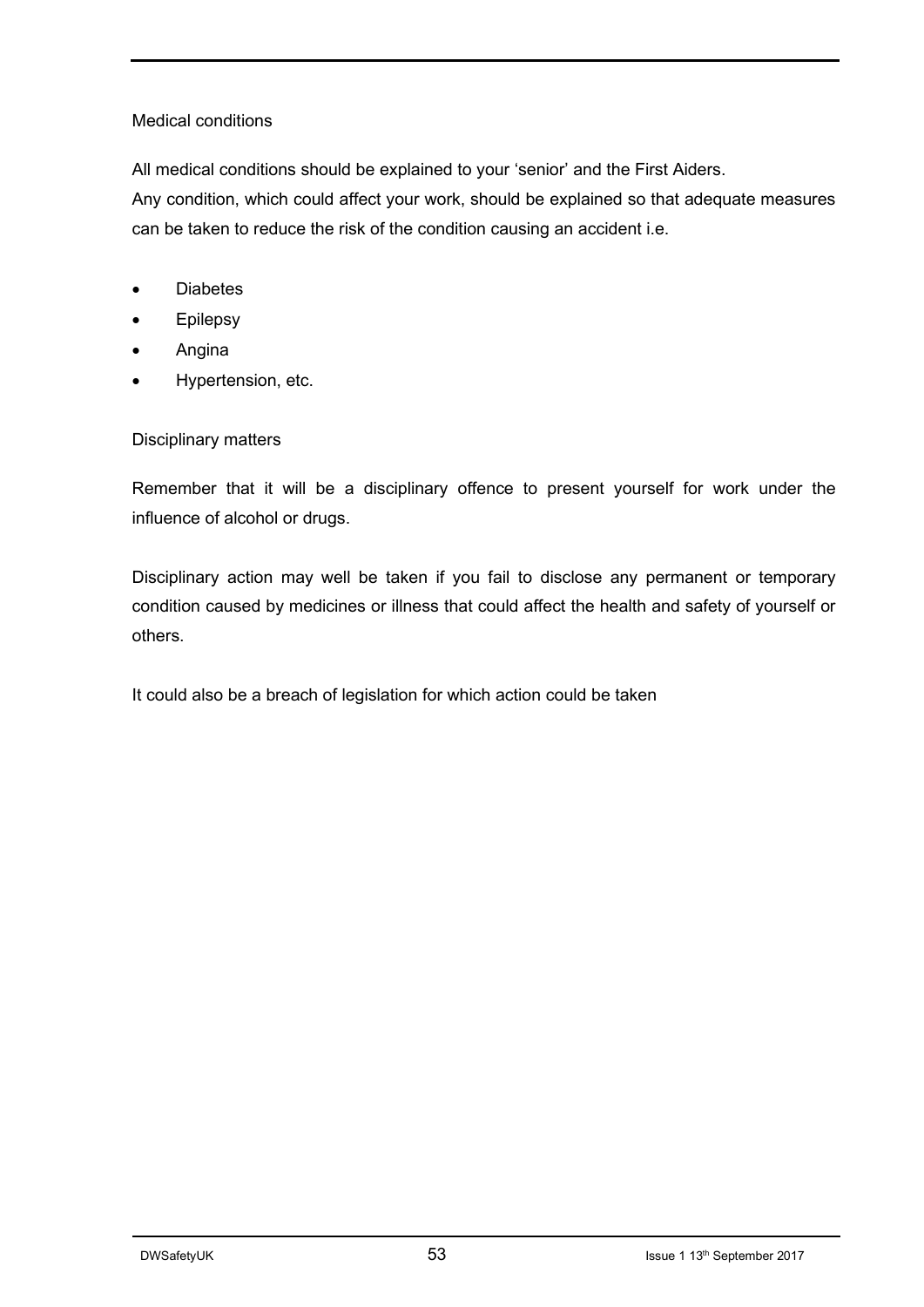#### Medical conditions

All medical conditions should be explained to your 'senior' and the First Aiders.

Any condition, which could affect your work, should be explained so that adequate measures can be taken to reduce the risk of the condition causing an accident i.e.

- Diabetes
- Epilepsy
- Angina
- Hypertension, etc.

#### Disciplinary matters

Remember that it will be a disciplinary offence to present yourself for work under the influence of alcohol or drugs.

Disciplinary action may well be taken if you fail to disclose any permanent or temporary condition caused by medicines or illness that could affect the health and safety of yourself or others.

It could also be a breach of legislation for which action could be taken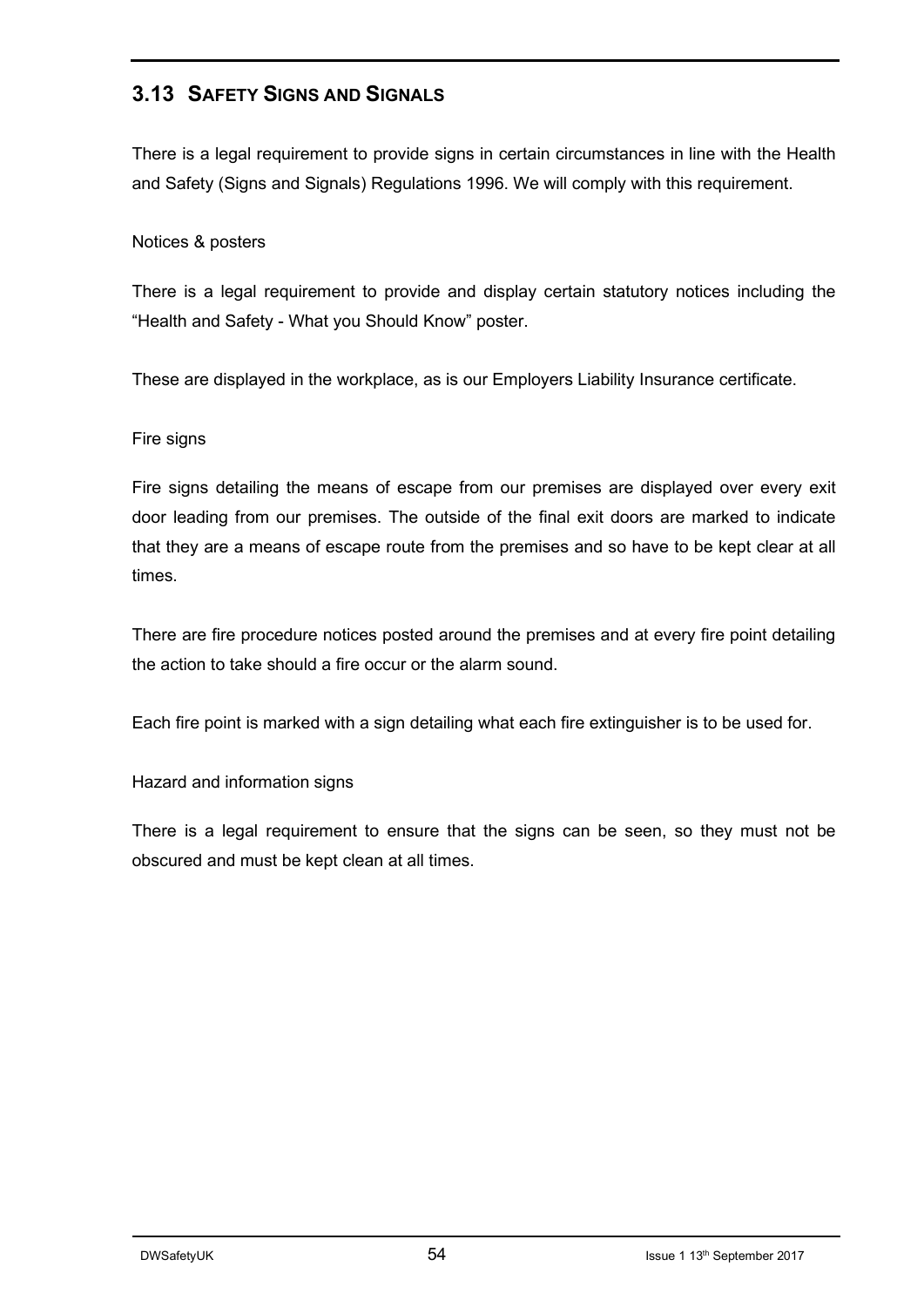#### **3.13 SAFETY SIGNS AND SIGNALS**

There is a legal requirement to provide signs in certain circumstances in line with the Health and Safety (Signs and Signals) Regulations 1996. We will comply with this requirement.

#### Notices & posters

There is a legal requirement to provide and display certain statutory notices including the "Health and Safety - What you Should Know" poster.

These are displayed in the workplace, as is our Employers Liability Insurance certificate.

#### Fire signs

Fire signs detailing the means of escape from our premises are displayed over every exit door leading from our premises. The outside of the final exit doors are marked to indicate that they are a means of escape route from the premises and so have to be kept clear at all times.

There are fire procedure notices posted around the premises and at every fire point detailing the action to take should a fire occur or the alarm sound.

Each fire point is marked with a sign detailing what each fire extinguisher is to be used for.

#### Hazard and information signs

There is a legal requirement to ensure that the signs can be seen, so they must not be obscured and must be kept clean at all times.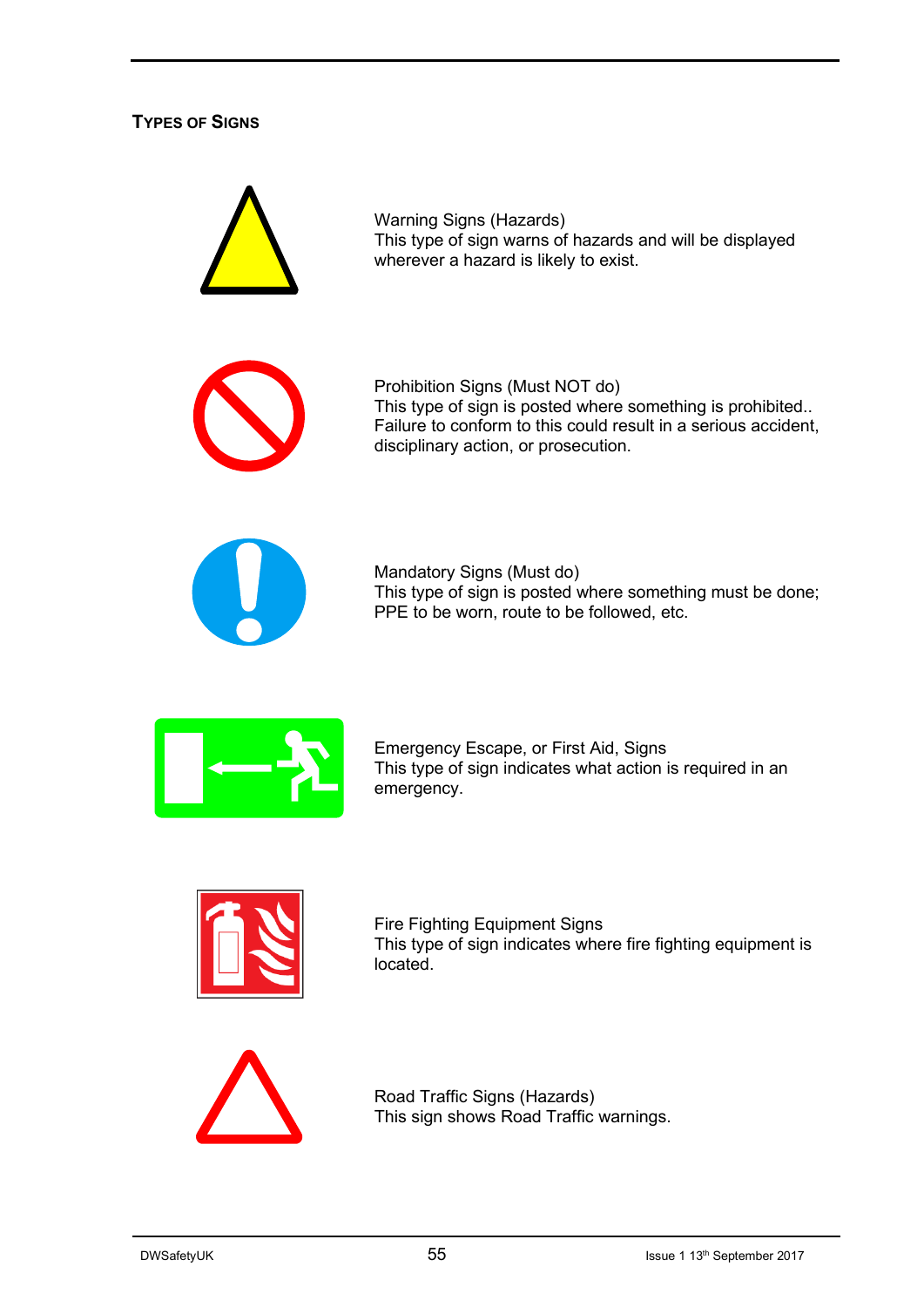#### **TYPES OF SIGNS**



Fire Fighting Equipment Signs This type of sign indicates where fire fighting equipment is located.



Road Traffic Signs (Hazards) This sign shows Road Traffic warnings.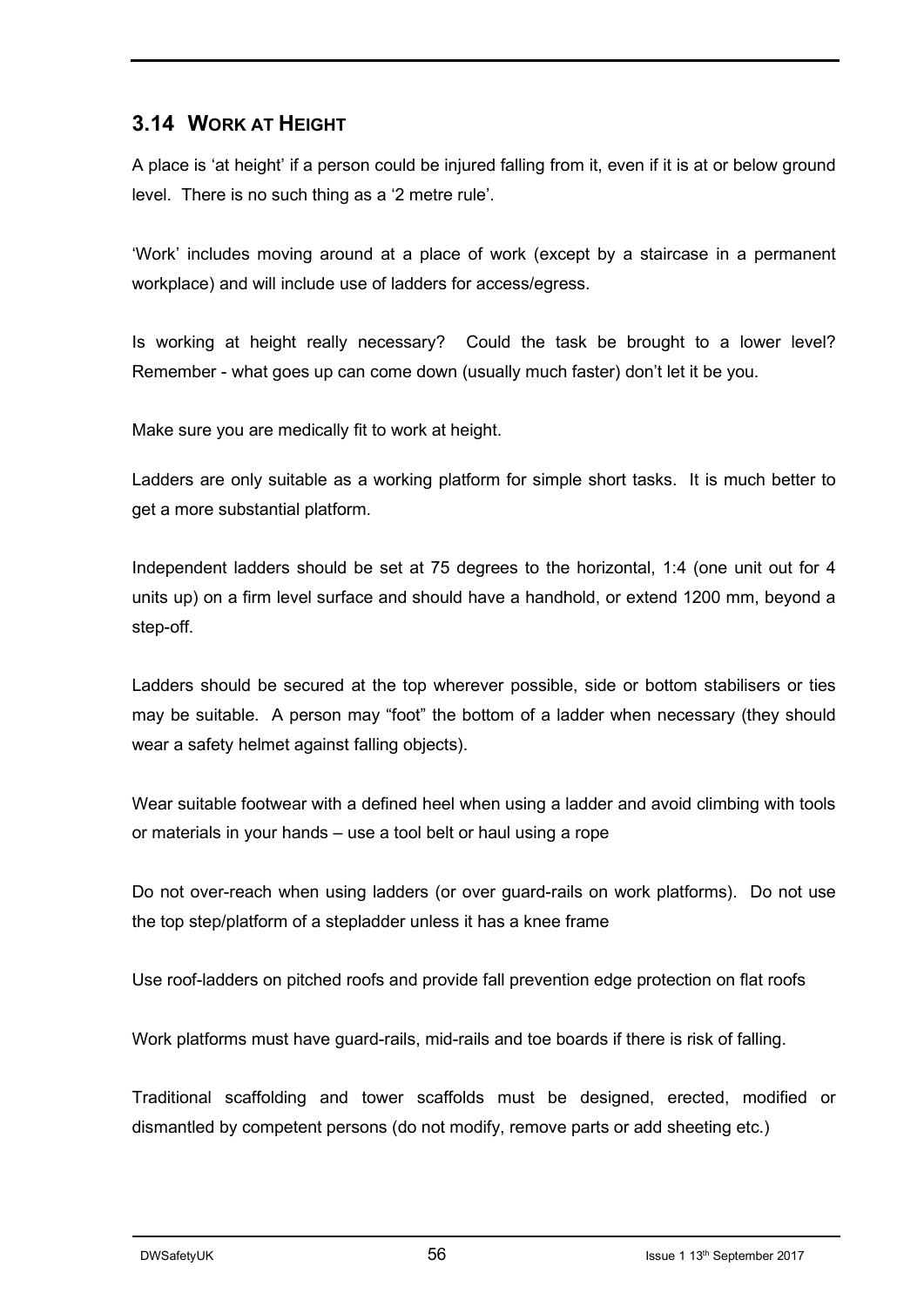#### **3.14 WORK AT HEIGHT**

A place is 'at height' if a person could be injured falling from it, even if it is at or below ground level. There is no such thing as a '2 metre rule'.

'Work' includes moving around at a place of work (except by a staircase in a permanent workplace) and will include use of ladders for access/egress.

Is working at height really necessary? Could the task be brought to a lower level? Remember - what goes up can come down (usually much faster) don't let it be you.

Make sure you are medically fit to work at height.

Ladders are only suitable as a working platform for simple short tasks. It is much better to get a more substantial platform.

Independent ladders should be set at 75 degrees to the horizontal, 1:4 (one unit out for 4 units up) on a firm level surface and should have a handhold, or extend 1200 mm, beyond a step-off.

Ladders should be secured at the top wherever possible, side or bottom stabilisers or ties may be suitable. A person may "foot" the bottom of a ladder when necessary (they should wear a safety helmet against falling objects).

Wear suitable footwear with a defined heel when using a ladder and avoid climbing with tools or materials in your hands – use a tool belt or haul using a rope

Do not over-reach when using ladders (or over guard-rails on work platforms). Do not use the top step/platform of a stepladder unless it has a knee frame

Use roof-ladders on pitched roofs and provide fall prevention edge protection on flat roofs

Work platforms must have guard-rails, mid-rails and toe boards if there is risk of falling.

Traditional scaffolding and tower scaffolds must be designed, erected, modified or dismantled by competent persons (do not modify, remove parts or add sheeting etc.)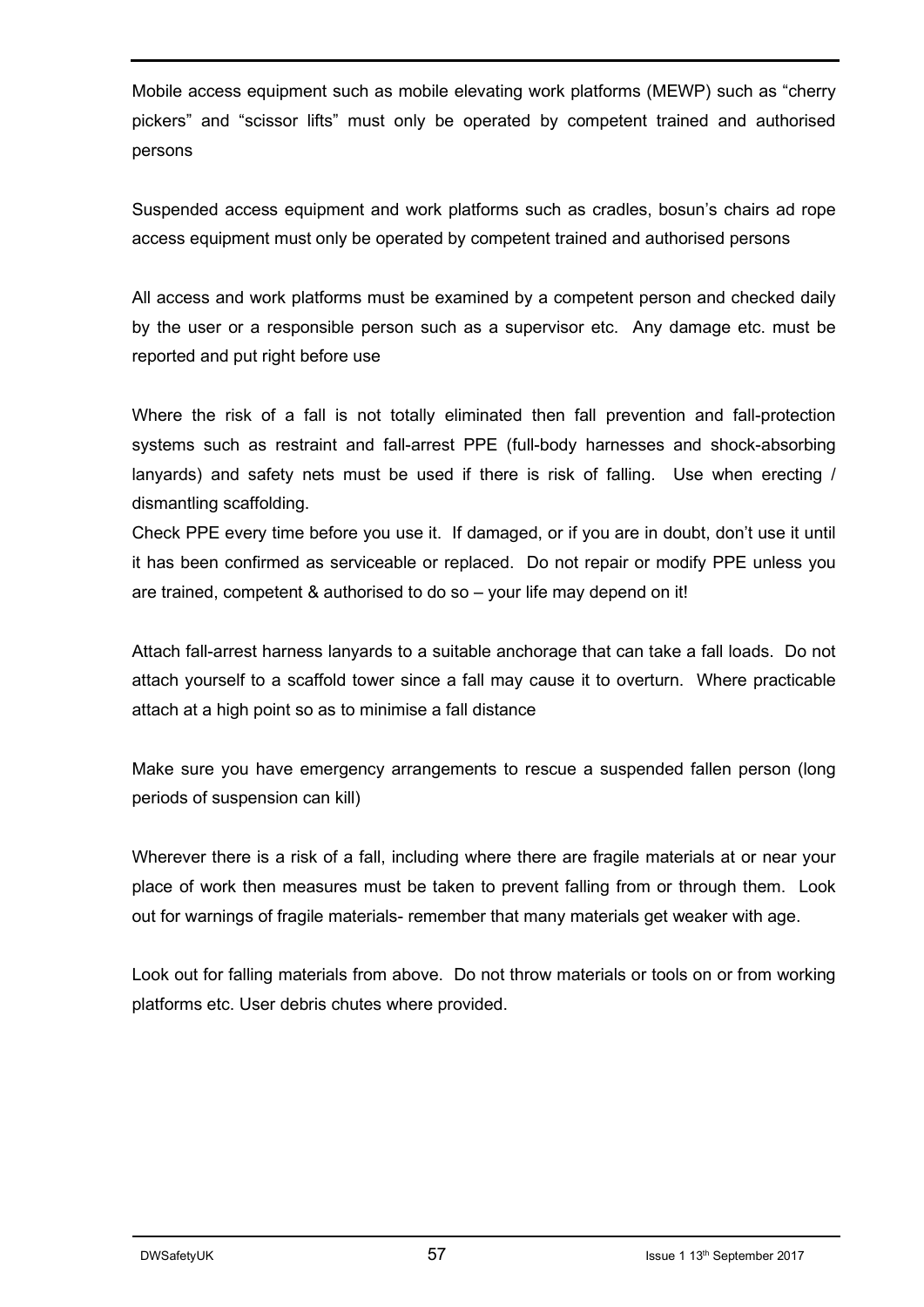Mobile access equipment such as mobile elevating work platforms (MEWP) such as "cherry pickers" and "scissor lifts" must only be operated by competent trained and authorised persons

Suspended access equipment and work platforms such as cradles, bosun's chairs ad rope access equipment must only be operated by competent trained and authorised persons

All access and work platforms must be examined by a competent person and checked daily by the user or a responsible person such as a supervisor etc. Any damage etc. must be reported and put right before use

Where the risk of a fall is not totally eliminated then fall prevention and fall-protection systems such as restraint and fall-arrest PPE (full-body harnesses and shock-absorbing lanyards) and safety nets must be used if there is risk of falling. Use when erecting / dismantling scaffolding.

Check PPE every time before you use it. If damaged, or if you are in doubt, don't use it until it has been confirmed as serviceable or replaced. Do not repair or modify PPE unless you are trained, competent & authorised to do so – your life may depend on it!

Attach fall-arrest harness lanyards to a suitable anchorage that can take a fall loads. Do not attach yourself to a scaffold tower since a fall may cause it to overturn. Where practicable attach at a high point so as to minimise a fall distance

Make sure you have emergency arrangements to rescue a suspended fallen person (long periods of suspension can kill)

Wherever there is a risk of a fall, including where there are fragile materials at or near your place of work then measures must be taken to prevent falling from or through them. Look out for warnings of fragile materials- remember that many materials get weaker with age.

Look out for falling materials from above. Do not throw materials or tools on or from working platforms etc. User debris chutes where provided.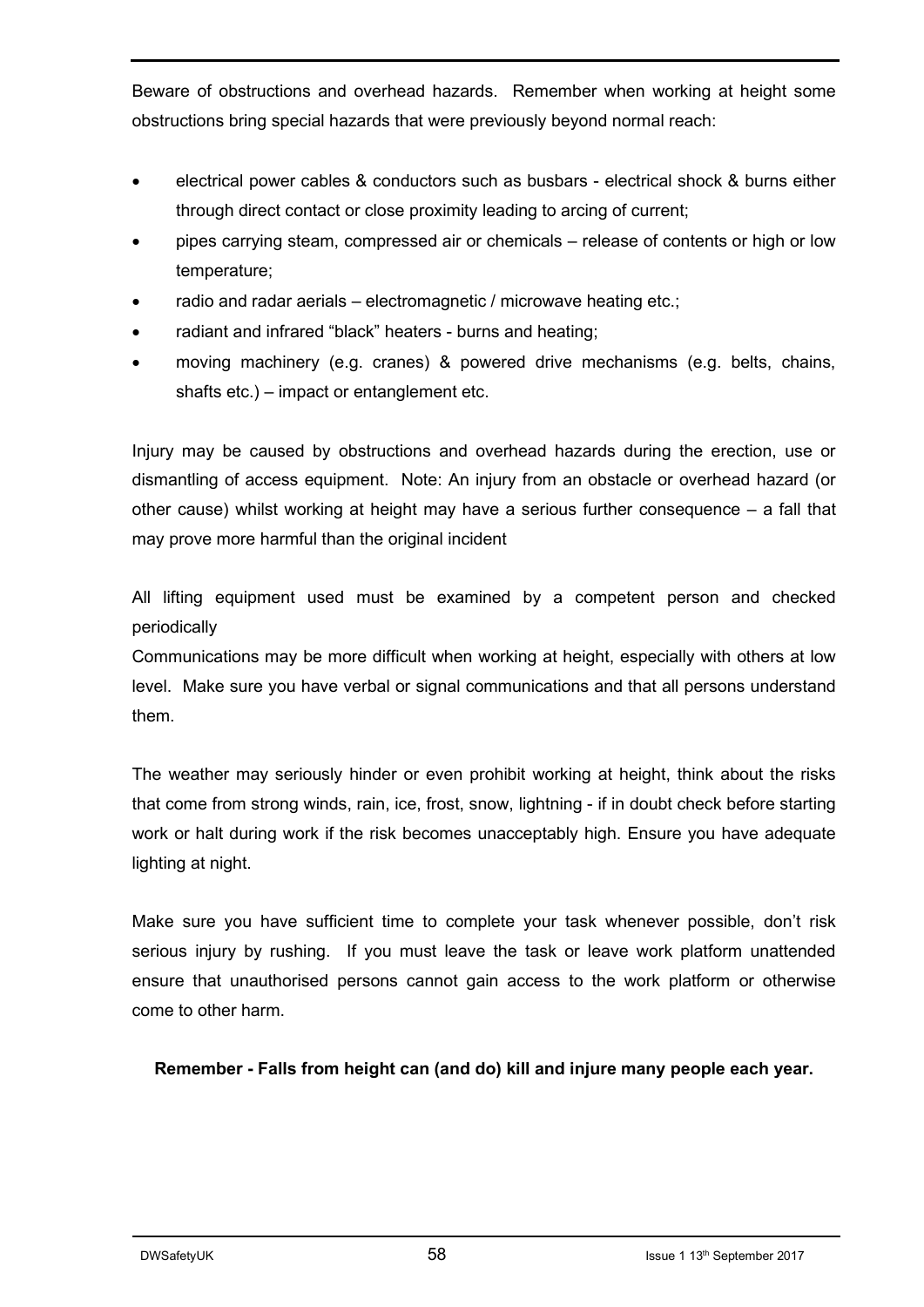Beware of obstructions and overhead hazards. Remember when working at height some obstructions bring special hazards that were previously beyond normal reach:

- electrical power cables & conductors such as busbars electrical shock & burns either through direct contact or close proximity leading to arcing of current;
- pipes carrying steam, compressed air or chemicals release of contents or high or low temperature;
- radio and radar aerials electromagnetic / microwave heating etc.;
- radiant and infrared "black" heaters burns and heating;
- moving machinery (e.g. cranes) & powered drive mechanisms (e.g. belts, chains, shafts etc.) – impact or entanglement etc.

Injury may be caused by obstructions and overhead hazards during the erection, use or dismantling of access equipment. Note: An injury from an obstacle or overhead hazard (or other cause) whilst working at height may have a serious further consequence – a fall that may prove more harmful than the original incident

All lifting equipment used must be examined by a competent person and checked periodically

Communications may be more difficult when working at height, especially with others at low level. Make sure you have verbal or signal communications and that all persons understand them.

The weather may seriously hinder or even prohibit working at height, think about the risks that come from strong winds, rain, ice, frost, snow, lightning - if in doubt check before starting work or halt during work if the risk becomes unacceptably high. Ensure you have adequate lighting at night.

Make sure you have sufficient time to complete your task whenever possible, don't risk serious injury by rushing. If you must leave the task or leave work platform unattended ensure that unauthorised persons cannot gain access to the work platform or otherwise come to other harm.

**Remember - Falls from height can (and do) kill and injure many people each year.**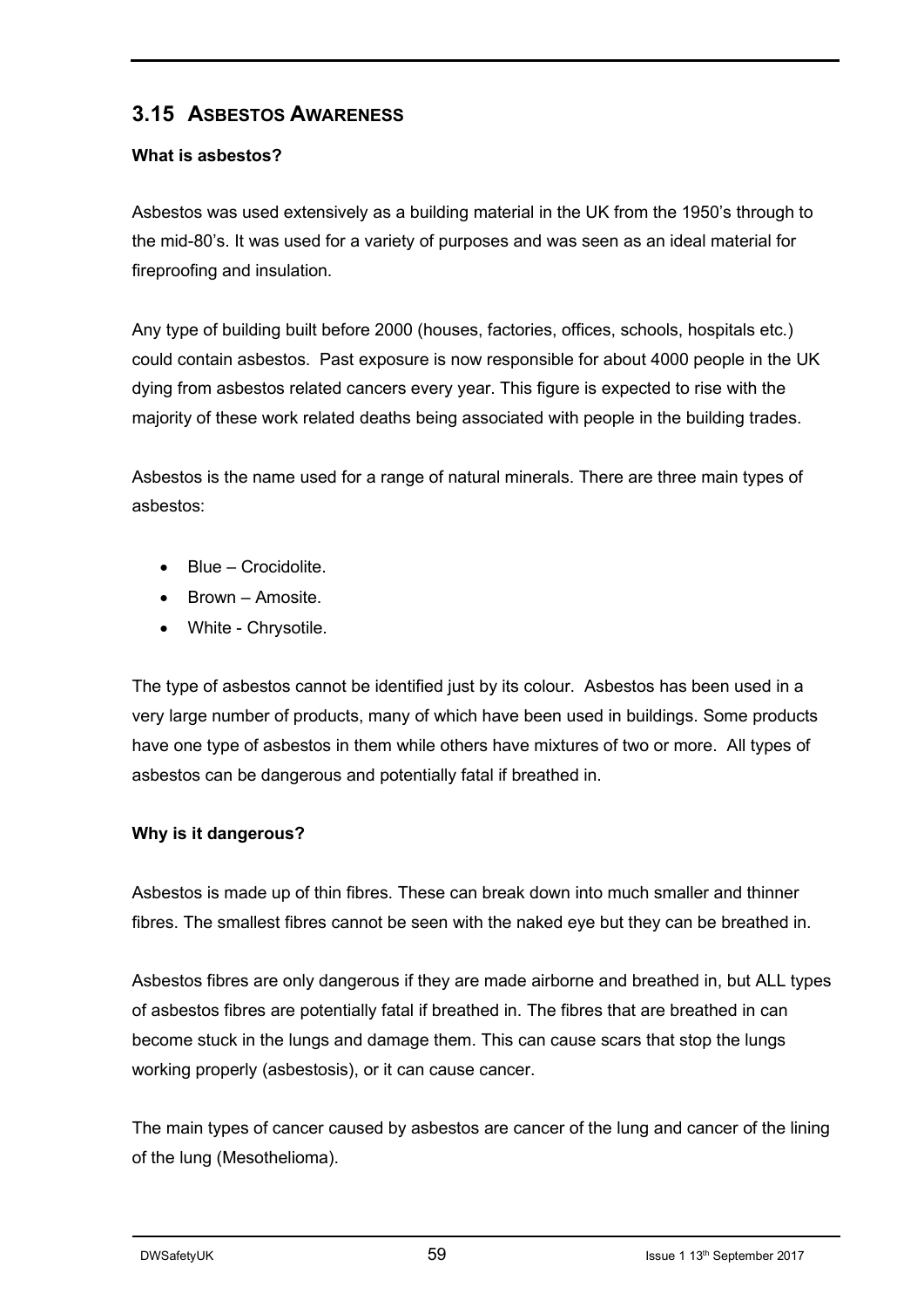### **3.15 ASBESTOS AWARENESS**

#### **What is asbestos?**

Asbestos was used extensively as a building material in the UK from the 1950's through to the mid-80's. It was used for a variety of purposes and was seen as an ideal material for fireproofing and insulation.

Any type of building built before 2000 (houses, factories, offices, schools, hospitals etc.) could contain asbestos. Past exposure is now responsible for about 4000 people in the UK dying from asbestos related cancers every year. This figure is expected to rise with the majority of these work related deaths being associated with people in the building trades.

Asbestos is the name used for a range of natural minerals. There are three main types of asbestos:

- Blue Crocidolite.
- Brown Amosite.
- White Chrysotile.

The type of asbestos cannot be identified just by its colour. Asbestos has been used in a very large number of products, many of which have been used in buildings. Some products have one type of asbestos in them while others have mixtures of two or more. All types of asbestos can be dangerous and potentially fatal if breathed in.

#### **Why is it dangerous?**

Asbestos is made up of thin fibres. These can break down into much smaller and thinner fibres. The smallest fibres cannot be seen with the naked eye but they can be breathed in.

Asbestos fibres are only dangerous if they are made airborne and breathed in, but ALL types of asbestos fibres are potentially fatal if breathed in. The fibres that are breathed in can become stuck in the lungs and damage them. This can cause scars that stop the lungs working properly (asbestosis), or it can cause cancer.

The main types of cancer caused by asbestos are cancer of the lung and cancer of the lining of the lung (Mesothelioma).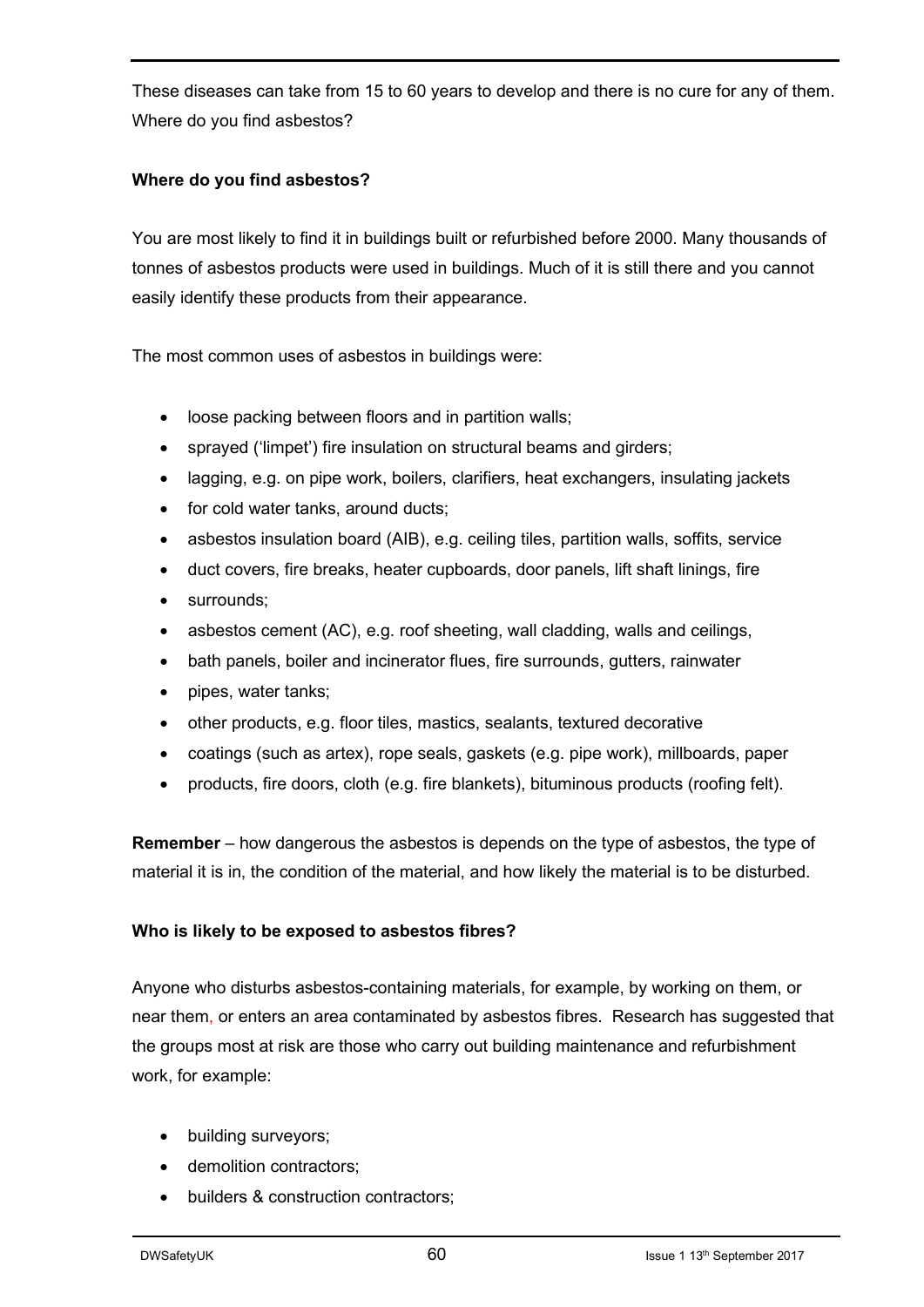These diseases can take from 15 to 60 years to develop and there is no cure for any of them. Where do you find asbestos?

#### **Where do you find asbestos?**

You are most likely to find it in buildings built or refurbished before 2000. Many thousands of tonnes of asbestos products were used in buildings. Much of it is still there and you cannot easily identify these products from their appearance.

The most common uses of asbestos in buildings were:

- loose packing between floors and in partition walls;
- sprayed ('limpet') fire insulation on structural beams and girders;
- lagging, e.g. on pipe work, boilers, clarifiers, heat exchangers, insulating jackets
- for cold water tanks, around ducts;
- asbestos insulation board (AIB), e.g. ceiling tiles, partition walls, soffits, service
- duct covers, fire breaks, heater cupboards, door panels, lift shaft linings, fire
- surrounds;
- asbestos cement (AC), e.g. roof sheeting, wall cladding, walls and ceilings,
- bath panels, boiler and incinerator flues, fire surrounds, gutters, rainwater
- pipes, water tanks;
- other products, e.g. floor tiles, mastics, sealants, textured decorative
- coatings (such as artex), rope seals, gaskets (e.g. pipe work), millboards, paper
- products, fire doors, cloth (e.g. fire blankets), bituminous products (roofing felt).

**Remember** – how dangerous the asbestos is depends on the type of asbestos, the type of material it is in, the condition of the material, and how likely the material is to be disturbed.

#### **Who is likely to be exposed to asbestos fibres?**

Anyone who disturbs asbestos-containing materials, for example, by working on them, or near them, or enters an area contaminated by asbestos fibres. Research has suggested that the groups most at risk are those who carry out building maintenance and refurbishment work, for example:

- building surveyors;
- demolition contractors:
- builders & construction contractors;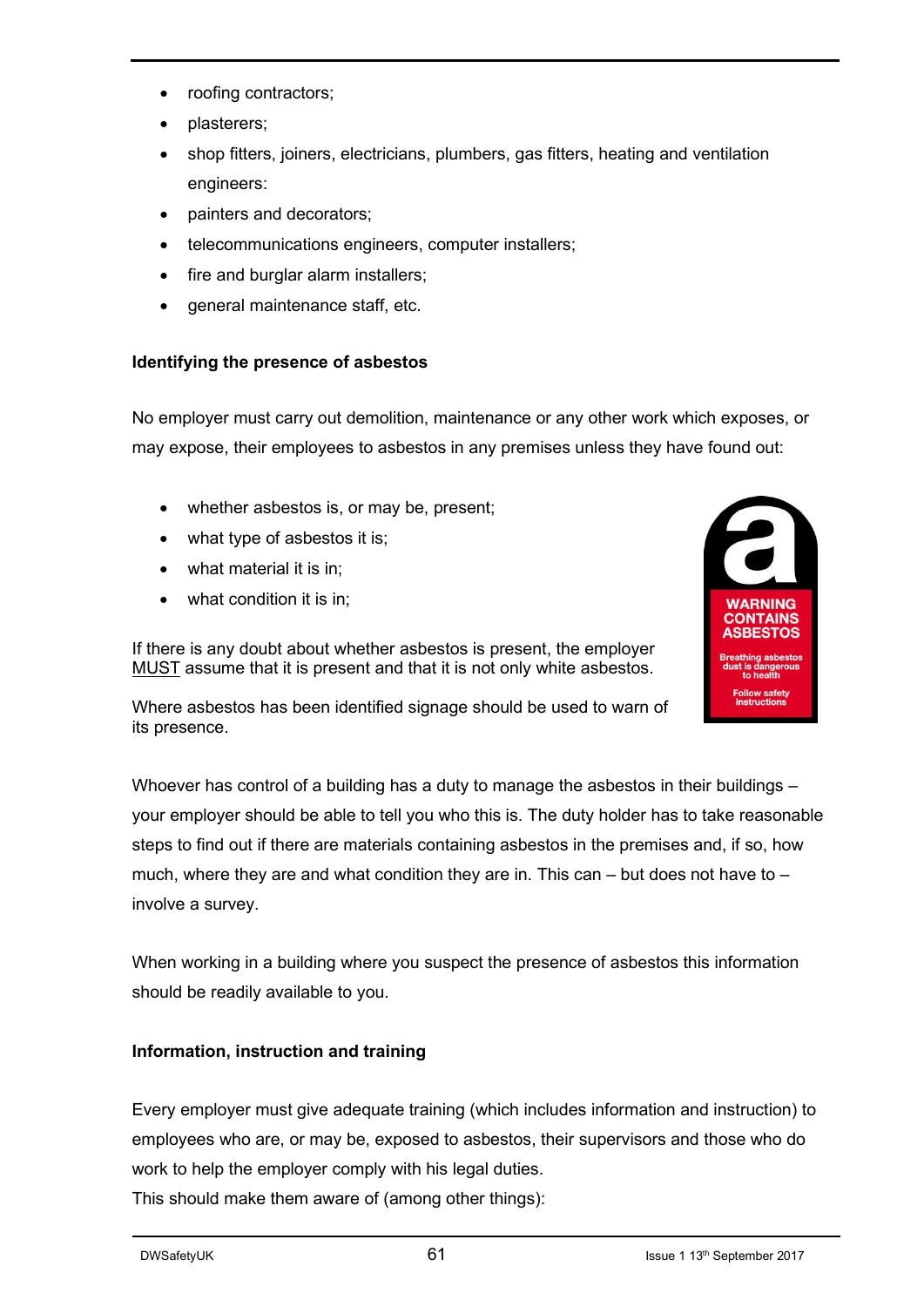- roofing contractors;
- plasterers;
- shop fitters, joiners, electricians, plumbers, gas fitters, heating and ventilation engineers:
- painters and decorators;
- telecommunications engineers, computer installers;
- fire and burglar alarm installers;
- general maintenance staff, etc.

#### **Identifying the presence of asbestos**

No employer must carry out demolition, maintenance or any other work which exposes, or may expose, their employees to asbestos in any premises unless they have found out:

- whether asbestos is, or may be, present;
- what type of asbestos it is;
- what material it is in;
- what condition it is in;

If there is any doubt about whether asbestos is present, the employer MUST assume that it is present and that it is not only white asbestos.



Where asbestos has been identified signage should be used to warn of its presence.

Whoever has control of a building has a duty to manage the asbestos in their buildings – your employer should be able to tell you who this is. The duty holder has to take reasonable steps to find out if there are materials containing asbestos in the premises and, if so, how much, where they are and what condition they are in. This can  $-$  but does not have to  $$ involve a survey.

When working in a building where you suspect the presence of asbestos this information should be readily available to you.

#### **Information, instruction and training**

Every employer must give adequate training (which includes information and instruction) to employees who are, or may be, exposed to asbestos, their supervisors and those who do work to help the employer comply with his legal duties.

This should make them aware of (among other things):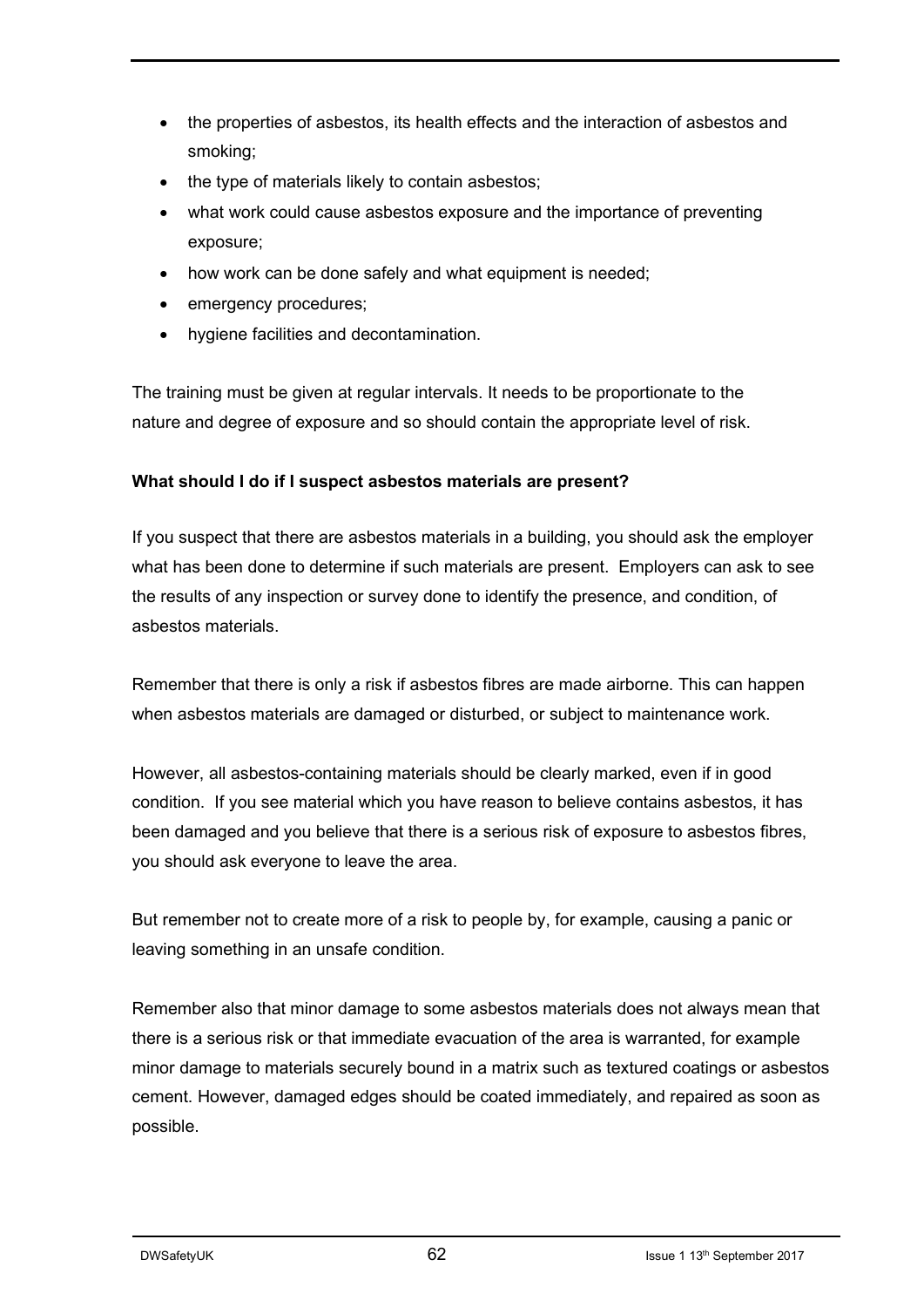- the properties of asbestos, its health effects and the interaction of asbestos and smoking;
- the type of materials likely to contain asbestos;
- what work could cause asbestos exposure and the importance of preventing exposure;
- how work can be done safely and what equipment is needed;
- emergency procedures;
- hygiene facilities and decontamination.

The training must be given at regular intervals. It needs to be proportionate to the nature and degree of exposure and so should contain the appropriate level of risk.

#### **What should I do if I suspect asbestos materials are present?**

If you suspect that there are asbestos materials in a building, you should ask the employer what has been done to determine if such materials are present. Employers can ask to see the results of any inspection or survey done to identify the presence, and condition, of asbestos materials.

Remember that there is only a risk if asbestos fibres are made airborne. This can happen when asbestos materials are damaged or disturbed, or subject to maintenance work.

However, all asbestos-containing materials should be clearly marked, even if in good condition. If you see material which you have reason to believe contains asbestos, it has been damaged and you believe that there is a serious risk of exposure to asbestos fibres, you should ask everyone to leave the area.

But remember not to create more of a risk to people by, for example, causing a panic or leaving something in an unsafe condition.

Remember also that minor damage to some asbestos materials does not always mean that there is a serious risk or that immediate evacuation of the area is warranted, for example minor damage to materials securely bound in a matrix such as textured coatings or asbestos cement. However, damaged edges should be coated immediately, and repaired as soon as possible.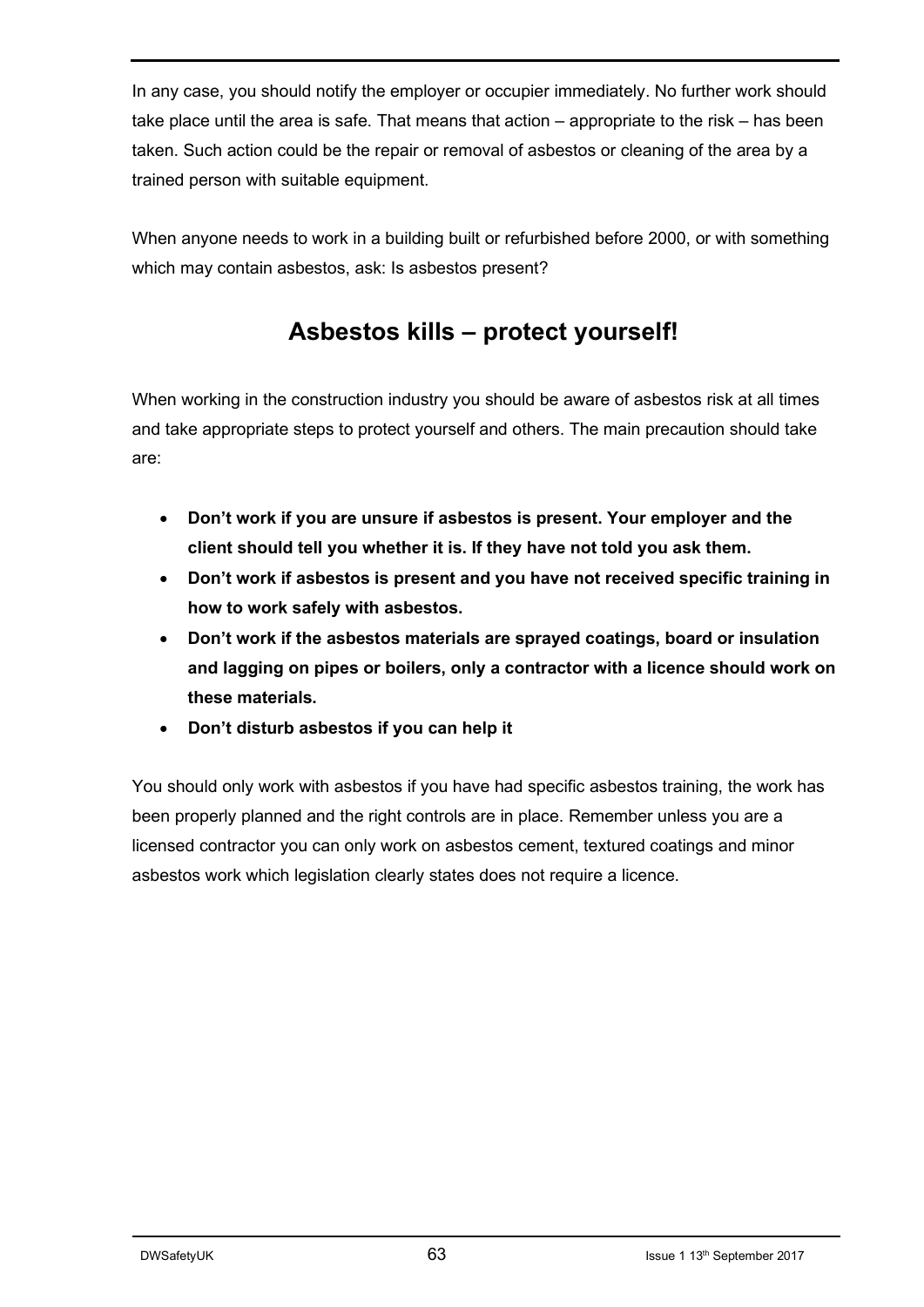In any case, you should notify the employer or occupier immediately. No further work should take place until the area is safe. That means that action – appropriate to the risk – has been taken. Such action could be the repair or removal of asbestos or cleaning of the area by a trained person with suitable equipment.

When anyone needs to work in a building built or refurbished before 2000, or with something which may contain asbestos, ask: Is asbestos present?

## **Asbestos kills – protect yourself!**

When working in the construction industry you should be aware of asbestos risk at all times and take appropriate steps to protect yourself and others. The main precaution should take are:

- **Don't work if you are unsure if asbestos is present. Your employer and the client should tell you whether it is. If they have not told you ask them.**
- **Don't work if asbestos is present and you have not received specific training in how to work safely with asbestos.**
- **Don't work if the asbestos materials are sprayed coatings, board or insulation and lagging on pipes or boilers, only a contractor with a licence should work on these materials.**
- **Don't disturb asbestos if you can help it**

You should only work with asbestos if you have had specific asbestos training, the work has been properly planned and the right controls are in place. Remember unless you are a licensed contractor you can only work on asbestos cement, textured coatings and minor asbestos work which legislation clearly states does not require a licence.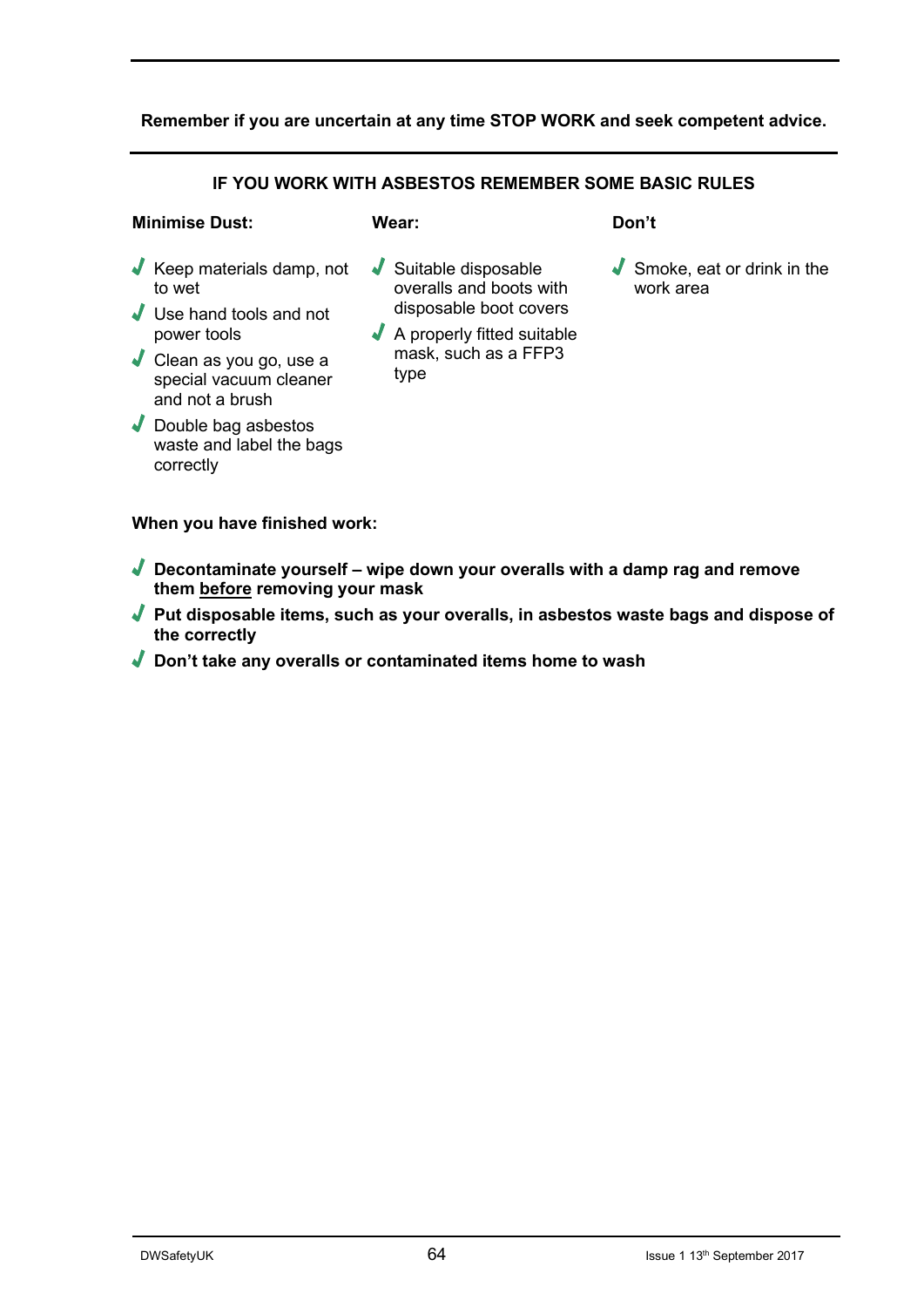#### **Remember if you are uncertain at any time STOP WORK and seek competent advice.**

#### **IF YOU WORK WITH ASBESTOS REMEMBER SOME BASIC RULES**

#### **Minimise Dust:**

#### **Wear:**

- √ Keep materials damp, not to wet
- √ Use hand tools and not power tools
- √ Clean as you go, use a special vacuum cleaner and not a brush
- √ Double bag asbestos waste and label the bags correctly
- √ Suitable disposable overalls and boots with disposable boot covers
- √ A properly fitted suitable mask, such as a FFP3 type

**Don't**

√ Smoke, eat or drink in the work area

**When you have finished work:**

- √ **Decontaminate yourself – wipe down your overalls with a damp rag and remove them before removing your mask**
- √ **Put disposable items, such as your overalls, in asbestos waste bags and dispose of the correctly**
- √ **Don't take any overalls or contaminated items home to wash**